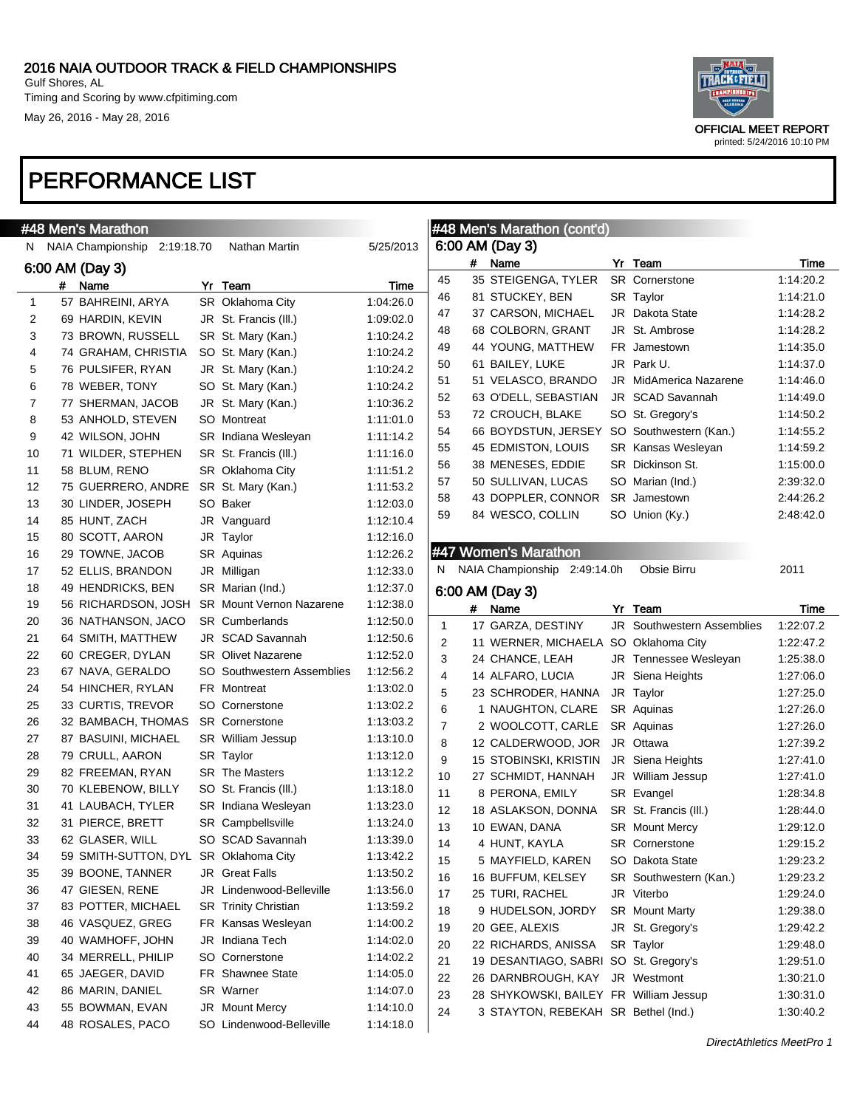Timing and Scoring by www.cfpitiming.com May 26, 2016 - May 28, 2016

| OFFICIAL MEET REPORT<br>printed: 5/24/2016 10:10 PM |
|-----------------------------------------------------|

|              | #48 Men's Marathon                           |                             |           |                         |   | #48 Men's Marathon (cont'd)            |                                   |           |
|--------------|----------------------------------------------|-----------------------------|-----------|-------------------------|---|----------------------------------------|-----------------------------------|-----------|
| N.           | NAIA Championship<br>2:19:18.70              | Nathan Martin               | 5/25/2013 |                         |   | 6:00 AM (Day 3)                        |                                   |           |
|              | 6:00 AM (Day 3)                              |                             |           |                         | # | Name                                   | Yr Team                           | Time      |
|              | Name<br>#                                    | Yr Team                     | Time      | 45                      |   | 35 STEIGENGA, TYLER                    | SR Cornerstone                    | 1:14:20.2 |
| $\mathbf{1}$ | 57 BAHREINI, ARYA                            | SR Oklahoma City            | 1:04:26.0 | 46                      |   | 81 STUCKEY, BEN                        | SR Taylor                         | 1:14:21.0 |
| 2            | 69 HARDIN, KEVIN                             | JR St. Francis (III.)       | 1:09:02.0 | 47                      |   | 37 CARSON, MICHAEL                     | JR Dakota State                   | 1:14:28.2 |
| 3            | 73 BROWN, RUSSELL                            | SR St. Mary (Kan.)          | 1:10:24.2 | 48                      |   | 68 COLBORN, GRANT                      | JR St. Ambrose                    | 1:14:28.2 |
| 4            | 74 GRAHAM, CHRISTIA                          | SO St. Mary (Kan.)          | 1:10:24.2 | 49                      |   | 44 YOUNG, MATTHEW                      | FR Jamestown                      | 1:14:35.0 |
| 5            | 76 PULSIFER, RYAN                            | JR St. Mary (Kan.)          | 1:10:24.2 | 50                      |   | 61 BAILEY, LUKE                        | JR Park U.                        | 1:14:37.0 |
| 6            | 78 WEBER, TONY                               | SO St. Mary (Kan.)          | 1:10:24.2 | 51                      |   | 51 VELASCO, BRANDO                     | JR MidAmerica Nazarene            | 1:14:46.0 |
| 7            | 77 SHERMAN, JACOB                            | JR St. Mary (Kan.)          | 1:10:36.2 | 52                      |   | 63 O'DELL, SEBASTIAN                   | JR SCAD Savannah                  | 1:14:49.0 |
| 8            | 53 ANHOLD, STEVEN                            | SO Montreat                 | 1:11:01.0 | 53                      |   | 72 CROUCH, BLAKE                       | SO St. Gregory's                  | 1:14:50.2 |
| 9            | 42 WILSON, JOHN                              | SR Indiana Wesleyan         | 1:11:14.2 | 54                      |   | 66 BOYDSTUN, JERSEY                    | SO Southwestern (Kan.)            | 1:14:55.2 |
| 10           | 71 WILDER, STEPHEN                           | SR St. Francis (III.)       | 1:11:16.0 | 55                      |   | 45 EDMISTON, LOUIS                     | SR Kansas Wesleyan                | 1:14:59.2 |
| 11           | 58 BLUM, RENO                                | SR Oklahoma City            | 1:11:51.2 | 56                      |   | 38 MENESES, EDDIE                      | SR Dickinson St.                  | 1:15:00.0 |
| 12           | 75 GUERRERO, ANDRE                           | SR St. Mary (Kan.)          | 1:11:53.2 | 57                      |   | 50 SULLIVAN, LUCAS                     | SO Marian (Ind.)                  | 2:39:32.0 |
| 13           | 30 LINDER, JOSEPH                            | SO Baker                    | 1:12:03.0 | 58                      |   | 43 DOPPLER, CONNOR                     | SR Jamestown                      | 2:44:26.2 |
| 14           | 85 HUNT, ZACH                                | JR Vanguard                 | 1:12:10.4 | 59                      |   | 84 WESCO, COLLIN                       | SO Union (Ky.)                    | 2:48:42.0 |
| 15           | 80 SCOTT, AARON                              | JR Taylor                   | 1:12:16.0 |                         |   |                                        |                                   |           |
| 16           | 29 TOWNE, JACOB                              | SR Aquinas                  | 1:12:26.2 |                         |   | #47 Women's Marathon                   |                                   |           |
| 17           | 52 ELLIS, BRANDON                            | JR Milligan                 | 1:12:33.0 |                         |   | N NAIA Championship 2:49:14.0h         | Obsie Birru                       | 2011      |
| 18           | 49 HENDRICKS, BEN                            | SR Marian (Ind.)            | 1:12:37.0 |                         |   |                                        |                                   |           |
| 19           | 56 RICHARDSON, JOSH SR Mount Vernon Nazarene |                             | 1:12:38.0 |                         |   | 6:00 AM (Day 3)                        |                                   |           |
| 20           | 36 NATHANSON, JACO                           | <b>SR</b> Cumberlands       | 1:12:50.0 |                         | # | Name                                   | Yr Team                           | Time      |
| 21           |                                              |                             |           | $\mathbf{1}$            |   | 17 GARZA, DESTINY                      | <b>JR</b> Southwestern Assemblies | 1:22:07.2 |
|              |                                              |                             |           |                         |   |                                        |                                   |           |
|              | 64 SMITH, MATTHEW                            | JR SCAD Savannah            | 1:12:50.6 | $\overline{\mathbf{c}}$ |   | 11 WERNER, MICHAELA                    | SO Oklahoma City                  | 1:22:47.2 |
| 22           | 60 CREGER, DYLAN                             | <b>SR</b> Olivet Nazarene   | 1:12:52.0 | 3                       |   | 24 CHANCE, LEAH                        | JR Tennessee Wesleyan             | 1:25:38.0 |
| 23           | 67 NAVA, GERALDO                             | SO Southwestern Assemblies  | 1:12:56.2 | 4                       |   | 14 ALFARO, LUCIA                       | JR Siena Heights                  | 1:27:06.0 |
| 24           | 54 HINCHER, RYLAN                            | FR Montreat                 | 1:13:02.0 | 5                       |   | 23 SCHRODER, HANNA                     | JR Taylor                         | 1:27:25.0 |
| 25           | 33 CURTIS, TREVOR                            | SO Cornerstone              | 1:13:02.2 | 6                       |   | 1 NAUGHTON, CLARE                      | SR Aquinas                        | 1:27:26.0 |
| 26           | 32 BAMBACH, THOMAS                           | <b>SR</b> Cornerstone       | 1:13:03.2 | 7                       |   | 2 WOOLCOTT, CARLE                      | SR Aquinas                        | 1:27:26.0 |
| 27           | 87 BASUINI, MICHAEL                          | <b>SR</b> William Jessup    | 1:13:10.0 | 8                       |   | 12 CALDERWOOD, JOR                     | JR Ottawa                         | 1:27:39.2 |
| 28           | 79 CRULL, AARON                              | SR Taylor                   | 1:13:12.0 | 9                       |   | 15 STOBINSKI, KRISTIN                  | JR Siena Heights                  | 1:27:41.0 |
| 29           | 82 FREEMAN, RYAN                             | <b>SR</b> The Masters       | 1:13:12.2 | 10                      |   | 27 SCHMIDT, HANNAH                     | JR William Jessup                 | 1:27:41.0 |
| 30           | 70 KLEBENOW, BILLY                           | SO St. Francis (III.)       | 1:13:18.0 | 11                      |   | 8 PERONA, EMILY                        | SR Evangel                        | 1:28:34.8 |
| 31           | 41 LAUBACH, TYLER                            | SR Indiana Wesleyan         | 1:13:23.0 | 12                      |   | 18 ASLAKSON, DONNA                     | SR St. Francis (III.)             | 1:28:44.0 |
| 32           | 31 PIERCE, BRETT                             | SR Campbellsville           | 1:13:24.0 | 13                      |   | 10 EWAN, DANA                          | SR Mount Mercy                    | 1:29:12.0 |
| 33           | 62 GLASER, WILL                              | SO SCAD Savannah            | 1:13:39.0 | 14                      |   | 4 HUNT, KAYLA                          | SR Cornerstone                    | 1:29:15.2 |
| 34           | 59 SMITH-SUTTON, DYL SR Oklahoma City        |                             | 1:13:42.2 | 15                      |   | 5 MAYFIELD, KAREN                      | SO Dakota State                   | 1:29:23.2 |
| 35           | 39 BOONE, TANNER                             | JR Great Falls              | 1:13:50.2 | 16                      |   | 16 BUFFUM, KELSEY                      | SR Southwestern (Kan.)            | 1:29:23.2 |
| 36           | 47 GIESEN, RENE                              | JR Lindenwood-Belleville    | 1:13:56.0 | 17                      |   | 25 TURI, RACHEL                        | JR Viterbo                        | 1:29:24.0 |
| 37           | 83 POTTER, MICHAEL                           | <b>SR</b> Trinity Christian | 1:13:59.2 | 18                      |   | 9 HUDELSON, JORDY                      | <b>SR</b> Mount Marty             | 1:29:38.0 |
| 38           | 46 VASQUEZ, GREG                             | FR Kansas Wesleyan          | 1:14:00.2 | 19                      |   | 20 GEE, ALEXIS                         | JR St. Gregory's                  | 1:29:42.2 |
| 39           | 40 WAMHOFF, JOHN                             | JR Indiana Tech             | 1:14:02.0 | 20                      |   | 22 RICHARDS, ANISSA                    | SR Taylor                         | 1:29:48.0 |
| 40           | 34 MERRELL, PHILIP                           | SO Cornerstone              | 1:14:02.2 | 21                      |   | 19 DESANTIAGO, SABRI SO St. Gregory's  |                                   | 1:29:51.0 |
| 41           | 65 JAEGER, DAVID                             | FR Shawnee State            | 1:14:05.0 | 22                      |   | 26 DARNBROUGH, KAY JR Westmont         |                                   | 1:30:21.0 |
| 42           | 86 MARIN, DANIEL                             | SR Warner                   | 1:14:07.0 | 23                      |   | 28 SHYKOWSKI, BAILEY FR William Jessup |                                   | 1:30:31.0 |
| 43           | 55 BOWMAN, EVAN                              | JR Mount Mercy              | 1:14:10.0 | 24                      |   | 3 STAYTON, REBEKAH SR Bethel (Ind.)    |                                   | 1:30:40.2 |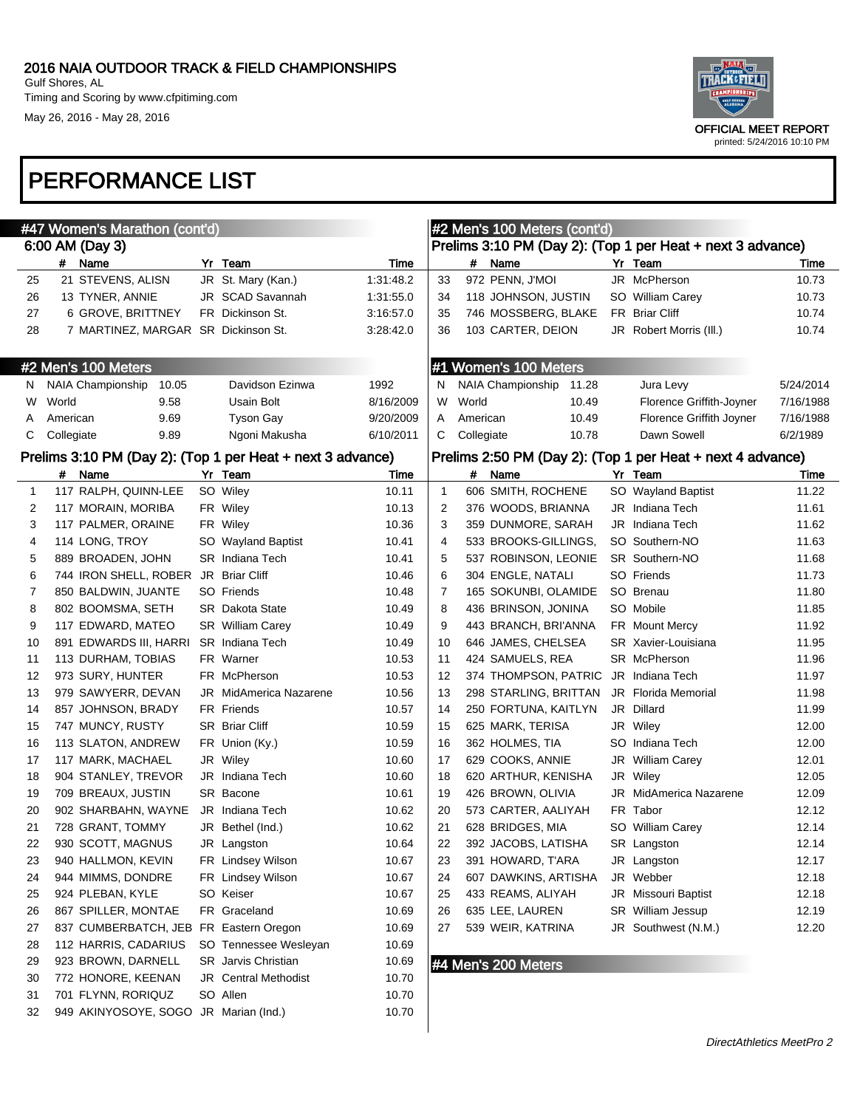

# PERFORMANCE LIST

May 26, 2016 - May 28, 2016

|    | #47 Women's Marathon (cont'd)                              |                         |           |              |            | #2 Men's 100 Meters (cont'd) |       |                                                            |           |
|----|------------------------------------------------------------|-------------------------|-----------|--------------|------------|------------------------------|-------|------------------------------------------------------------|-----------|
|    | 6:00 AM (Day 3)                                            |                         |           |              |            |                              |       | Prelims 3:10 PM (Day 2): (Top 1 per Heat + next 3 advance) |           |
|    | # Name                                                     | Yr Team                 | Time      |              | #          | Name                         |       | Yr Team                                                    | Time      |
| 25 | 21 STEVENS, ALISN                                          | JR St. Mary (Kan.)      | 1:31:48.2 | 33           |            | 972 PENN, J'MOI              |       | JR McPherson                                               | 10.73     |
| 26 | 13 TYNER, ANNIE                                            | JR SCAD Savannah        | 1:31:55.0 | 34           |            | 118 JOHNSON, JUSTIN          |       | SO William Carey                                           | 10.73     |
| 27 | 6 GROVE, BRITTNEY                                          | FR Dickinson St.        | 3:16:57.0 | 35           |            | 746 MOSSBERG, BLAKE          |       | FR Briar Cliff                                             | 10.74     |
| 28 | 7 MARTINEZ, MARGAR SR Dickinson St.                        |                         | 3:28:42.0 | 36           |            | 103 CARTER, DEION            |       | JR Robert Morris (III.)                                    | 10.74     |
|    | #2 Men's 100 Meters                                        |                         |           |              |            | #1 Women's 100 Meters        |       |                                                            |           |
| N. | <b>NAIA Championship</b><br>10.05                          | Davidson Ezinwa         | 1992      | N            |            | NAIA Championship            | 11.28 | Jura Levy                                                  | 5/24/2014 |
| W  | World<br>9.58                                              | Usain Bolt              | 8/16/2009 | W            | World      |                              | 10.49 | Florence Griffith-Joyner                                   | 7/16/1988 |
| A  | American<br>9.69                                           | <b>Tyson Gay</b>        | 9/20/2009 | A            | American   |                              | 10.49 | Florence Griffith Joyner                                   | 7/16/1988 |
| C  | Collegiate<br>9.89                                         | Ngoni Makusha           | 6/10/2011 | С            | Collegiate |                              | 10.78 | Dawn Sowell                                                | 6/2/1989  |
|    | Prelims 3:10 PM (Day 2): (Top 1 per Heat + next 3 advance) |                         |           |              |            |                              |       | Prelims 2:50 PM (Day 2): (Top 1 per Heat + next 4 advance) |           |
|    | Name<br>#                                                  | Yr Team                 | Time      |              | #          | Name                         |       | Yr Team                                                    | Time      |
| 1  | 117 RALPH, QUINN-LEE                                       | SO Wiley                | 10.11     | $\mathbf{1}$ |            | 606 SMITH, ROCHENE           |       | SO Wayland Baptist                                         | 11.22     |
| 2  | 117 MORAIN, MORIBA                                         | FR Wiley                | 10.13     | 2            |            | 376 WOODS, BRIANNA           |       | JR Indiana Tech                                            | 11.61     |
| 3  | 117 PALMER, ORAINE                                         | FR Wiley                | 10.36     | 3            |            | 359 DUNMORE, SARAH           |       | JR Indiana Tech                                            | 11.62     |
| 4  | 114 LONG, TROY                                             | SO Wayland Baptist      | 10.41     | 4            |            | 533 BROOKS-GILLINGS,         |       | SO Southern-NO                                             | 11.63     |
| 5  | 889 BROADEN, JOHN                                          | SR Indiana Tech         | 10.41     | 5            |            | 537 ROBINSON, LEONIE         |       | SR Southern-NO                                             | 11.68     |
| 6  | 744 IRON SHELL, ROBER JR Briar Cliff                       |                         | 10.46     | 6            |            | 304 ENGLE, NATALI            |       | SO Friends                                                 | 11.73     |
| 7  | 850 BALDWIN, JUANTE                                        | SO Friends              | 10.48     | 7            |            | 165 SOKUNBI, OLAMIDE         |       | SO Brenau                                                  | 11.80     |
| 8  | 802 BOOMSMA, SETH                                          | <b>SR</b> Dakota State  | 10.49     | 8            |            | 436 BRINSON, JONINA          |       | SO Mobile                                                  | 11.85     |
| 9  | 117 EDWARD, MATEO                                          | <b>SR</b> William Carey | 10.49     | 9            |            | 443 BRANCH, BRI'ANNA         |       | <b>FR</b> Mount Mercy                                      | 11.92     |
| 10 | 891 EDWARDS III, HARRI                                     | <b>SR</b> Indiana Tech  | 10.49     | 10           |            | 646 JAMES, CHELSEA           |       | SR Xavier-Louisiana                                        | 11.95     |
| 11 | 113 DURHAM, TOBIAS                                         | FR Warner               | 10.53     | 11           |            | 424 SAMUELS, REA             |       | SR McPherson                                               | 11.96     |
| 12 | 973 SURY, HUNTER                                           | FR McPherson            | 10.53     | 12           |            | 374 THOMPSON, PATRIC         |       | JR Indiana Tech                                            | 11.97     |
| 13 | 979 SAWYERR, DEVAN                                         | JR MidAmerica Nazarene  | 10.56     | 13           |            | 298 STARLING, BRITTAN        |       | <b>JR</b> Florida Memorial                                 | 11.98     |
| 14 | 857 JOHNSON, BRADY                                         | FR Friends              | 10.57     | 14           |            | 250 FORTUNA, KAITLYN         |       | JR Dillard                                                 | 11.99     |
| 15 | 747 MUNCY, RUSTY                                           | <b>SR</b> Briar Cliff   | 10.59     | 15           |            | 625 MARK, TERISA             |       | JR Wiley                                                   | 12.00     |
| 16 | 113 SLATON, ANDREW                                         | FR Union (Ky.)          | 10.59     | 16           |            | 362 HOLMES, TIA              |       | SO Indiana Tech                                            | 12.00     |
| 17 | 117 MARK, MACHAEL                                          | JR Wiley                | 10.60     | 17           |            | 629 COOKS, ANNIE             |       | JR William Carey                                           | 12.01     |
| 18 | 904 STANLEY, TREVOR                                        | JR Indiana Tech         | 10.60     | 18           |            | 620 ARTHUR, KENISHA          |       | JR Wiley                                                   | 12.05     |
| 19 | 709 BREAUX, JUSTIN                                         | SR Bacone               | 10.61     | 19           |            | 426 BROWN, OLIVIA            |       | JR MidAmerica Nazarene                                     | 12.09     |
| 20 | 902 SHARBAHN, WAYNE                                        | JR Indiana Tech         | 10.62     | 20           |            | 573 CARTER, AALIYAH          |       | FR Tabor                                                   | 12.12     |
| 21 | 728 GRANT, TOMMY                                           | JR Bethel (Ind.)        | 10.62     | 21           |            | 628 BRIDGES, MIA             |       | SO William Carey                                           | 12.14     |
| 22 | 930 SCOTT, MAGNUS                                          | JR Langston             | 10.64     | 22           |            | 392 JACOBS, LATISHA          |       | SR Langston                                                | 12.14     |
| 23 | 940 HALLMON, KEVIN                                         | FR Lindsey Wilson       | 10.67     | 23           |            | 391 HOWARD, T'ARA            |       | JR Langston                                                | 12.17     |
| 24 | 944 MIMMS, DONDRE                                          | FR Lindsey Wilson       | 10.67     | 24           |            | 607 DAWKINS, ARTISHA         |       | JR Webber                                                  | 12.18     |
| 25 | 924 PLEBAN, KYLE                                           | SO Keiser               | 10.67     | 25           |            | 433 REAMS, ALIYAH            |       | JR Missouri Baptist                                        | 12.18     |
| 26 | 867 SPILLER, MONTAE                                        | FR Graceland            | 10.69     | 26           |            | 635 LEE, LAUREN              |       | SR William Jessup                                          | 12.19     |
| 27 | 837 CUMBERBATCH, JEB FR Eastern Oregon                     |                         | 10.69     | 27           |            | 539 WEIR, KATRINA            |       | JR Southwest (N.M.)                                        | 12.20     |
| 28 | 112 HARRIS, CADARIUS                                       | SO Tennessee Wesleyan   | 10.69     |              |            |                              |       |                                                            |           |
| 29 | 923 BROWN, DARNELL                                         | SR Jarvis Christian     | 10.69     |              |            | #4 Men's 200 Meters          |       |                                                            |           |
| 30 | 772 HONORE, KEENAN                                         | JR Central Methodist    | 10.70     |              |            |                              |       |                                                            |           |
| 31 | 701 FLYNN, RORIQUZ                                         | SO Allen                | 10.70     |              |            |                              |       |                                                            |           |
| 32 | 949 AKINYOSOYE, SOGO JR Marian (Ind.)                      |                         | 10.70     |              |            |                              |       |                                                            |           |
|    |                                                            |                         |           |              |            |                              |       |                                                            |           |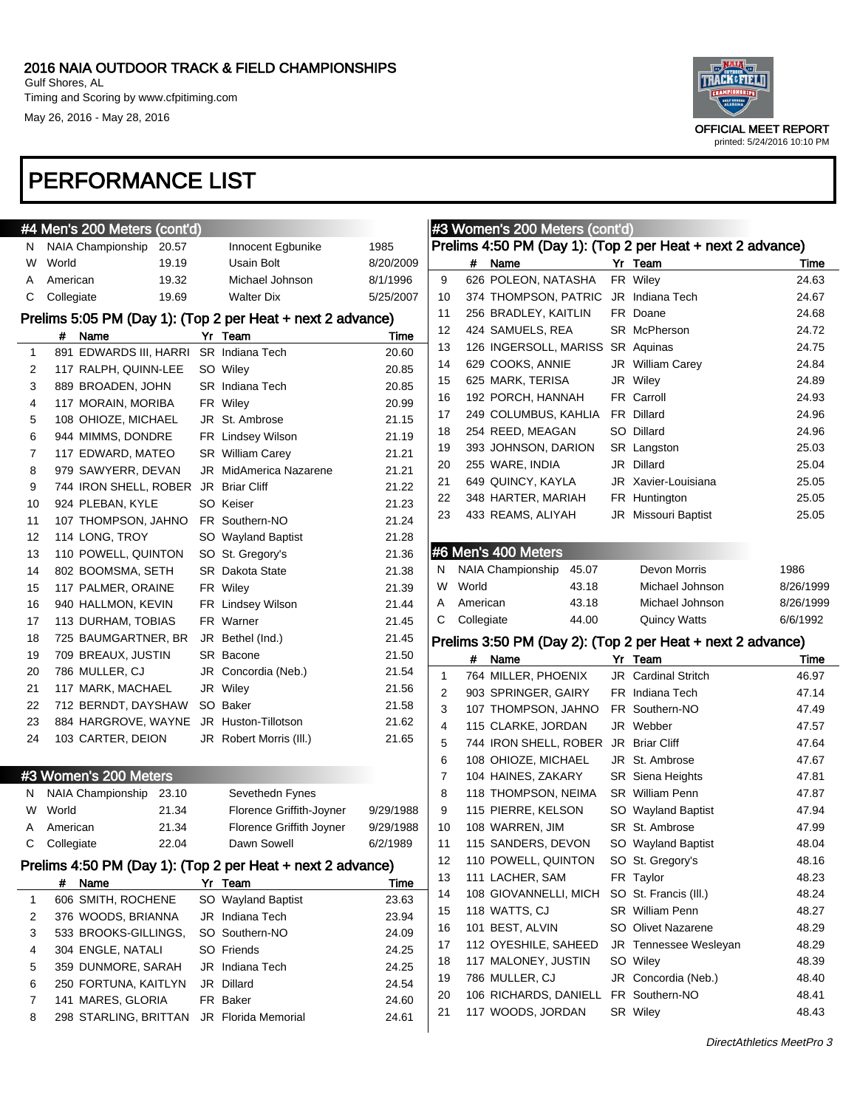Timing and Scoring by www.cfpitiming.com May 26, 2016 - May 28, 2016



|    | #4 Men's 200 Meters (cont'd)         |       |                                                            |           | #3 Wc  |                         |
|----|--------------------------------------|-------|------------------------------------------------------------|-----------|--------|-------------------------|
| N  | NAIA Championship                    | 20.57 | Innocent Egbunike                                          | 1985      | Prelim |                         |
| W  | World                                | 19.19 | Usain Bolt                                                 | 8/20/2009 |        |                         |
| A  | American                             | 19.32 | Michael Johnson                                            | 8/1/1996  | 9      | 6                       |
| С  | Collegiate                           | 19.69 | <b>Walter Dix</b>                                          | 5/25/2007 | 10     | 3                       |
|    |                                      |       | Prelims 5:05 PM (Day 1): (Top 2 per Heat + next 2 advance) |           | 11     | 2                       |
|    | Name<br>#                            |       | Yr Team                                                    | Time      | 12     | 4                       |
| 1  | 891 EDWARDS III, HARRI               |       | <b>SR</b> Indiana Tech                                     | 20.60     | 13     | 1                       |
| 2  | 117 RALPH, QUINN-LEE                 |       | SO Wiley                                                   | 20.85     | 14     | 6                       |
| 3  | 889 BROADEN, JOHN                    |       | <b>SR</b> Indiana Tech                                     | 20.85     | 15     | 6                       |
| 4  | 117 MORAIN, MORIBA                   |       | FR Wiley                                                   | 20.99     | 16     | 1                       |
| 5  | 108 OHIOZE, MICHAEL                  |       | JR St. Ambrose                                             | 21.15     | 17     | $\overline{\mathbf{c}}$ |
| 6  | 944 MIMMS, DONDRE                    |       | FR Lindsey Wilson                                          | 21.19     | 18     | $\overline{\mathbf{c}}$ |
| 7  | 117 EDWARD, MATEO                    |       | SR William Carey                                           | 21.21     | 19     | 3                       |
| 8  | 979 SAWYERR, DEVAN                   |       | JR MidAmerica Nazarene                                     | 21.21     | 20     | 2                       |
| 9  | 744 IRON SHELL, ROBER JR Briar Cliff |       |                                                            | 21.22     | 21     | 6                       |
| 10 | 924 PLEBAN, KYLE                     |       | SO Keiser                                                  | 21.23     | 22     | 3                       |
| 11 | 107 THOMPSON, JAHNO                  |       | FR Southern-NO                                             | 21.24     | 23     | 4                       |
| 12 | 114 LONG, TROY                       |       | SO Wayland Baptist                                         | 21.28     |        |                         |
| 13 | 110 POWELL, QUINTON                  |       | SO St. Gregory's                                           | 21.36     | #6 Me  |                         |
| 14 | 802 BOOMSMA, SETH                    |       | <b>SR</b> Dakota State                                     | 21.38     | N      | NA                      |
| 15 | 117 PALMER, ORAINE                   |       | FR Wiley                                                   | 21.39     | W      | W                       |
| 16 | 940 HALLMON, KEVIN                   |       | FR Lindsey Wilson                                          | 21.44     | A      | An                      |
| 17 | 113 DURHAM, TOBIAS                   |       | FR Warner                                                  | 21.45     | С      | Cc                      |
| 18 | 725 BAUMGARTNER, BR                  |       | JR Bethel (Ind.)                                           | 21.45     | Prelim |                         |
| 19 | 709 BREAUX, JUSTIN                   |       | SR Bacone                                                  | 21.50     |        |                         |
| 20 | 786 MULLER, CJ                       |       | JR Concordia (Neb.)                                        | 21.54     | 1      | 7                       |
| 21 | 117 MARK, MACHAEL                    |       | JR Wiley                                                   | 21.56     | 2      | 9                       |
| 22 | 712 BERNDT, DAYSHAW                  |       | SO Baker                                                   | 21.58     | 3      | 1                       |
| 23 | 884 HARGROVE, WAYNE                  |       | JR Huston-Tillotson                                        | 21.62     | 4      | 1                       |
| 24 | 103 CARTER, DEION                    |       | JR Robert Morris (III.)                                    | 21.65     | 5      | 7                       |
|    |                                      |       |                                                            |           | 6      | 1                       |
|    | #3 Women's 200 Meters                |       |                                                            |           | 7      | 1                       |
| Ν  | NAIA Championship                    | 23.10 | Sevethedn Fynes                                            |           | 8      | 1                       |
| W  | World                                | 21.34 | Florence Griffith-Joyner                                   | 9/29/1988 | 9      | 1                       |
| Α  | American                             | 21.34 | Florence Griffith Joyner                                   | 9/29/1988 | 10     | 1                       |
| С  | Collegiate                           | 22.04 | Dawn Sowell                                                | 6/2/1989  | 11     | 1                       |
|    |                                      |       | Prelims 4:50 PM (Day 1): (Top 2 per Heat + next 2 advance) |           | 12     | 1                       |
|    | Name<br>#                            |       | Yr Team                                                    | Time      | 13     | 1                       |
| 1  | 606 SMITH, ROCHENE                   |       | SO Wayland Baptist                                         | 23.63     | 14     | 1                       |
| 2  | 376 WOODS, BRIANNA                   |       | JR Indiana Tech                                            | 23.94     | 15     | 1                       |
| 3  | 533 BROOKS-GILLINGS,                 |       | SO Southern-NO                                             | 24.09     | 16     | 1                       |
| 4  | 304 ENGLE, NATALI                    |       | SO Friends                                                 | 24.25     | 17     | 1                       |
| 5  | 359 DUNMORE, SARAH                   |       | JR Indiana Tech                                            | 24.25     | 18     | 1                       |
| 6  | 250 FORTUNA, KAITLYN                 |       | JR Dillard                                                 | 24.54     | 19     | 7                       |
| 7  | 141 MARES, GLORIA                    |       | FR Baker                                                   | 24.60     | 20     | 1                       |
| 8  | 298 STARLING, BRITTAN                |       | JR Florida Memorial                                        | 24.61     | 21     | 1                       |
|    |                                      |       |                                                            |           |        |                         |

|    | #3 Women's 200 Meters (cont'd) |                                      |  |                                                            |               |  |  |  |  |  |  |
|----|--------------------------------|--------------------------------------|--|------------------------------------------------------------|---------------|--|--|--|--|--|--|
|    |                                |                                      |  | Prelims 4:50 PM (Day 1): (Top 2 per Heat + next 2 advance) |               |  |  |  |  |  |  |
|    | #                              | Name                                 |  | Yr Team                                                    | Time          |  |  |  |  |  |  |
| 9  |                                | 626 POLEON, NATASHA                  |  | FR Wiley                                                   | 24.63         |  |  |  |  |  |  |
| 10 |                                | 374 THOMPSON, PATRIC JR Indiana Tech |  |                                                            | 24.67         |  |  |  |  |  |  |
| 11 |                                | 256 BRADLEY, KAITLIN                 |  | FR Doane                                                   | 24.68         |  |  |  |  |  |  |
| 12 |                                | 424 SAMUELS, REA                     |  | SR McPherson                                               | 24.72         |  |  |  |  |  |  |
| 13 |                                | 126 INGERSOLL, MARISS SR Aquinas     |  |                                                            | 24.75         |  |  |  |  |  |  |
| 14 |                                | 629 COOKS, ANNIE                     |  | <b>JR</b> William Carey                                    | 24.84         |  |  |  |  |  |  |
| 15 |                                | 625 MARK, TERISA                     |  | JR Wiley                                                   | 24.89         |  |  |  |  |  |  |
| 16 |                                | 192 PORCH, HANNAH                    |  | FR Carroll                                                 | 24.93         |  |  |  |  |  |  |
| 17 |                                | 249 COLUMBUS, KAHLIA FR Dillard      |  |                                                            | 24.96         |  |  |  |  |  |  |
| 18 |                                | 254 REED, MEAGAN                     |  | SO Dillard                                                 | 24.96         |  |  |  |  |  |  |
| 19 |                                | 393 JOHNSON, DARION                  |  | SR Langston                                                | 25.03         |  |  |  |  |  |  |
| 20 |                                | 255 WARE, INDIA                      |  | JR Dillard                                                 | 25.04         |  |  |  |  |  |  |
| 21 |                                | 649 QUINCY, KAYLA                    |  | JR Xavier-Louisiana                                        | 25.05         |  |  |  |  |  |  |
| 22 |                                | 348 HARTER, MARIAH                   |  | FR Huntington                                              | 25.05         |  |  |  |  |  |  |
| 23 |                                | 433 REAMS, ALIYAH                    |  | JR Missouri Baptist                                        | 25.05         |  |  |  |  |  |  |
|    |                                |                                      |  |                                                            |               |  |  |  |  |  |  |
|    |                                | #6 Men's 400 Meters                  |  |                                                            |               |  |  |  |  |  |  |
| N  |                                | NAIA Championship<br>45.07           |  | Devon Morris                                               | 1986          |  |  |  |  |  |  |
| W  | World                          | 43.18                                |  | Michael Johnson                                            | 8/26/1999     |  |  |  |  |  |  |
| A  | American                       | 43.18                                |  | Michael Johnson                                            | 8/26/1999     |  |  |  |  |  |  |
| С  | Collegiate                     | 44.00                                |  | <b>Quincy Watts</b>                                        | 6/6/1992      |  |  |  |  |  |  |
|    |                                |                                      |  |                                                            |               |  |  |  |  |  |  |
|    |                                |                                      |  | Prelims 3:50 PM (Day 2): (Top 2 per Heat + next 2 advance) |               |  |  |  |  |  |  |
| 1  | #                              | Name<br>764 MILLER, PHOENIX          |  | Yr Team<br>JR Cardinal Stritch                             | Time<br>46.97 |  |  |  |  |  |  |
| 2  |                                | 903 SPRINGER, GAIRY                  |  | FR Indiana Tech                                            | 47.14         |  |  |  |  |  |  |
| 3  |                                | 107 THOMPSON, JAHNO                  |  | FR Southern-NO                                             |               |  |  |  |  |  |  |
|    |                                |                                      |  |                                                            | 47.49         |  |  |  |  |  |  |
| 4  |                                | 115 CLARKE, JORDAN                   |  | JR Webber                                                  | 47.57         |  |  |  |  |  |  |
| 5  |                                | 744 IRON SHELL, ROBER                |  | JR Briar Cliff                                             | 47.64         |  |  |  |  |  |  |
| 6  |                                | 108 OHIOZE, MICHAEL                  |  | JR St. Ambrose                                             | 47.67         |  |  |  |  |  |  |
| 7  |                                | 104 HAINES, ZAKARY                   |  | SR Siena Heights                                           | 47.81         |  |  |  |  |  |  |
| 8  |                                | 118 THOMPSON, NEIMA                  |  | <b>SR</b> William Penn                                     | 47.87         |  |  |  |  |  |  |
| 9  |                                | 115 PIERRE, KELSON                   |  | SO Wayland Baptist                                         | 47.94         |  |  |  |  |  |  |
| 10 |                                | 108 WARREN, JIM                      |  | SR St. Ambrose                                             | 47.99         |  |  |  |  |  |  |
| 11 |                                | 115 SANDERS, DEVON                   |  | SO Wayland Baptist                                         | 48.04         |  |  |  |  |  |  |
| 12 |                                | 110 POWELL, QUINTON                  |  | SO St. Gregory's                                           | 48.16         |  |  |  |  |  |  |
| 13 |                                | 111 LACHER, SAM                      |  | FR Taylor                                                  | 48.23         |  |  |  |  |  |  |
| 14 |                                | 108 GIOVANNELLI, MICH                |  | SO St. Francis (III.)                                      | 48.24         |  |  |  |  |  |  |
| 15 |                                | 118 WATTS, CJ                        |  | SR William Penn                                            | 48.27         |  |  |  |  |  |  |
| 16 |                                | 101 BEST, ALVIN                      |  | SO Olivet Nazarene                                         | 48.29         |  |  |  |  |  |  |
| 17 |                                | 112 OYESHILE, SAHEED                 |  | JR Tennessee Wesleyan                                      | 48.29         |  |  |  |  |  |  |
| 18 |                                | 117 MALONEY, JUSTIN                  |  | SO Wiley                                                   | 48.39         |  |  |  |  |  |  |
| 19 |                                | 786 MULLER, CJ                       |  | JR Concordia (Neb.)                                        | 48.40         |  |  |  |  |  |  |
| 20 |                                | 106 RICHARDS, DANIELL                |  | FR Southern-NO                                             | 48.41         |  |  |  |  |  |  |
|    |                                | 117 WOODS, JORDAN                    |  | SR Wiley                                                   | 48.43         |  |  |  |  |  |  |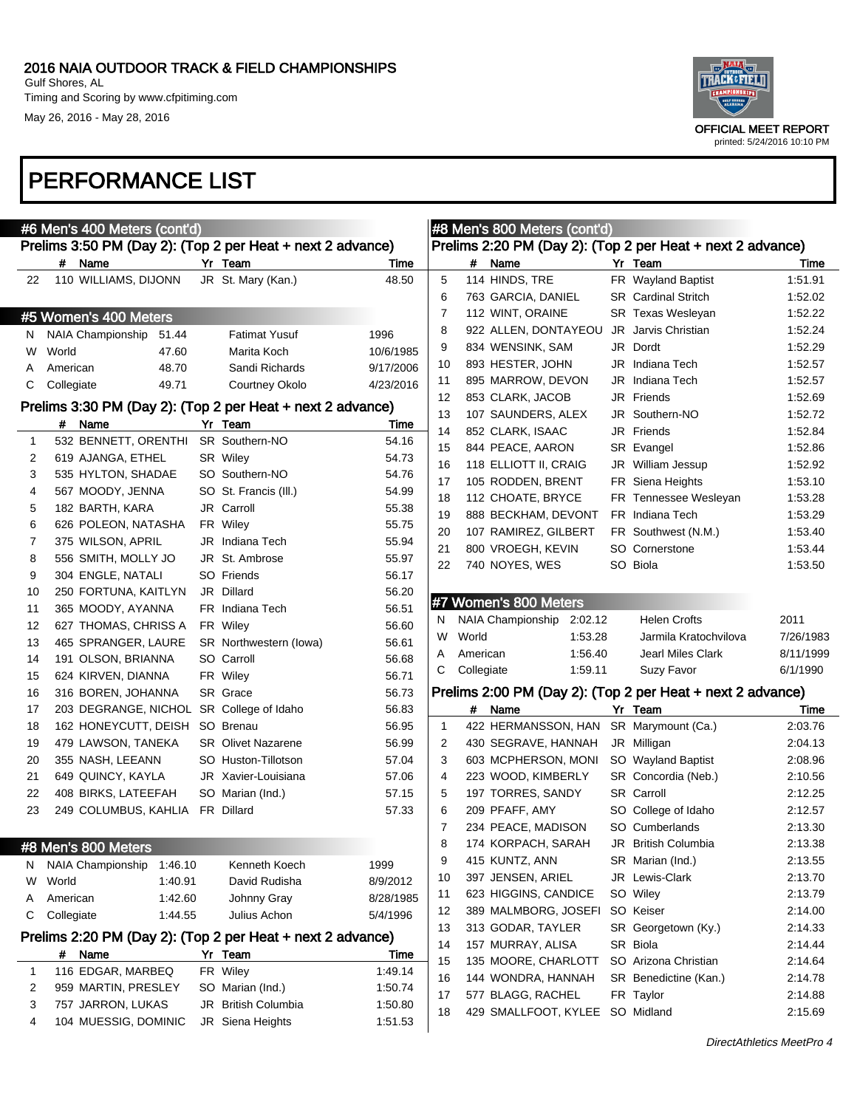Timing and Scoring by www.cfpitiming.com May 26, 2016 - May 28, 2016



|    | #6 Men's 400 Meters (cont'd)                               | #8 Men's 800 Meters (cont'd) |           |              |            |                       |         |    |                                                            |           |
|----|------------------------------------------------------------|------------------------------|-----------|--------------|------------|-----------------------|---------|----|------------------------------------------------------------|-----------|
|    | Prelims 3:50 PM (Day 2): (Top 2 per Heat + next 2 advance) |                              |           |              |            |                       |         |    | Prelims 2:20 PM (Day 2): (Top 2 per Heat + next 2 advance) |           |
|    | # Name                                                     | Yr Team                      | Time      |              | #          | Name                  |         |    | Yr Team                                                    | Time      |
| 22 | 110 WILLIAMS, DIJONN                                       | JR St. Mary (Kan.)           | 48.50     | 5            |            | 114 HINDS, TRE        |         |    | FR Wayland Baptist                                         | 1:51.91   |
|    |                                                            |                              |           | 6            |            | 763 GARCIA, DANIEL    |         |    | <b>SR</b> Cardinal Stritch                                 | 1:52.02   |
|    | #5 Women's 400 Meters                                      |                              |           | 7            |            | 112 WINT, ORAINE      |         |    | <b>SR</b> Texas Wesleyan                                   | 1:52.22   |
| N. | NAIA Championship<br>51.44                                 | <b>Fatimat Yusuf</b>         | 1996      | 8            |            | 922 ALLEN, DONTAYEOU  |         | JR | Jarvis Christian                                           | 1:52.24   |
| W  | World<br>47.60                                             | Marita Koch                  | 10/6/1985 | 9            |            | 834 WENSINK, SAM      |         |    | JR Dordt                                                   | 1:52.29   |
| A  | 48.70<br>American                                          | Sandi Richards               | 9/17/2006 | 10           |            | 893 HESTER, JOHN      |         |    | JR Indiana Tech                                            | 1:52.57   |
| С  | Collegiate<br>49.71                                        | Courtney Okolo               | 4/23/2016 | 11           |            | 895 MARROW, DEVON     |         |    | JR Indiana Tech                                            | 1:52.57   |
|    |                                                            |                              |           | 12           |            | 853 CLARK, JACOB      |         |    | JR Friends                                                 | 1:52.69   |
|    | Prelims 3:30 PM (Day 2): (Top 2 per Heat + next 2 advance) |                              |           | 13           |            | 107 SAUNDERS, ALEX    |         |    | JR Southern-NO                                             | 1:52.72   |
|    | # Name                                                     | Yr Team                      | Time      | 14           |            | 852 CLARK, ISAAC      |         |    | JR Friends                                                 | 1:52.84   |
| 1  | 532 BENNETT, ORENTHI                                       | SR Southern-NO               | 54.16     | 15           |            | 844 PEACE, AARON      |         |    | SR Evangel                                                 | 1:52.86   |
| 2  | 619 AJANGA, ETHEL                                          | SR Wiley                     | 54.73     | 16           |            | 118 ELLIOTT II, CRAIG |         |    | JR William Jessup                                          | 1:52.92   |
| 3  | 535 HYLTON, SHADAE                                         | SO Southern-NO               | 54.76     | 17           |            | 105 RODDEN, BRENT     |         |    | FR Siena Heights                                           | 1:53.10   |
| 4  | 567 MOODY, JENNA                                           | SO St. Francis (III.)        | 54.99     | 18           |            | 112 CHOATE, BRYCE     |         |    | FR Tennessee Wesleyan                                      | 1:53.28   |
| 5  | 182 BARTH, KARA                                            | JR Carroll                   | 55.38     | 19           |            | 888 BECKHAM, DEVONT   |         |    | FR Indiana Tech                                            | 1:53.29   |
| 6  | 626 POLEON, NATASHA                                        | FR Wiley                     | 55.75     | 20           |            | 107 RAMIREZ, GILBERT  |         |    | FR Southwest (N.M.)                                        | 1:53.40   |
| 7  | 375 WILSON, APRIL                                          | JR Indiana Tech              | 55.94     | 21           |            | 800 VROEGH, KEVIN     |         |    | SO Cornerstone                                             | 1:53.44   |
| 8  | 556 SMITH, MOLLY JO                                        | JR St. Ambrose               | 55.97     | 22           |            | 740 NOYES, WES        |         |    | SO Biola                                                   | 1:53.50   |
| 9  | 304 ENGLE, NATALI                                          | SO Friends                   | 56.17     |              |            |                       |         |    |                                                            |           |
| 10 | 250 FORTUNA, KAITLYN                                       | JR Dillard                   | 56.20     |              |            | #7 Women's 800 Meters |         |    |                                                            |           |
| 11 | 365 MOODY, AYANNA                                          | FR Indiana Tech              | 56.51     | N            |            | NAIA Championship     | 2:02.12 |    | <b>Helen Crofts</b>                                        | 2011      |
| 12 | 627 THOMAS, CHRISS A                                       | FR Wiley                     | 56.60     | W            | World      |                       | 1:53.28 |    | Jarmila Kratochvilova                                      | 7/26/1983 |
| 13 | 465 SPRANGER, LAURE                                        | SR Northwestern (lowa)       | 56.61     | A            |            |                       | 1:56.40 |    | Jearl Miles Clark                                          |           |
| 14 | 191 OLSON, BRIANNA                                         | SO Carroll                   | 56.68     | C            | American   |                       |         |    |                                                            | 8/11/1999 |
| 15 | 624 KIRVEN, DIANNA                                         | FR Wiley                     | 56.71     |              | Collegiate |                       | 1:59.11 |    | Suzy Favor                                                 | 6/1/1990  |
| 16 | 316 BOREN, JOHANNA                                         | SR Grace                     | 56.73     |              |            |                       |         |    | Prelims 2:00 PM (Day 2): (Top 2 per Heat + next 2 advance) |           |
| 17 | 203 DEGRANGE, NICHOL                                       | SR College of Idaho          | 56.83     |              |            | # Name                |         |    | Yr Team                                                    | Time      |
| 18 | 162 HONEYCUTT, DEISH SO Brenau                             |                              | 56.95     | $\mathbf{1}$ |            | 422 HERMANSSON, HAN   |         |    | SR Marymount (Ca.)                                         | 2:03.76   |
| 19 | 479 LAWSON, TANEKA                                         | <b>SR</b> Olivet Nazarene    | 56.99     | 2            |            | 430 SEGRAVE, HANNAH   |         |    | JR Milligan                                                | 2:04.13   |
| 20 | 355 NASH, LEEANN                                           | SO Huston-Tillotson          | 57.04     | 3            |            | 603 MCPHERSON, MONI   |         |    | SO Wayland Baptist                                         | 2:08.96   |
| 21 | 649 QUINCY, KAYLA                                          | JR Xavier-Louisiana          | 57.06     | 4            |            | 223 WOOD, KIMBERLY    |         |    | SR Concordia (Neb.)                                        | 2:10.56   |
| 22 | 408 BIRKS, LATEEFAH                                        | SO Marian (Ind.)             | 57.15     | 5            |            | 197 TORRES, SANDY     |         |    | <b>SR</b> Carroll                                          | 2:12.25   |
| 23 | 249 COLUMBUS, KAHLIA                                       | FR Dillard                   | 57.33     | 6            |            | 209 PFAFF, AMY        |         |    | SO College of Idaho                                        | 2:12.57   |
|    |                                                            |                              |           | 7            |            | 234 PEACE, MADISON    |         |    | SO Cumberlands                                             | 2:13.30   |
|    | #8 Men's 800 Meters                                        |                              |           | 8            |            | 174 KORPACH, SARAH    |         |    | JR British Columbia                                        | 2:13.38   |
| N. | NAIA Championship<br>1:46.10                               | Kenneth Koech                | 1999      | 9            |            | 415 KUNTZ, ANN        |         |    | SR Marian (Ind.)                                           | 2:13.55   |
| W  | World<br>1:40.91                                           | David Rudisha                | 8/9/2012  | 10           |            | 397 JENSEN, ARIEL     |         |    | JR Lewis-Clark                                             | 2:13.70   |
| A  | 1:42.60<br>American                                        | Johnny Gray                  | 8/28/1985 | 11           |            | 623 HIGGINS, CANDICE  |         |    | SO Wiley                                                   | 2:13.79   |
| С  | Collegiate<br>1:44.55                                      | Julius Achon                 | 5/4/1996  | 12           |            | 389 MALMBORG, JOSEFI  |         |    | SO Keiser                                                  | 2:14.00   |
|    |                                                            |                              |           | 13           |            | 313 GODAR, TAYLER     |         |    | SR Georgetown (Ky.)                                        | 2:14.33   |
|    | Prelims 2:20 PM (Day 2): (Top 2 per Heat + next 2 advance) |                              |           | 14           |            | 157 MURRAY, ALISA     |         |    | SR Biola                                                   | 2:14.44   |
|    | # Name                                                     | Yr Team                      | Time      | 15           |            | 135 MOORE, CHARLOTT   |         |    | SO Arizona Christian                                       | 2:14.64   |
| 1  | 116 EDGAR, MARBEQ                                          | FR Wiley                     | 1:49.14   | 16           |            | 144 WONDRA, HANNAH    |         |    | SR Benedictine (Kan.)                                      | 2:14.78   |
| 2  | 959 MARTIN, PRESLEY                                        | SO Marian (Ind.)             | 1:50.74   | 17           |            | 577 BLAGG, RACHEL     |         |    | FR Taylor                                                  | 2:14.88   |
| 3  | 757 JARRON, LUKAS                                          | JR British Columbia          | 1:50.80   | 18           |            | 429 SMALLFOOT, KYLEE  |         |    | SO Midland                                                 | 2:15.69   |
| 4  | 104 MUESSIG, DOMINIC                                       | JR Siena Heights             | 1:51.53   |              |            |                       |         |    |                                                            |           |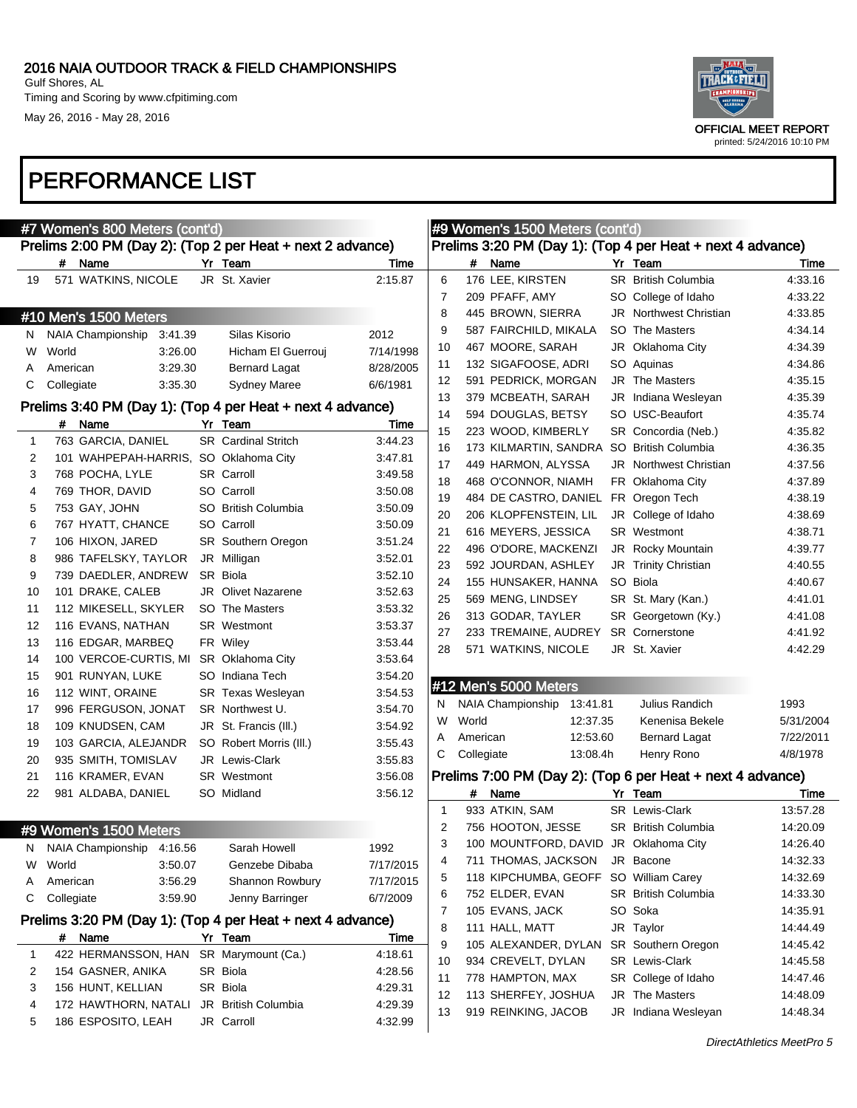

|    |            | #7 Women's 800 Meters (cont'd)        |                                                                       |           |              |            | #9 Women's 1500 Meters (cont'd)       |          |                                                            |                  |
|----|------------|---------------------------------------|-----------------------------------------------------------------------|-----------|--------------|------------|---------------------------------------|----------|------------------------------------------------------------|------------------|
|    |            |                                       | Prelims 2:00 PM (Day 2): (Top 2 per Heat + next 2 advance)            |           |              |            |                                       |          | Prelims 3:20 PM (Day 1): (Top 4 per Heat + next 4 advance) |                  |
|    |            | # Name                                | Yr Team                                                               | Time      |              |            | # Name                                |          | Yr Team                                                    | Time             |
| 19 |            | 571 WATKINS, NICOLE                   | JR St. Xavier                                                         | 2:15.87   | 6            |            | 176 LEE, KIRSTEN                      |          | <b>SR</b> British Columbia                                 | 4:33.16          |
|    |            |                                       |                                                                       |           | 7            |            | 209 PFAFF, AMY                        |          | SO College of Idaho                                        | 4:33.22          |
|    |            | #10 Men's 1500 Meters                 |                                                                       |           | 8            |            | 445 BROWN, SIERRA                     |          | <b>JR</b> Northwest Christian                              | 4:33.85          |
| N. |            | NAIA Championship 3:41.39             | Silas Kisorio                                                         | 2012      | 9            |            | 587 FAIRCHILD, MIKALA                 |          | SO The Masters                                             | 4:34.14          |
| W  | World      | 3:26.00                               | Hicham El Guerrouj                                                    | 7/14/1998 | 10           |            | 467 MOORE, SARAH                      |          | JR Oklahoma City                                           | 4:34.39          |
| A  | American   | 3:29.30                               | Bernard Lagat                                                         | 8/28/2005 | 11           |            | 132 SIGAFOOSE, ADRI                   |          | SO Aquinas                                                 | 4:34.86          |
| С  | Collegiate | 3:35.30                               | <b>Sydney Maree</b>                                                   | 6/6/1981  | 12           |            | 591 PEDRICK, MORGAN                   |          | <b>JR</b> The Masters                                      | 4:35.15          |
|    |            |                                       |                                                                       |           | 13           |            | 379 MCBEATH, SARAH                    |          | JR Indiana Wesleyan                                        | 4:35.39          |
|    |            | # Name                                | Prelims 3:40 PM (Day 1): (Top 4 per Heat + next 4 advance)<br>Yr Team | Time      | 14           |            | 594 DOUGLAS, BETSY                    |          | SO USC-Beaufort                                            | 4:35.74          |
| 1  |            | 763 GARCIA, DANIEL                    | <b>SR</b> Cardinal Stritch                                            | 3:44.23   | 15           |            | 223 WOOD, KIMBERLY                    |          | SR Concordia (Neb.)                                        | 4:35.82          |
| 2  |            | 101 WAHPEPAH-HARRIS, SO Oklahoma City |                                                                       | 3:47.81   | 16           |            |                                       |          | 173 KILMARTIN, SANDRA SO British Columbia                  | 4:36.35          |
| 3  |            | 768 POCHA, LYLE                       | <b>SR</b> Carroll                                                     | 3:49.58   | 17           |            | 449 HARMON, ALYSSA                    |          | <b>JR</b> Northwest Christian                              | 4:37.56          |
| 4  |            | 769 THOR, DAVID                       | SO Carroll                                                            | 3:50.08   | 18           |            | 468 O'CONNOR, NIAMH                   |          | FR Oklahoma City                                           | 4:37.89          |
| 5  |            | 753 GAY, JOHN                         | SO British Columbia                                                   | 3:50.09   | 19           |            | 484 DE CASTRO, DANIEL FR Oregon Tech  |          |                                                            | 4:38.19          |
|    |            |                                       |                                                                       |           | 20           |            | 206 KLOPFENSTEIN, LIL                 |          | JR College of Idaho                                        | 4:38.69          |
| 6  |            | 767 HYATT, CHANCE                     | SO Carroll                                                            | 3:50.09   | 21           |            | 616 MEYERS, JESSICA                   |          | <b>SR</b> Westmont                                         | 4:38.71          |
| 7  |            | 106 HIXON, JARED                      | SR Southern Oregon                                                    | 3.51.24   | 22           |            | 496 O'DORE, MACKENZI                  |          | <b>JR</b> Rocky Mountain                                   | 4:39.77          |
| 8  |            | 986 TAFELSKY, TAYLOR                  | JR Milligan                                                           | 3:52.01   | 23           |            | 592 JOURDAN, ASHLEY                   |          | JR Trinity Christian                                       | 4:40.55          |
| 9  |            | 739 DAEDLER, ANDREW                   | SR Biola                                                              | 3:52.10   | 24           |            | 155 HUNSAKER, HANNA                   |          | SO Biola                                                   | 4:40.67          |
| 10 |            | 101 DRAKE, CALEB                      | <b>JR</b> Olivet Nazarene                                             | 3.52.63   | 25           |            | 569 MENG, LINDSEY                     |          | SR St. Mary (Kan.)                                         | 4:41.01          |
| 11 |            | 112 MIKESELL, SKYLER                  | SO The Masters                                                        | 3.53.32   | 26           |            | 313 GODAR, TAYLER                     |          | SR Georgetown (Ky.)                                        | 4:41.08          |
| 12 |            | 116 EVANS, NATHAN                     | <b>SR</b> Westmont                                                    | 3.53.37   | 27           |            | 233 TREMAINE, AUDREY                  |          | <b>SR</b> Cornerstone                                      | 4:41.92          |
| 13 |            | 116 EDGAR, MARBEQ                     | FR Wiley                                                              | 3.53.44   | 28           |            | 571 WATKINS, NICOLE                   |          | JR St. Xavier                                              | 4:42.29          |
| 14 |            | 100 VERCOE-CURTIS, MI                 | SR Oklahoma City                                                      | 3.53.64   |              |            |                                       |          |                                                            |                  |
| 15 |            | 901 RUNYAN, LUKE                      | SO Indiana Tech                                                       | 3:54.20   |              |            | #12 Men's 5000 Meters                 |          |                                                            |                  |
| 16 |            | 112 WINT, ORAINE                      | <b>SR Texas Wesleyan</b>                                              | 3:54.53   | N            |            | NAIA Championship                     | 13:41.81 | Julius Randich                                             | 1993             |
| 17 |            | 996 FERGUSON, JONAT                   | SR Northwest U.                                                       | 3:54.70   | W            | World      |                                       | 12:37.35 | Kenenisa Bekele                                            | 5/31/2004        |
| 18 |            | 109 KNUDSEN, CAM                      | JR St. Francis (III.)                                                 | 3:54.92   | Α            | American   |                                       | 12:53.60 | <b>Bernard Lagat</b>                                       | 7/22/2011        |
| 19 |            | 103 GARCIA, ALEJANDR                  | SO Robert Morris (III.)                                               | 3:55.43   | С            | Collegiate |                                       | 13:08.4h | Henry Rono                                                 | 4/8/1978         |
| 20 |            | 935 SMITH, TOMISLAV                   | JR Lewis-Clark                                                        | 3.55.83   |              |            |                                       |          |                                                            |                  |
| 21 |            | 116 KRAMER, EVAN                      | <b>SR</b> Westmont                                                    | 3:56.08   |              |            |                                       |          | Prelims 7:00 PM (Day 2): (Top 6 per Heat + next 4 advance) |                  |
| 22 |            | 981 ALDABA, DANIEL                    | SO Midland                                                            | 3.56.12   | $\mathbf{1}$ | #          | Name<br>933 ATKIN, SAM                |          | Yr Team<br>SR Lewis-Clark                                  | Time<br>13:57.28 |
|    |            |                                       |                                                                       |           | 2            |            | 756 HOOTON, JESSE                     |          | <b>SR</b> British Columbia                                 | 14:20.09         |
|    |            | #9 Women's 1500 Meters                |                                                                       |           | 3            |            | 100 MOUNTFORD, DAVID JR Oklahoma City |          |                                                            | 14:26.40         |
| N  |            | NAIA Championship<br>4:16.56          | Sarah Howell                                                          | 1992      | 4            |            | 711 THOMAS, JACKSON                   |          | JR Bacone                                                  | 14:32.33         |
| W  | World      | 3:50.07                               | Genzebe Dibaba                                                        | 7/17/2015 | 5            |            | 118 KIPCHUMBA, GEOFF SO William Carey |          |                                                            | 14:32.69         |
| Α  | American   | 3:56.29                               | Shannon Rowbury                                                       | 7/17/2015 | 6            |            | 752 ELDER, EVAN                       |          | SR British Columbia                                        | 14:33.30         |
| С  | Collegiate | 3:59.90                               | Jenny Barringer                                                       | 6/7/2009  | 7            |            | 105 EVANS, JACK                       |          | SO Soka                                                    | 14:35.91         |
|    |            |                                       | Prelims 3:20 PM (Day 1): (Top 4 per Heat + next 4 advance)            |           | 8            |            | 111 HALL, MATT                        |          | JR Taylor                                                  | 14:44.49         |
|    |            | # Name                                | Yr Team                                                               | Time      | 9            |            | 105 ALEXANDER, DYLAN                  |          | SR Southern Oregon                                         | 14:45.42         |
| 1  |            | 422 HERMANSSON, HAN                   | SR Marymount (Ca.)                                                    | 4:18.61   | 10           |            | 934 CREVELT, DYLAN                    |          | SR Lewis-Clark                                             | 14:45.58         |
| 2  |            | 154 GASNER, ANIKA                     | SR Biola                                                              | 4.28.56   | 11           |            | 778 HAMPTON, MAX                      |          | SR College of Idaho                                        | 14:47.46         |
| 3  |            | 156 HUNT, KELLIAN                     | SR Biola                                                              | 4:29.31   | 12           |            | 113 SHERFEY, JOSHUA                   |          | JR The Masters                                             | 14:48.09         |
| 4  |            | 172 HAWTHORN, NATALI                  | JR British Columbia                                                   | 4:29.39   | 13           |            | 919 REINKING, JACOB                   |          | JR Indiana Wesleyan                                        | 14:48.34         |
| 5  |            | 186 ESPOSITO, LEAH                    | JR Carroll                                                            | 4:32.99   |              |            |                                       |          |                                                            |                  |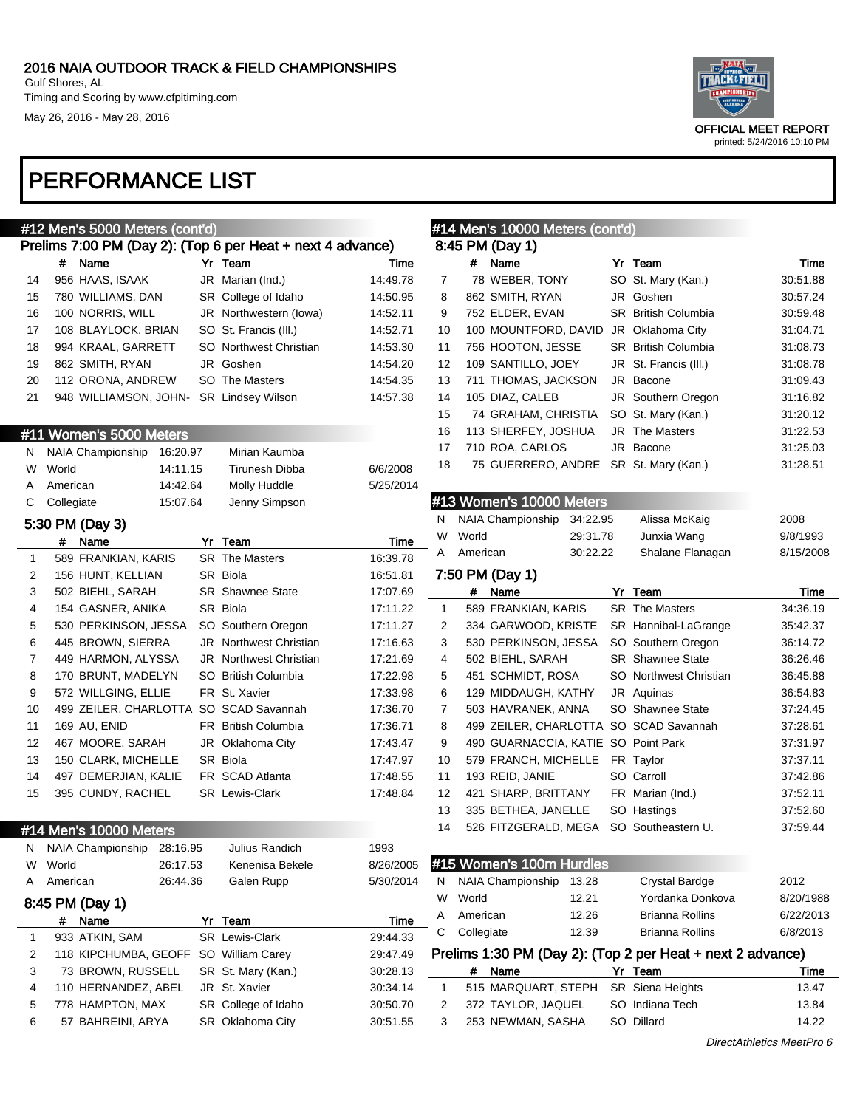Timing and Scoring by www.cfpitiming.com May 26, 2016 - May 28, 2016



|    |            | #12 Men's 5000 Meters (cont'd)                             |    |                                   |           | #14 Men's 10000 Meters (cont'd) |            |                                        |    |                                                            |           |
|----|------------|------------------------------------------------------------|----|-----------------------------------|-----------|---------------------------------|------------|----------------------------------------|----|------------------------------------------------------------|-----------|
|    |            | Prelims 7:00 PM (Day 2): (Top 6 per Heat + next 4 advance) |    |                                   |           |                                 |            | 8:45 PM (Day 1)                        |    |                                                            |           |
|    | #          | Name                                                       |    | Yr Team                           | Time      |                                 | #          | Name                                   | Yr | Team                                                       | Time      |
| 14 |            | 956 HAAS, ISAAK                                            |    | JR Marian (Ind.)                  | 14:49.78  | $\overline{7}$                  |            | 78 WEBER, TONY                         |    | SO St. Mary (Kan.)                                         | 30:51.88  |
| 15 |            | 780 WILLIAMS, DAN                                          |    | SR College of Idaho               | 14:50.95  | 8                               |            | 862 SMITH, RYAN                        |    | JR Goshen                                                  | 30:57.24  |
| 16 |            | 100 NORRIS, WILL                                           |    | JR Northwestern (lowa)            | 14:52.11  | 9                               |            | 752 ELDER, EVAN                        |    | <b>SR</b> British Columbia                                 | 30:59.48  |
| 17 |            | 108 BLAYLOCK, BRIAN                                        |    | SO St. Francis (III.)             | 14:52.71  | 10                              |            | 100 MOUNTFORD, DAVID                   |    | JR Oklahoma City                                           | 31:04.71  |
| 18 |            | 994 KRAAL, GARRETT                                         |    | SO Northwest Christian            | 14:53.30  | 11                              |            | 756 HOOTON, JESSE                      |    | <b>SR</b> British Columbia                                 | 31:08.73  |
| 19 |            | 862 SMITH, RYAN                                            |    | JR Goshen                         | 14:54.20  | 12                              |            | 109 SANTILLO, JOEY                     |    | JR St. Francis (III.)                                      | 31:08.78  |
| 20 |            | 112 ORONA, ANDREW                                          |    | SO The Masters                    | 14:54.35  | 13                              |            | 711 THOMAS, JACKSON                    |    | JR Bacone                                                  | 31:09.43  |
| 21 |            | 948 WILLIAMSON, JOHN-                                      |    | <b>SR Lindsey Wilson</b>          | 14:57.38  | 14                              |            | 105 DIAZ, CALEB                        |    | JR Southern Oregon                                         | 31:16.82  |
|    |            |                                                            |    |                                   |           | 15                              |            | 74 GRAHAM, CHRISTIA                    |    | SO St. Mary (Kan.)                                         | 31:20.12  |
|    |            | #11 Women's 5000 Meters                                    |    |                                   |           | 16                              |            | 113 SHERFEY, JOSHUA                    |    | <b>JR</b> The Masters                                      | 31:22.53  |
| N. |            | NAIA Championship<br>16:20.97                              |    | Mirian Kaumba                     |           | 17                              |            | 710 ROA, CARLOS                        |    | JR Bacone                                                  | 31:25.03  |
| W  | World      | 14:11.15                                                   |    | <b>Tirunesh Dibba</b>             | 6/6/2008  | 18                              |            | 75 GUERRERO, ANDRE SR St. Mary (Kan.)  |    |                                                            | 31:28.51  |
| A  | American   | 14:42.64                                                   |    | Molly Huddle                      | 5/25/2014 |                                 |            |                                        |    |                                                            |           |
| С  | Collegiate | 15:07.64                                                   |    | Jenny Simpson                     |           |                                 |            | #13 Women's 10000 Meters               |    |                                                            |           |
|    |            | 5:30 PM (Day 3)                                            |    |                                   |           | N                               |            | <b>NAIA Championship</b><br>34:22.95   |    | Alissa McKaig                                              | 2008      |
|    |            | # Name                                                     | Yr | Team                              | Time      | W                               | World      | 29:31.78                               |    | Junxia Wang                                                | 9/8/1993  |
| 1  |            | 589 FRANKIAN, KARIS                                        |    | SR The Masters                    | 16:39.78  | A                               | American   | 30:22.22                               |    | Shalane Flanagan                                           | 8/15/2008 |
| 2  |            | 156 HUNT, KELLIAN                                          |    | SR Biola                          | 16:51.81  |                                 |            | 7:50 PM (Day 1)                        |    |                                                            |           |
| 3  |            | 502 BIEHL, SARAH                                           |    | <b>SR</b> Shawnee State           | 17:07.69  |                                 | #          | Name                                   |    | Yr Team                                                    | Time      |
| 4  |            | 154 GASNER, ANIKA                                          |    | SR Biola                          | 17:11.22  | $\mathbf{1}$                    |            | 589 FRANKIAN, KARIS                    |    | <b>SR</b> The Masters                                      | 34:36.19  |
| 5  |            | 530 PERKINSON, JESSA                                       |    | SO Southern Oregon                | 17:11.27  | 2                               |            | 334 GARWOOD, KRISTE                    |    | SR Hannibal-LaGrange                                       | 35:42.37  |
| 6  |            | 445 BROWN, SIERRA                                          |    | <b>JR</b> Northwest Christian     | 17:16.63  | 3                               |            | 530 PERKINSON, JESSA                   |    | SO Southern Oregon                                         | 36:14.72  |
| 7  |            | 449 HARMON, ALYSSA                                         |    | <b>JR</b> Northwest Christian     | 17:21.69  | 4                               |            | 502 BIEHL, SARAH                       |    | <b>SR</b> Shawnee State                                    | 36:26.46  |
| 8  |            | 170 BRUNT, MADELYN                                         |    | SO British Columbia               | 17:22.98  | 5                               |            | 451 SCHMIDT, ROSA                      |    | SO Northwest Christian                                     | 36:45.88  |
| 9  |            | 572 WILLGING, ELLIE                                        |    | FR St. Xavier                     | 17:33.98  | 6                               |            | 129 MIDDAUGH, KATHY                    |    | JR Aquinas                                                 | 36:54.83  |
| 10 |            | 499 ZEILER, CHARLOTTA SO SCAD Savannah                     |    |                                   | 17:36.70  | 7                               |            | 503 HAVRANEK, ANNA                     |    | SO Shawnee State                                           | 37:24.45  |
| 11 |            | 169 AU, ENID                                               |    | FR British Columbia               | 17:36.71  | 8                               |            | 499 ZEILER, CHARLOTTA SO SCAD Savannah |    |                                                            | 37:28.61  |
| 12 |            | 467 MOORE, SARAH                                           |    | JR Oklahoma City                  | 17:43.47  | 9                               |            | 490 GUARNACCIA, KATIE SO Point Park    |    |                                                            | 37:31.97  |
| 13 |            | 150 CLARK, MICHELLE                                        |    | SR Biola                          | 17:47.97  | 10                              |            | 579 FRANCH, MICHELLE                   |    | FR Taylor                                                  | 37:37.11  |
| 14 |            | 497 DEMERJIAN, KALIE                                       |    | FR SCAD Atlanta                   | 17:48.55  | 11                              |            | 193 REID, JANIE                        |    | SO Carroll                                                 | 37:42.86  |
| 15 |            | 395 CUNDY, RACHEL                                          |    | <b>SR</b> Lewis-Clark             | 17:48.84  | 12                              |            | 421 SHARP, BRITTANY                    |    | FR Marian (Ind.)                                           | 37:52.11  |
|    |            |                                                            |    |                                   |           | 13                              |            | 335 BETHEA, JANELLE                    |    | SO Hastings                                                | 37:52.60  |
|    |            | #14 Men's 10000 Meters                                     |    |                                   |           | 14                              |            | 526 FITZGERALD, MEGA                   |    | SO Southeastern U.                                         | 37:59.44  |
|    |            |                                                            |    |                                   | 1993      |                                 |            |                                        |    |                                                            |           |
| w  | World      | N NAIA Championship 28:16.95<br>26:17.53                   |    | Julius Randich<br>Kenenisa Bekele | 8/26/2005 |                                 |            | #15 Women's 100m Hurdles               |    |                                                            |           |
|    |            | 26:44.36                                                   |    |                                   | 5/30/2014 |                                 |            | NAIA Championship<br>13.28             |    |                                                            | 2012      |
| A  | American   |                                                            |    | Galen Rupp                        |           | N.<br>W                         | World      | 12.21                                  |    | <b>Crystal Bardge</b><br>Yordanka Donkova                  | 8/20/1988 |
|    |            | 8:45 PM (Day 1)                                            |    |                                   |           |                                 | American   | 12.26                                  |    | Brianna Rollins                                            | 6/22/2013 |
|    |            | # Name                                                     |    | Yr Team                           | Time      | A<br>С                          | Collegiate | 12.39                                  |    | <b>Brianna Rollins</b>                                     | 6/8/2013  |
| 1  |            | 933 ATKIN, SAM                                             |    | SR Lewis-Clark                    | 29:44.33  |                                 |            |                                        |    |                                                            |           |
| 2  |            | 118 KIPCHUMBA, GEOFF SO William Carey                      |    |                                   | 29:47.49  |                                 |            |                                        |    | Prelims 1:30 PM (Day 2): (Top 2 per Heat + next 2 advance) |           |
| 3  |            | 73 BROWN, RUSSELL                                          |    | SR St. Mary (Kan.)                | 30:28.13  |                                 | #          | Name                                   |    | Yr Team                                                    | Time      |
| 4  |            | 110 HERNANDEZ, ABEL                                        |    | JR St. Xavier                     | 30:34.14  | -1                              |            | 515 MARQUART, STEPH                    |    | SR Siena Heights                                           | 13.47     |
| 5  |            | 778 HAMPTON, MAX                                           |    | SR College of Idaho               | 30:50.70  | 2                               |            | 372 TAYLOR, JAQUEL                     |    | SO Indiana Tech                                            | 13.84     |
| 6  |            | 57 BAHREINI, ARYA                                          |    | SR Oklahoma City                  | 30:51.55  | 3                               |            | 253 NEWMAN, SASHA                      |    | SO Dillard                                                 | 14.22     |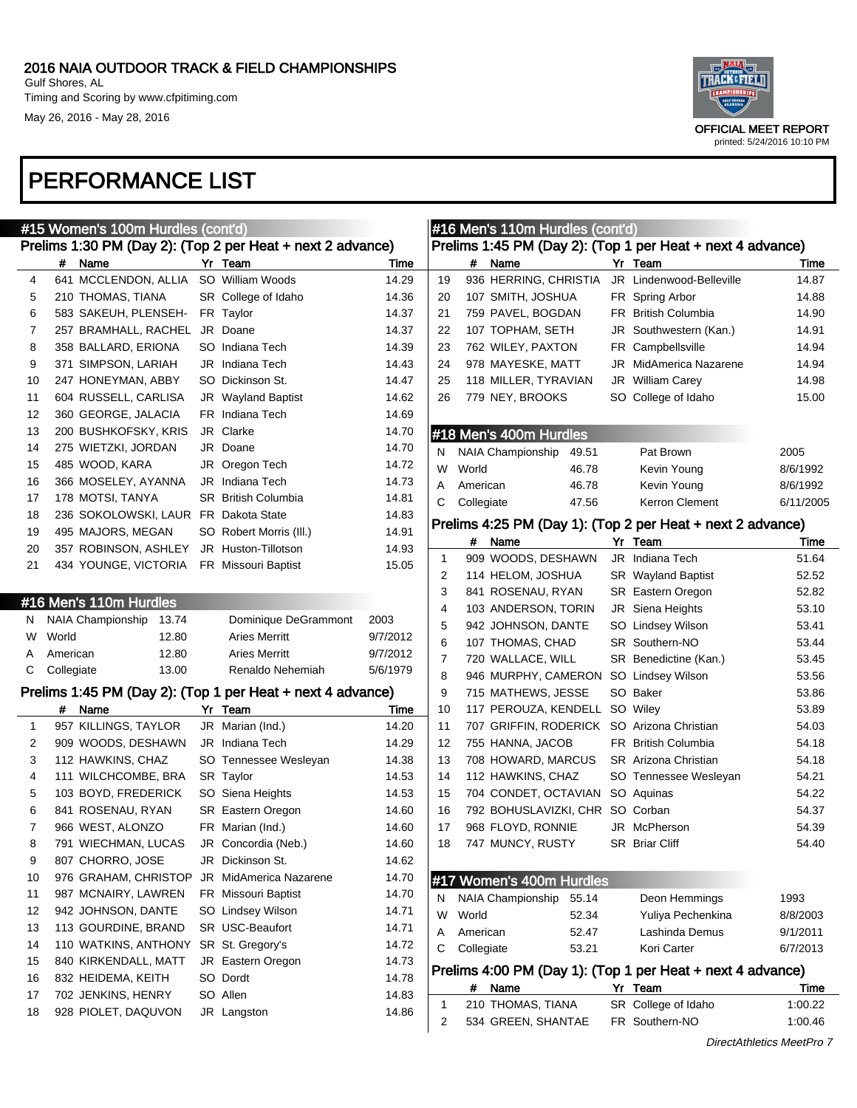Timing and Scoring by www.cfpitiming.com May 26, 2016 - May 28, 2016



### PERFORMANCE LIST

|    | #15 Women's 100m Hurdles (cont'd) |                                       |  |                                                            |          |             |            | #16 Men's 110m Hurdles (cont'd)            |    |                                                            |           |
|----|-----------------------------------|---------------------------------------|--|------------------------------------------------------------|----------|-------------|------------|--------------------------------------------|----|------------------------------------------------------------|-----------|
|    |                                   |                                       |  | Prelims 1:30 PM (Day 2): (Top 2 per Heat + next 2 advance) |          |             |            |                                            |    | Prelims 1:45 PM (Day 2): (Top 1 per Heat + next 4 advance) |           |
|    | #                                 | Name                                  |  | Yr Team                                                    | Time     |             | #          | Name                                       |    | Yr Team                                                    | Time      |
| 4  |                                   | 641 MCCLENDON, ALLIA                  |  | SO William Woods                                           | 14.29    | 19          |            | 936 HERRING, CHRISTIA                      |    | JR Lindenwood-Belleville                                   | 14.87     |
| 5  |                                   | 210 THOMAS, TIANA                     |  | SR College of Idaho                                        | 14.36    | 20          |            | 107 SMITH, JOSHUA                          |    | FR Spring Arbor                                            | 14.88     |
| 6  |                                   | 583 SAKEUH, PLENSEH-                  |  | FR Taylor                                                  | 14.37    | 21          |            | 759 PAVEL, BOGDAN                          |    | FR British Columbia                                        | 14.90     |
| 7  |                                   | 257 BRAMHALL, RACHEL                  |  | JR Doane                                                   | 14.37    | 22          |            | 107 TOPHAM, SETH                           | JR | Southwestern (Kan.)                                        | 14.91     |
| 8  |                                   | 358 BALLARD, ERIONA                   |  | SO Indiana Tech                                            | 14.39    | 23          |            | 762 WILEY, PAXTON                          |    | FR Campbellsville                                          | 14.94     |
| 9  |                                   | 371 SIMPSON, LARIAH                   |  | JR Indiana Tech                                            | 14.43    | 24          |            | 978 MAYESKE, MATT                          | JR | MidAmerica Nazarene                                        | 14.94     |
| 10 |                                   | 247 HONEYMAN, ABBY                    |  | SO Dickinson St.                                           | 14.47    | 25          |            | 118 MILLER, TYRAVIAN                       |    | JR William Carey                                           | 14.98     |
| 11 |                                   | 604 RUSSELL, CARLISA                  |  | JR Wayland Baptist                                         | 14.62    | 26          |            | 779 NEY, BROOKS                            |    | SO College of Idaho                                        | 15.00     |
| 12 |                                   | 360 GEORGE, JALACIA                   |  | FR Indiana Tech                                            | 14.69    |             |            |                                            |    |                                                            |           |
| 13 |                                   | 200 BUSHKOFSKY, KRIS                  |  | JR Clarke                                                  | 14.70    |             |            | #18 Men's 400m Hurdles                     |    |                                                            |           |
| 14 |                                   | 275 WIETZKI, JORDAN                   |  | JR Doane                                                   | 14.70    | N           |            | <b>NAIA Championship</b><br>49.51          |    | Pat Brown                                                  | 2005      |
| 15 |                                   | 485 WOOD, KARA                        |  | JR Oregon Tech                                             | 14.72    | W           | World      | 46.78                                      |    | Kevin Young                                                | 8/6/1992  |
| 16 |                                   | 366 MOSELEY, AYANNA                   |  | JR Indiana Tech                                            | 14.73    | A           | American   | 46.78                                      |    | Kevin Young                                                | 8/6/1992  |
| 17 |                                   | 178 MOTSI, TANYA                      |  | <b>SR</b> British Columbia                                 | 14.81    | С           | Collegiate | 47.56                                      |    | Kerron Clement                                             | 6/11/2005 |
| 18 |                                   | 236 SOKOLOWSKI, LAUR FR Dakota State  |  |                                                            | 14.83    |             |            |                                            |    |                                                            |           |
| 19 |                                   | 495 MAJORS, MEGAN                     |  | SO Robert Morris (III.)                                    | 14.91    |             |            |                                            |    | Prelims 4:25 PM (Day 1): (Top 2 per Heat + next 2 advance) |           |
| 20 |                                   | 357 ROBINSON, ASHLEY                  |  | JR Huston-Tillotson                                        | 14.93    |             | #          | Name                                       |    | Yr Team                                                    | Time      |
| 21 |                                   | 434 YOUNGE, VICTORIA                  |  | FR Missouri Baptist                                        | 15.05    | $\mathbf 1$ |            | 909 WOODS, DESHAWN                         |    | JR Indiana Tech                                            | 51.64     |
|    |                                   |                                       |  |                                                            |          | 2           |            | 114 HELOM, JOSHUA                          |    | SR Wayland Baptist                                         | 52.52     |
|    |                                   | #16 Men's 110m Hurdles                |  |                                                            |          | 3           |            | 841 ROSENAU, RYAN                          |    | <b>SR</b> Eastern Oregon                                   | 52.82     |
| N  |                                   | NAIA Championship<br>13.74            |  | Dominique DeGrammont                                       | 2003     | 4           |            | 103 ANDERSON, TORIN                        |    | JR Siena Heights                                           | 53.10     |
| W  | World                             | 12.80                                 |  | <b>Aries Merritt</b>                                       | 9/7/2012 | 5           |            | 942 JOHNSON, DANTE                         |    | SO Lindsey Wilson                                          | 53.41     |
|    | American                          | 12.80                                 |  | <b>Aries Merritt</b>                                       | 9/7/2012 | 6           |            | 107 THOMAS, CHAD                           |    | <b>SR Southern-NO</b>                                      | 53.44     |
| C  | Collegiate                        | 13.00                                 |  | Renaldo Nehemiah                                           | 5/6/1979 | 7           |            | 720 WALLACE, WILL                          |    | SR Benedictine (Kan.)                                      | 53.45     |
|    |                                   |                                       |  |                                                            |          | 8           |            | 946 MURPHY, CAMERON SO Lindsey Wilson      |    |                                                            | 53.56     |
|    |                                   |                                       |  | Prelims 1:45 PM (Day 2): (Top 1 per Heat + next 4 advance) |          | 9           |            | 715 MATHEWS, JESSE                         |    | SO Baker                                                   | 53.86     |
|    |                                   | # Name                                |  | Yr Team                                                    | Time     | 10          |            | 117 PEROUZA, KENDELL SO Wiley              |    |                                                            | 53.89     |
| 1  |                                   | 957 KILLINGS, TAYLOR                  |  | JR Marian (Ind.)                                           | 14.20    | 11          |            | 707 GRIFFIN, RODERICK SO Arizona Christian |    |                                                            | 54.03     |
| 2  |                                   | 909 WOODS, DESHAWN                    |  | JR Indiana Tech                                            | 14.29    | 12          |            | 755 HANNA, JACOB                           |    | <b>FR</b> British Columbia                                 | 54.18     |
| 3  |                                   | 112 HAWKINS, CHAZ                     |  | SO Tennessee Wesleyan                                      | 14.38    | 13          |            | 708 HOWARD, MARCUS                         |    | <b>SR</b> Arizona Christian                                | 54.18     |
| 4  |                                   | 111 WILCHCOMBE, BRA                   |  | SR Taylor                                                  | 14.53    | 14          |            | 112 HAWKINS, CHAZ                          |    | SO Tennessee Wesleyan                                      | 54.21     |
| 5  |                                   | 103 BOYD, FREDERICK                   |  | SO Siena Heights                                           | 14.53    | 15          |            | 704 CONDET, OCTAVIAN                       |    | SO Aquinas                                                 | 54.22     |
| 6  |                                   | 841 ROSENAU, RYAN                     |  | <b>SR</b> Eastern Oregon                                   | 14.60    | 16          |            | 792 BOHUSLAVIZKI, CHR                      |    | SO Corban                                                  | 54.37     |
| 7  |                                   | 966 WEST, ALONZO                      |  | FR Marian (Ind.)                                           | 14.60    | 17          |            | 968 FLOYD, RONNIE                          |    | JR McPherson                                               | 54.39     |
| 8  |                                   | 791 WIECHMAN, LUCAS                   |  | JR Concordia (Neb.)                                        | 14.60    | 18          |            | 747 MUNCY, RUSTY                           |    | <b>SR Briar Cliff</b>                                      | 54.40     |
| 9  |                                   | 807 CHORRO, JOSE                      |  | JR Dickinson St.                                           | 14.62    |             |            |                                            |    |                                                            |           |
| 10 |                                   | 976 GRAHAM, CHRISTOP                  |  | JR MidAmerica Nazarene                                     | 14.70    |             |            | #17 Women's 400m Hurdles                   |    |                                                            |           |
| 11 |                                   | 987 MCNAIRY, LAWREN                   |  | FR Missouri Baptist                                        | 14.70    | N           |            | 55.14<br><b>NAIA Championship</b>          |    | Deon Hemmings                                              | 1993      |
| 12 |                                   | 942 JOHNSON, DANTE                    |  | SO Lindsey Wilson                                          | 14.71    | W           | World      | 52.34                                      |    | Yuliya Pechenkina                                          | 8/8/2003  |
| 13 |                                   | 113 GOURDINE, BRAND                   |  | SR USC-Beaufort                                            | 14.71    | Α           | American   | 52.47                                      |    | Lashinda Demus                                             | 9/1/2011  |
| 14 |                                   | 110 WATKINS, ANTHONY SR St. Gregory's |  |                                                            | 14.72    | С           | Collegiate | 53.21                                      |    | Kori Carter                                                | 6/7/2013  |
| 15 |                                   | 840 KIRKENDALL, MATT                  |  | JR Eastern Oregon                                          | 14.73    |             |            |                                            |    | Prelims 4:00 PM (Day 1): (Top 1 per Heat + next 4 advance) |           |
| 16 |                                   | 832 HEIDEMA, KEITH                    |  | SO Dordt                                                   | 14.78    |             | #          | Name                                       |    | Yr Team                                                    | Time      |
| 17 |                                   | 702 JENKINS, HENRY                    |  | SO Allen                                                   | 14.83    |             |            | 210 THOMAS, TIANA                          |    | SR College of Idaho                                        | 1:00.22   |
| 18 |                                   | 928 PIOLET, DAQUVON                   |  | JR Langston                                                | 14.86    | 1           |            |                                            |    | FR Southern-NO                                             |           |
|    |                                   |                                       |  |                                                            |          | 2           |            | 534 GREEN, SHANTAE                         |    |                                                            | 1:00.46   |

DirectAthletics MeetPro 7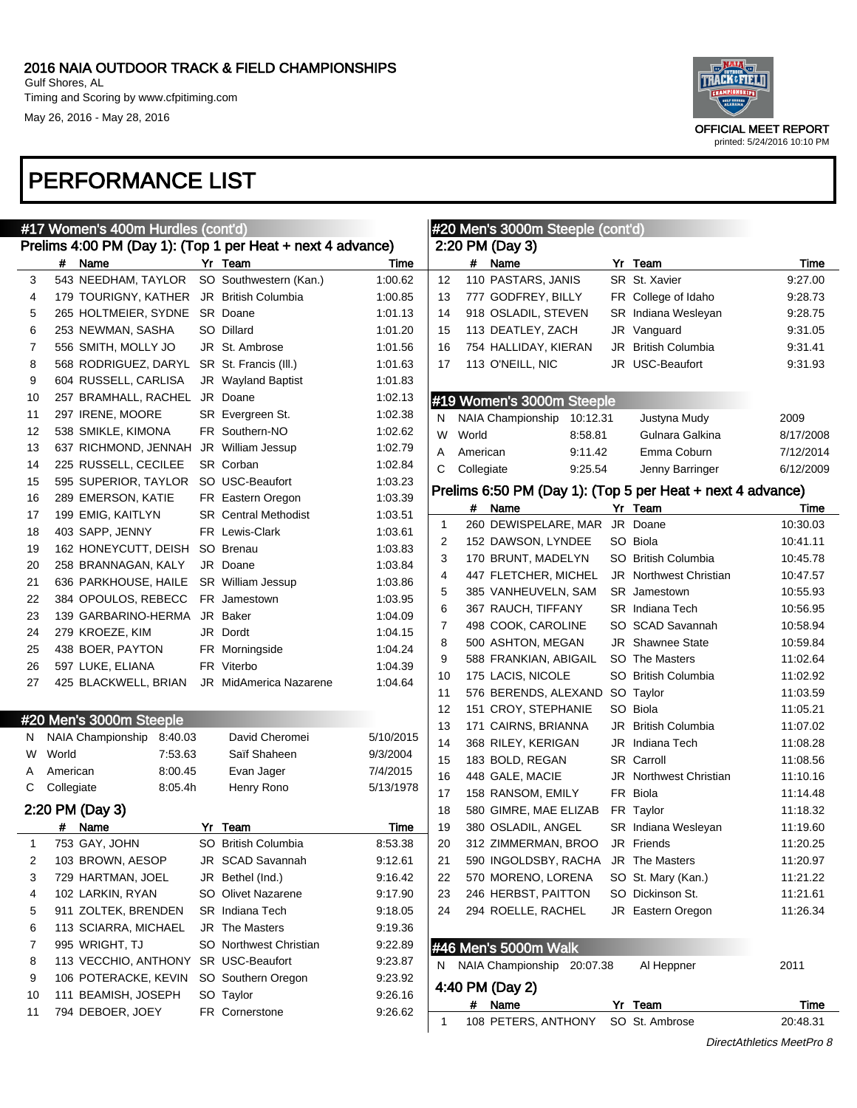Timing and Scoring by www.cfpitiming.com May 26, 2016 - May 28, 2016



|    | #17 Women's 400m Hurdles (cont'd) |                                          |  |                                                            |           |    |            | #20 Men's 3000m Steeple (cont'd)                           |  |                                    |           |  |  |
|----|-----------------------------------|------------------------------------------|--|------------------------------------------------------------|-----------|----|------------|------------------------------------------------------------|--|------------------------------------|-----------|--|--|
|    |                                   |                                          |  | Prelims 4:00 PM (Day 1): (Top 1 per Heat + next 4 advance) |           |    |            | 2:20 PM (Day 3)                                            |  |                                    |           |  |  |
|    | #                                 | Name                                     |  | Yr Team                                                    | Time      |    | #          | Name                                                       |  | Yr Team                            | Time      |  |  |
| 3  |                                   | 543 NEEDHAM, TAYLOR                      |  | SO Southwestern (Kan.)                                     | 1:00.62   | 12 |            | 110 PASTARS, JANIS                                         |  | SR St. Xavier                      | 9:27.00   |  |  |
| 4  |                                   | 179 TOURIGNY, KATHER JR British Columbia |  |                                                            | 1:00.85   | 13 |            | 777 GODFREY, BILLY                                         |  | FR College of Idaho                | 9:28.73   |  |  |
| 5  |                                   | 265 HOLTMEIER, SYDNE SR Doane            |  |                                                            | 1:01.13   | 14 |            | 918 OSLADIL, STEVEN                                        |  | SR Indiana Wesleyan                | 9:28.75   |  |  |
| 6  |                                   | 253 NEWMAN, SASHA                        |  | SO Dillard                                                 | 1:01.20   | 15 |            | 113 DEATLEY, ZACH                                          |  | JR Vanguard                        | 9:31.05   |  |  |
| 7  |                                   | 556 SMITH, MOLLY JO                      |  | JR St. Ambrose                                             | 1:01.56   | 16 |            | 754 HALLIDAY, KIERAN                                       |  | JR British Columbia                | 9:31.41   |  |  |
| 8  |                                   | 568 RODRIGUEZ, DARYL                     |  | SR St. Francis (III.)                                      | 1:01.63   | 17 |            | 113 O'NEILL, NIC                                           |  | JR USC-Beaufort                    | 9:31.93   |  |  |
| 9  |                                   | 604 RUSSELL, CARLISA                     |  | JR Wayland Baptist                                         | 1:01.83   |    |            |                                                            |  |                                    |           |  |  |
| 10 |                                   | 257 BRAMHALL, RACHEL                     |  | JR Doane                                                   | 1:02.13   |    |            | #19 Women's 3000m Steeple                                  |  |                                    |           |  |  |
| 11 |                                   | 297 IRENE, MOORE                         |  | SR Evergreen St.                                           | 1:02.38   | N  |            | NAIA Championship<br>10:12.31                              |  | Justyna Mudy                       | 2009      |  |  |
| 12 |                                   | 538 SMIKLE, KIMONA                       |  | FR Southern-NO                                             | 1:02.62   | W  | World      | 8:58.81                                                    |  | Gulnara Galkina                    | 8/17/2008 |  |  |
| 13 |                                   | 637 RICHMOND, JENNAH                     |  | JR William Jessup                                          | 1:02.79   | Α  | American   | 9:11.42                                                    |  | Emma Coburn                        | 7/12/2014 |  |  |
| 14 |                                   | 225 RUSSELL, CECILEE                     |  | SR Corban                                                  | 1:02.84   | С  | Collegiate | 9:25.54                                                    |  | Jenny Barringer                    | 6/12/2009 |  |  |
| 15 |                                   | 595 SUPERIOR, TAYLOR                     |  | SO USC-Beaufort                                            | 1:03.23   |    |            |                                                            |  |                                    |           |  |  |
| 16 |                                   | 289 EMERSON, KATIE                       |  | FR Eastern Oregon                                          | 1:03.39   |    |            | Prelims 6:50 PM (Day 1): (Top 5 per Heat + next 4 advance) |  |                                    |           |  |  |
| 17 |                                   | 199 EMIG, KAITLYN                        |  | <b>SR</b> Central Methodist                                | 1:03.51   |    | #          | Name                                                       |  | Yr Team                            | Time      |  |  |
| 18 |                                   | 403 SAPP, JENNY                          |  | FR Lewis-Clark                                             | 1:03.61   | 1  |            | 260 DEWISPELARE, MAR                                       |  | JR Doane                           | 10:30.03  |  |  |
| 19 |                                   | 162 HONEYCUTT, DEISH                     |  | SO Brenau                                                  | 1:03.83   | 2  |            | 152 DAWSON, LYNDEE                                         |  | SO Biola                           | 10:41.11  |  |  |
| 20 |                                   | 258 BRANNAGAN, KALY                      |  | JR Doane                                                   | 1:03.84   | 3  |            | 170 BRUNT, MADELYN                                         |  | SO British Columbia                | 10:45.78  |  |  |
| 21 |                                   | 636 PARKHOUSE, HAILE                     |  | SR William Jessup                                          | 1:03.86   | 4  |            | 447 FLETCHER, MICHEL                                       |  | JR Northwest Christian             | 10:47.57  |  |  |
| 22 |                                   | 384 OPOULOS, REBECC                      |  | FR Jamestown                                               | 1:03.95   | 5  |            | 385 VANHEUVELN, SAM                                        |  | <b>SR</b> Jamestown                | 10:55.93  |  |  |
| 23 |                                   | 139 GARBARINO-HERMA                      |  | JR Baker                                                   | 1:04.09   | 6  |            | 367 RAUCH, TIFFANY                                         |  | <b>SR</b> Indiana Tech             | 10:56.95  |  |  |
| 24 |                                   | 279 KROEZE, KIM                          |  | JR Dordt                                                   | 1:04.15   | 7  |            | 498 COOK, CAROLINE                                         |  | SO SCAD Savannah                   | 10:58.94  |  |  |
| 25 |                                   | 438 BOER, PAYTON                         |  | FR Morningside                                             | 1:04.24   | 8  |            | 500 ASHTON, MEGAN                                          |  | <b>JR</b> Shawnee State            | 10:59.84  |  |  |
| 26 |                                   | 597 LUKE, ELIANA                         |  | FR Viterbo                                                 | 1:04.39   | 9  |            | 588 FRANKIAN, ABIGAIL                                      |  | SO The Masters                     | 11:02.64  |  |  |
| 27 |                                   | 425 BLACKWELL, BRIAN                     |  | <b>JR</b> MidAmerica Nazarene                              | 1:04.64   | 10 |            | 175 LACIS, NICOLE                                          |  | SO British Columbia                | 11:02.92  |  |  |
|    |                                   |                                          |  |                                                            |           | 11 |            | 576 BERENDS, ALEXAND SO Taylor                             |  |                                    | 11:03.59  |  |  |
|    |                                   | #20 Men's 3000m Steeple                  |  |                                                            |           | 12 |            | 151 CROY, STEPHANIE                                        |  | SO Biola                           | 11:05.21  |  |  |
| N. |                                   | NAIA Championship<br>8:40.03             |  | David Cheromei                                             | 5/10/2015 | 13 |            | 171 CAIRNS, BRIANNA                                        |  | JR British Columbia                | 11:07.02  |  |  |
| W  | World                             | 7:53.63                                  |  | Saïf Shaheen                                               | 9/3/2004  | 14 |            | 368 RILEY, KERIGAN                                         |  | JR Indiana Tech                    | 11:08.28  |  |  |
| A  | American                          | 8:00.45                                  |  | Evan Jager                                                 | 7/4/2015  | 15 |            | 183 BOLD, REGAN                                            |  | <b>SR Carroll</b>                  | 11:08.56  |  |  |
| C  | Collegiate                        | 8:05.4h                                  |  | Henry Rono                                                 | 5/13/1978 | 16 |            | 448 GALE, MACIE                                            |  | JR Northwest Christian<br>FR Biola | 11:10.16  |  |  |
|    |                                   |                                          |  |                                                            |           | 17 |            | 158 RANSOM, EMILY                                          |  |                                    | 11:14.48  |  |  |
|    |                                   | 2:20 PM (Day 3)                          |  |                                                            |           | 18 |            | 580 GIMRE, MAE ELIZAB                                      |  | FR Taylor                          | 11:18.32  |  |  |
|    |                                   | # Name                                   |  | Yr Team                                                    | Time      | 19 |            | 380 OSLADIL, ANGEL                                         |  | SR Indiana Wesleyan                | 11:19.60  |  |  |
|    |                                   | 753 GAY, JOHN                            |  | SO British Columbia                                        | 8:53.38   | 20 |            | 312 ZIMMERMAN, BROO                                        |  | JR Friends                         | 11:20.25  |  |  |
| 2  |                                   | 103 BROWN, AESOP                         |  | JR SCAD Savannah                                           | 9:12.61   | 21 |            | 590 INGOLDSBY, RACHA                                       |  | JR The Masters                     | 11:20.97  |  |  |
| 3  |                                   | 729 HARTMAN, JOEL                        |  | JR Bethel (Ind.)                                           | 9:16.42   | 22 |            | 570 MORENO, LORENA                                         |  | SO St. Mary (Kan.)                 | 11:21.22  |  |  |
| 4  |                                   | 102 LARKIN, RYAN                         |  | SO Olivet Nazarene                                         | 9:17.90   | 23 |            | 246 HERBST, PAITTON                                        |  | SO Dickinson St.                   | 11:21.61  |  |  |
| 5  |                                   | 911 ZOLTEK, BRENDEN                      |  | <b>SR</b> Indiana Tech                                     | 9:18.05   | 24 |            | 294 ROELLE, RACHEL                                         |  | JR Eastern Oregon                  | 11:26.34  |  |  |
| 6  |                                   | 113 SCIARRA, MICHAEL                     |  | <b>JR</b> The Masters                                      | 9:19.36   |    |            |                                                            |  |                                    |           |  |  |
| 7  |                                   | 995 WRIGHT, TJ                           |  | SO Northwest Christian                                     | 9:22.89   |    |            | #46 Men's 5000m Walk                                       |  |                                    |           |  |  |
| 8  |                                   | 113 VECCHIO, ANTHONY SR USC-Beaufort     |  |                                                            | 9:23.87   |    |            | N NAIA Championship 20:07.38                               |  | Al Heppner                         | 2011      |  |  |
| 9  |                                   | 106 POTERACKE, KEVIN                     |  | SO Southern Oregon                                         | 9:23.92   |    |            | 4:40 PM (Day 2)                                            |  |                                    |           |  |  |
| 10 |                                   | 111 BEAMISH, JOSEPH                      |  | SO Taylor                                                  | 9:26.16   |    | #          | Name                                                       |  | Yr Team                            | Time      |  |  |
| 11 |                                   | 794 DEBOER, JOEY                         |  | FR Cornerstone                                             | 9:26.62   | 1  |            | 108 PETERS, ANTHONY                                        |  | SO St. Ambrose                     | 20:48.31  |  |  |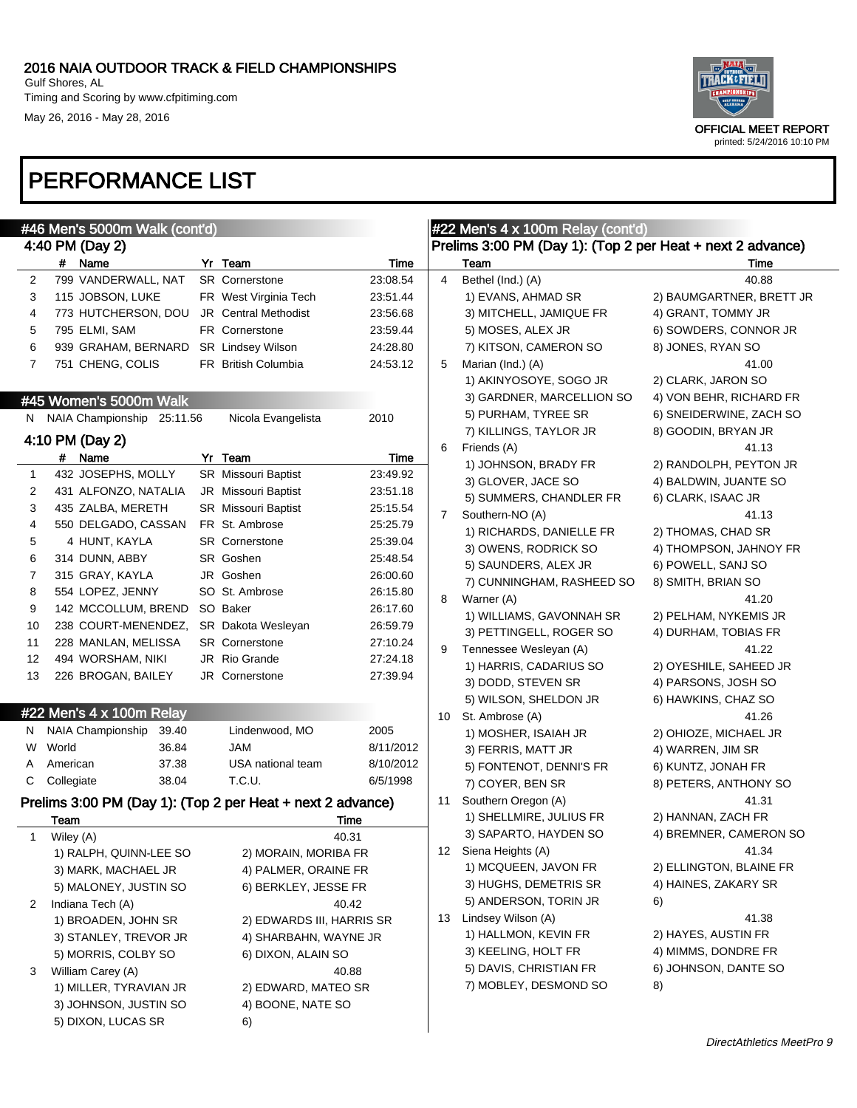May 26, 2016 - May 28, 2016



|              | #46 Men's 5000m Walk (cont'd)                              |                            |               | #22 Men's 4 x 100m Relay (cont'd)                          |                           |                          |  |  |  |  |
|--------------|------------------------------------------------------------|----------------------------|---------------|------------------------------------------------------------|---------------------------|--------------------------|--|--|--|--|
|              | 4:40 PM (Day 2)                                            |                            |               | Prelims 3:00 PM (Day 1): (Top 2 per Heat + next 2 advance) |                           |                          |  |  |  |  |
|              | # Name                                                     | Yr Team                    | Time          |                                                            | Team                      | Time                     |  |  |  |  |
| 2            | 799 VANDERWALL, NAT                                        | SR Cornerstone             | 23:08.54      | 4                                                          | Bethel (Ind.) (A)         | 40.88                    |  |  |  |  |
| 3            | 115 JOBSON, LUKE                                           | FR West Virginia Tech      | 23:51.44      |                                                            | 1) EVANS, AHMAD SR        | 2) BAUMGARTNER, BRETT JR |  |  |  |  |
| 4            | 773 HUTCHERSON, DOU                                        | JR Central Methodist       | 23:56.68      |                                                            | 3) MITCHELL, JAMIQUE FR   | 4) GRANT, TOMMY JR       |  |  |  |  |
| 5            | 795 ELMI, SAM                                              | <b>FR</b> Cornerstone      | 23:59.44      |                                                            | 5) MOSES, ALEX JR         | 6) SOWDERS, CONNOR JR    |  |  |  |  |
| 6            | 939 GRAHAM, BERNARD                                        | SR Lindsey Wilson          | 24:28.80      |                                                            | 7) KITSON, CAMERON SO     | 8) JONES, RYAN SO        |  |  |  |  |
| 7            | 751 CHENG, COLIS                                           | FR British Columbia        | 24:53.12      | 5                                                          | Marian (Ind.) (A)         | 41.00                    |  |  |  |  |
|              |                                                            |                            |               |                                                            | 1) AKINYOSOYE, SOGO JR    | 2) CLARK, JARON SO       |  |  |  |  |
|              | #45 Women's 5000m Walk                                     |                            |               |                                                            | 3) GARDNER, MARCELLION SO | 4) VON BEHR, RICHARD FR  |  |  |  |  |
|              | N NAIA Championship 25:11.56                               | Nicola Evangelista         | 2010          |                                                            | 5) PURHAM, TYREE SR       | 6) SNEIDERWINE, ZACH SO  |  |  |  |  |
|              |                                                            |                            |               |                                                            | 7) KILLINGS, TAYLOR JR    | 8) GOODIN, BRYAN JR      |  |  |  |  |
|              | 4:10 PM (Day 2)                                            |                            |               | 6                                                          | Friends (A)               | 41.13                    |  |  |  |  |
|              | # Name                                                     | Yr Team                    | Time          |                                                            | 1) JOHNSON, BRADY FR      | 2) RANDOLPH, PEYTON JR   |  |  |  |  |
| $\mathbf{1}$ | 432 JOSEPHS, MOLLY                                         | <b>SR</b> Missouri Baptist | 23:49.92      |                                                            | 3) GLOVER, JACE SO        | 4) BALDWIN, JUANTE SO    |  |  |  |  |
| 2            | 431 ALFONZO, NATALIA                                       | JR Missouri Baptist        | 23:51.18      |                                                            | 5) SUMMERS, CHANDLER FR   | 6) CLARK, ISAAC JR       |  |  |  |  |
| 3            | 435 ZALBA, MERETH                                          | <b>SR</b> Missouri Baptist | 25:15.54      | 7                                                          | Southern-NO (A)           | 41.13                    |  |  |  |  |
| 4            | 550 DELGADO, CASSAN                                        | FR St. Ambrose             | 25:25.79      |                                                            | 1) RICHARDS, DANIELLE FR  | 2) THOMAS, CHAD SR       |  |  |  |  |
| 5            | 4 HUNT, KAYLA                                              | <b>SR</b> Cornerstone      | 25:39.04      |                                                            | 3) OWENS, RODRICK SO      | 4) THOMPSON, JAHNOY FR   |  |  |  |  |
| 6            | 314 DUNN, ABBY                                             | SR Goshen                  | 25:48.54      |                                                            | 5) SAUNDERS, ALEX JR      | 6) POWELL, SANJ SO       |  |  |  |  |
| 7            | 315 GRAY, KAYLA                                            | JR Goshen                  | 26:00.60      |                                                            | 7) CUNNINGHAM, RASHEED SO | 8) SMITH, BRIAN SO       |  |  |  |  |
| 8            | 554 LOPEZ, JENNY                                           | SO St. Ambrose             | 26:15.80      | 8                                                          | Warner (A)                | 41.20                    |  |  |  |  |
| 9            | 142 MCCOLLUM, BREND                                        | SO Baker                   | 26:17.60      |                                                            | 1) WILLIAMS, GAVONNAH SR  | 2) PELHAM, NYKEMIS JR    |  |  |  |  |
| 10           | 238 COURT-MENENDEZ,                                        | SR Dakota Wesleyan         | 26:59.79      |                                                            | 3) PETTINGELL, ROGER SO   | 4) DURHAM, TOBIAS FR     |  |  |  |  |
| 11           | 228 MANLAN, MELISSA                                        | <b>SR</b> Cornerstone      | 27:10.24      | 9                                                          | Tennessee Wesleyan (A)    | 41.22                    |  |  |  |  |
| 12           | 494 WORSHAM, NIKI                                          | JR Rio Grande              | 27:24.18      |                                                            | 1) HARRIS, CADARIUS SO    | 2) OYESHILE, SAHEED JR   |  |  |  |  |
| 13           | 226 BROGAN, BAILEY                                         | <b>JR</b> Cornerstone      | 27:39.94      |                                                            | 3) DODD, STEVEN SR        | 4) PARSONS, JOSH SO      |  |  |  |  |
|              |                                                            |                            |               |                                                            | 5) WILSON, SHELDON JR     | 6) HAWKINS, CHAZ SO      |  |  |  |  |
|              | #22 Men's 4 x 100m Relay                                   |                            |               | 10                                                         | St. Ambrose (A)           | 41.26                    |  |  |  |  |
| N.           | NAIA Championship<br>39.40                                 | Lindenwood, MO             | 2005          |                                                            | 1) MOSHER, ISAIAH JR      | 2) OHIOZE, MICHAEL JR    |  |  |  |  |
| W            | World<br>36.84                                             | <b>JAM</b>                 | 8/11/2012     |                                                            | 3) FERRIS, MATT JR        | 4) WARREN, JIM SR        |  |  |  |  |
| A            | 37.38<br>American                                          | USA national team          | 8/10/2012     |                                                            | 5) FONTENOT, DENNI'S FR   | 6) KUNTZ, JONAH FR       |  |  |  |  |
| С            | 38.04<br>Collegiate                                        | T.C.U.                     | 6/5/1998      |                                                            | 7) COYER, BEN SR          | 8) PETERS, ANTHONY SO    |  |  |  |  |
|              |                                                            |                            |               | 11                                                         | Southern Oregon (A)       | 41.31                    |  |  |  |  |
|              | Prelims 3:00 PM (Day 1): (Top 2 per Heat + next 2 advance) |                            |               |                                                            | 1) SHELLMIRE, JULIUS FR   | 2) HANNAN, ZACH FR       |  |  |  |  |
| $\mathbf{1}$ | Team<br>Wiley (A)                                          |                            | Time<br>40.31 |                                                            | 3) SAPARTO, HAYDEN SO     | 4) BREMNER, CAMERON SO   |  |  |  |  |
|              | 1) RALPH, QUINN-LEE SO                                     |                            |               |                                                            | 12 Siena Heights (A)      | 41.34                    |  |  |  |  |
|              | 3) MARK, MACHAEL JR                                        | 2) MORAIN, MORIBA FR       |               |                                                            | 1) MCQUEEN, JAVON FR      | 2) ELLINGTON, BLAINE FR  |  |  |  |  |
|              |                                                            | 4) PALMER, ORAINE FR       |               |                                                            | 3) HUGHS, DEMETRIS SR     | 4) HAINES, ZAKARY SR     |  |  |  |  |
|              | 5) MALONEY, JUSTIN SO                                      | 6) BERKLEY, JESSE FR       |               |                                                            | 5) ANDERSON, TORIN JR     | 6)                       |  |  |  |  |
| 2            | Indiana Tech (A)                                           |                            | 40.42         | 13                                                         | Lindsey Wilson (A)        | 41.38                    |  |  |  |  |
|              | 1) BROADEN, JOHN SR                                        | 2) EDWARDS III, HARRIS SR  |               |                                                            | 1) HALLMON, KEVIN FR      | 2) HAYES, AUSTIN FR      |  |  |  |  |
|              | 3) STANLEY, TREVOR JR                                      | 4) SHARBAHN, WAYNE JR      |               |                                                            | 3) KEELING, HOLT FR       | 4) MIMMS, DONDRE FR      |  |  |  |  |
|              | 5) MORRIS, COLBY SO                                        | 6) DIXON, ALAIN SO         |               |                                                            | 5) DAVIS, CHRISTIAN FR    | 6) JOHNSON, DANTE SO     |  |  |  |  |
| 3            | William Carey (A)                                          |                            | 40.88         |                                                            |                           |                          |  |  |  |  |
|              | 1) MILLER, TYRAVIAN JR                                     | 2) EDWARD, MATEO SR        |               |                                                            | 7) MOBLEY, DESMOND SO     | 8)                       |  |  |  |  |
|              | 3) JOHNSON, JUSTIN SO                                      | 4) BOONE, NATE SO          |               |                                                            |                           |                          |  |  |  |  |
|              | 5) DIXON, LUCAS SR                                         | 6)                         |               |                                                            |                           |                          |  |  |  |  |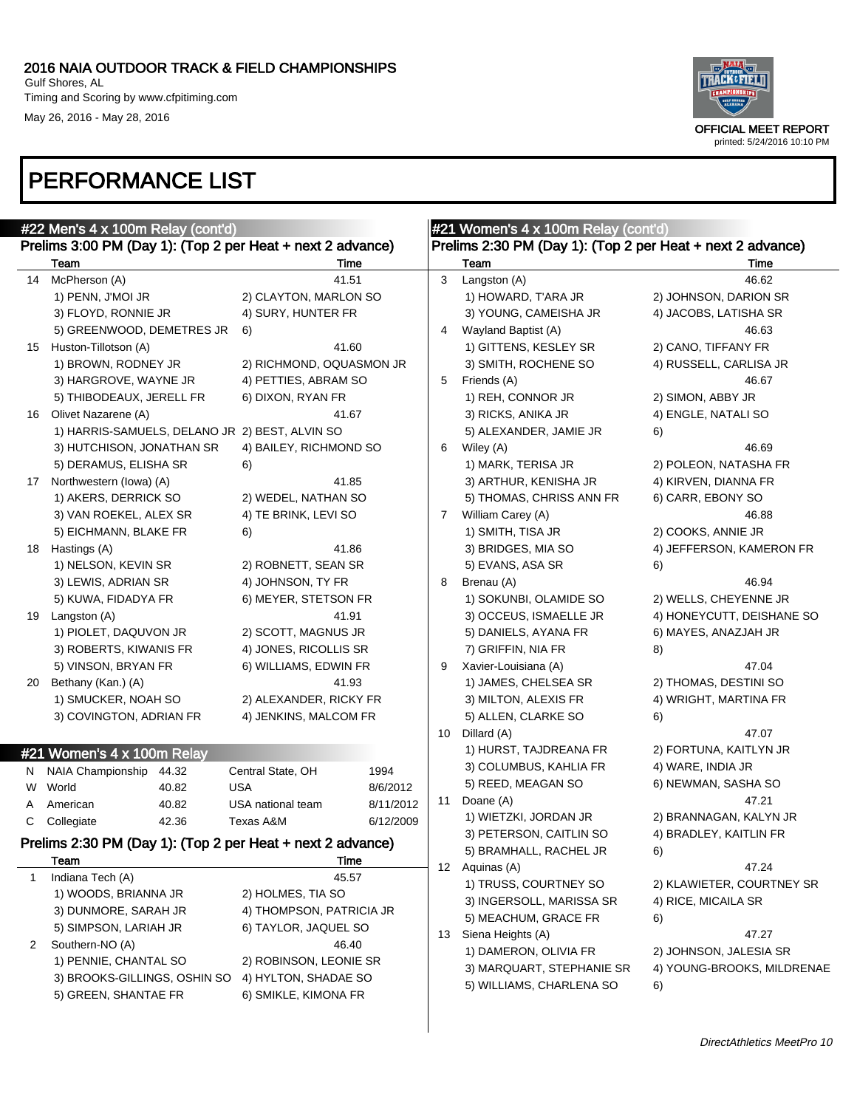#### 2016 NAIA OUTDOOR TRACK & FIELD CHAMPIONSHIPS Gulf Shores, AL Timing and Scoring by www.cfpitiming.com

May 26, 2016 - May 28, 2016



## PERFORMANCE LIST

|    | #22 Men's 4 x 100m Relay (cont'd)                          |                                              |           | #21 Women's 4 x 100m Relay (cont'd)                        |                           |                            |  |  |  |
|----|------------------------------------------------------------|----------------------------------------------|-----------|------------------------------------------------------------|---------------------------|----------------------------|--|--|--|
|    | Prelims 3:00 PM (Day 1): (Top 2 per Heat + next 2 advance) |                                              |           | Prelims 2:30 PM (Day 1): (Top 2 per Heat + next 2 advance) |                           |                            |  |  |  |
|    | Team                                                       | Time                                         |           |                                                            | Team                      | Time                       |  |  |  |
| 14 | McPherson (A)                                              | 41.51                                        |           | 3                                                          | Langston (A)              | 46.62                      |  |  |  |
|    | 1) PENN, J'MOI JR                                          | 2) CLAYTON, MARLON SO                        |           |                                                            | 1) HOWARD, T'ARA JR       | 2) JOHNSON, DARION SR      |  |  |  |
|    | 3) FLOYD, RONNIE JR                                        | 4) SURY, HUNTER FR                           |           |                                                            | 3) YOUNG, CAMEISHA JR     | 4) JACOBS, LATISHA SR      |  |  |  |
|    | 5) GREENWOOD, DEMETRES JR                                  | 6)                                           |           | 4                                                          | Wayland Baptist (A)       | 46.63                      |  |  |  |
| 15 | Huston-Tillotson (A)                                       | 41.60                                        |           |                                                            | 1) GITTENS, KESLEY SR     | 2) CANO, TIFFANY FR        |  |  |  |
|    | 1) BROWN, RODNEY JR                                        | 2) RICHMOND, OQUASMON JR                     |           |                                                            | 3) SMITH, ROCHENE SO      | 4) RUSSELL, CARLISA JR     |  |  |  |
|    | 3) HARGROVE, WAYNE JR                                      | 4) PETTIES, ABRAM SO                         |           | 5                                                          | Friends (A)               | 46.67                      |  |  |  |
|    | 5) THIBODEAUX, JERELL FR                                   | 6) DIXON, RYAN FR                            |           |                                                            | 1) REH, CONNOR JR         | 2) SIMON, ABBY JR          |  |  |  |
| 16 | Olivet Nazarene (A)                                        | 41.67                                        |           |                                                            | 3) RICKS, ANIKA JR        | 4) ENGLE, NATALI SO        |  |  |  |
|    | 1) HARRIS-SAMUELS, DELANO JR 2) BEST, ALVIN SO             |                                              |           |                                                            | 5) ALEXANDER, JAMIE JR    | 6)                         |  |  |  |
|    | 3) HUTCHISON, JONATHAN SR                                  | 4) BAILEY, RICHMOND SO                       |           | 6                                                          | Wiley (A)                 | 46.69                      |  |  |  |
|    | 5) DERAMUS, ELISHA SR                                      | 6)                                           |           |                                                            | 1) MARK, TERISA JR        | 2) POLEON, NATASHA FR      |  |  |  |
|    | 17 Northwestern (lowa) (A)                                 | 41.85                                        |           |                                                            | 3) ARTHUR, KENISHA JR     | 4) KIRVEN, DIANNA FR       |  |  |  |
|    | 1) AKERS, DERRICK SO                                       | 2) WEDEL, NATHAN SO                          |           |                                                            | 5) THOMAS, CHRISS ANN FR  | 6) CARR, EBONY SO          |  |  |  |
|    | 3) VAN ROEKEL, ALEX SR                                     | 4) TE BRINK, LEVI SO                         |           | $\mathbf{7}$                                               | William Carey (A)         | 46.88                      |  |  |  |
|    | 5) EICHMANN, BLAKE FR                                      | 6)                                           |           |                                                            | 1) SMITH, TISA JR         | 2) COOKS, ANNIE JR         |  |  |  |
| 18 | Hastings (A)                                               | 41.86                                        |           |                                                            | 3) BRIDGES, MIA SO        | 4) JEFFERSON, KAMERON FR   |  |  |  |
|    | 1) NELSON, KEVIN SR                                        | 2) ROBNETT, SEAN SR                          |           |                                                            | 5) EVANS, ASA SR          | 6)                         |  |  |  |
|    | 3) LEWIS, ADRIAN SR                                        | 4) JOHNSON, TY FR                            |           | 8                                                          | Brenau (A)                | 46.94                      |  |  |  |
|    | 5) KUWA, FIDADYA FR                                        | 6) MEYER, STETSON FR                         |           |                                                            | 1) SOKUNBI, OLAMIDE SO    | 2) WELLS, CHEYENNE JR      |  |  |  |
| 19 | Langston (A)                                               | 41.91                                        |           |                                                            | 3) OCCEUS, ISMAELLE JR    | 4) HONEYCUTT, DEISHANE SO  |  |  |  |
|    | 1) PIOLET, DAQUVON JR                                      | 2) SCOTT, MAGNUS JR                          |           |                                                            | 5) DANIELS, AYANA FR      | 6) MAYES, ANAZJAH JR       |  |  |  |
|    | 3) ROBERTS, KIWANIS FR                                     | 4) JONES, RICOLLIS SR                        |           |                                                            | 7) GRIFFIN, NIA FR        | 8)                         |  |  |  |
|    | 5) VINSON, BRYAN FR                                        | 6) WILLIAMS, EDWIN FR                        |           | 9                                                          | Xavier-Louisiana (A)      | 47.04                      |  |  |  |
| 20 | Bethany (Kan.) (A)                                         | 41.93                                        |           |                                                            | 1) JAMES, CHELSEA SR      | 2) THOMAS, DESTINI SO      |  |  |  |
|    | 1) SMUCKER, NOAH SO                                        | 2) ALEXANDER, RICKY FR                       |           |                                                            | 3) MILTON, ALEXIS FR      | 4) WRIGHT, MARTINA FR      |  |  |  |
|    | 3) COVINGTON, ADRIAN FR                                    | 4) JENKINS, MALCOM FR                        |           |                                                            | 5) ALLEN, CLARKE SO       | 6)                         |  |  |  |
|    |                                                            |                                              |           | 10                                                         | Dillard (A)               | 47.07                      |  |  |  |
|    | #21 Women's 4 x 100m Relay                                 |                                              |           |                                                            | 1) HURST, TAJDREANA FR    | 2) FORTUNA, KAITLYN JR     |  |  |  |
| N. | NAIA Championship<br>44.32                                 | Central State, OH                            | 1994      |                                                            | 3) COLUMBUS, KAHLIA FR    | 4) WARE, INDIA JR          |  |  |  |
| W  | World<br>40.82                                             | <b>USA</b>                                   | 8/6/2012  |                                                            | 5) REED, MEAGAN SO        | 6) NEWMAN, SASHA SO        |  |  |  |
| A  | American<br>40.82                                          | USA national team                            | 8/11/2012 | 11                                                         | Doane (A)                 | 47.21                      |  |  |  |
| C  | 42.36<br>Collegiate                                        | Texas A&M                                    | 6/12/2009 |                                                            | 1) WIETZKI, JORDAN JR     | 2) BRANNAGAN, KALYN JR     |  |  |  |
|    | Prelims 2:30 PM (Day 1): (Top 2 per Heat + next 2 advance) |                                              |           |                                                            | 3) PETERSON, CAITLIN SO   | 4) BRADLEY, KAITLIN FR     |  |  |  |
|    | Team                                                       | Time                                         |           |                                                            | 5) BRAMHALL, RACHEL JR    | 6)                         |  |  |  |
| 1  | Indiana Tech (A)                                           | 45.57                                        |           |                                                            | 12 Aquinas (A)            | 47.24                      |  |  |  |
|    | 1) WOODS, BRIANNA JR                                       | 2) HOLMES, TIA SO                            |           |                                                            | 1) TRUSS, COURTNEY SO     | 2) KLAWIETER, COURTNEY SR  |  |  |  |
|    | 3) DUNMORE, SARAH JR                                       | 4) THOMPSON, PATRICIA JR                     |           |                                                            | 3) INGERSOLL, MARISSA SR  | 4) RICE, MICAILA SR        |  |  |  |
|    | 5) SIMPSON, LARIAH JR                                      | 6) TAYLOR, JAQUEL SO                         |           |                                                            | 5) MEACHUM, GRACE FR      | 6)                         |  |  |  |
| 2  | Southern-NO (A)                                            | 46.40                                        |           | 13                                                         | Siena Heights (A)         | 47.27                      |  |  |  |
|    | 1) PENNIE, CHANTAL SO                                      |                                              |           |                                                            | 1) DAMERON, OLIVIA FR     | 2) JOHNSON, JALESIA SR     |  |  |  |
|    | 2) ROBINSON, LEONIE SR<br>3) BROOKS-GILLINGS, OSHIN SO     |                                              |           |                                                            | 3) MARQUART, STEPHANIE SR | 4) YOUNG-BROOKS, MILDRENAE |  |  |  |
|    | 5) GREEN, SHANTAE FR                                       | 4) HYLTON, SHADAE SO<br>6) SMIKLE, KIMONA FR |           |                                                            | 5) WILLIAMS, CHARLENA SO  | 6)                         |  |  |  |
|    |                                                            |                                              |           |                                                            |                           |                            |  |  |  |

 $\overline{1}$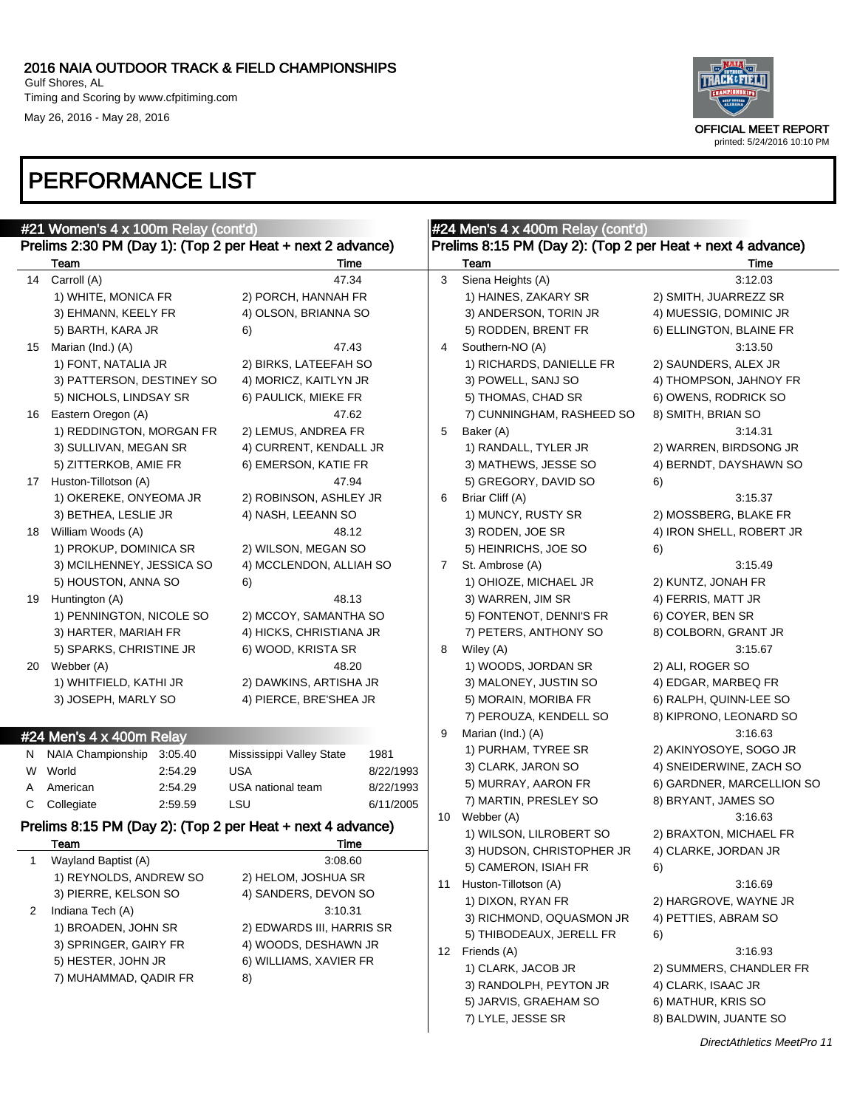#### 2016 NAIA OUTDOOR TRACK & FIELD CHAMPIONSHIPS Gulf Shores, AL Timing and Scoring by www.cfpitiming.com

May 26, 2016 - May 28, 2016



|         | #21 Women's 4 x 100m Relay (cont'd)                                         |                           |           | #24 Men's 4 x 400m Relay (cont'd) |                                                            |                           |  |  |  |  |
|---------|-----------------------------------------------------------------------------|---------------------------|-----------|-----------------------------------|------------------------------------------------------------|---------------------------|--|--|--|--|
|         | Prelims 2:30 PM (Day 1): (Top 2 per Heat + next 2 advance)                  |                           |           |                                   | Prelims 8:15 PM (Day 2): (Top 2 per Heat + next 4 advance) |                           |  |  |  |  |
|         | Team                                                                        | Time                      |           |                                   | Team                                                       | Time                      |  |  |  |  |
| 14      | Carroll (A)                                                                 | 47.34                     |           | 3                                 | Siena Heights (A)                                          | 3:12.03                   |  |  |  |  |
|         | 1) WHITE, MONICA FR                                                         | 2) PORCH, HANNAH FR       |           |                                   | 1) HAINES, ZAKARY SR                                       | 2) SMITH, JUARREZZ SR     |  |  |  |  |
|         | 3) EHMANN, KEELY FR                                                         | 4) OLSON, BRIANNA SO      |           |                                   | 3) ANDERSON, TORIN JR                                      | 4) MUESSIG, DOMINIC JR    |  |  |  |  |
|         | 5) BARTH, KARA JR                                                           | 6)                        |           |                                   | 5) RODDEN, BRENT FR                                        | 6) ELLINGTON, BLAINE FR   |  |  |  |  |
| 15      | Marian (Ind.) (A)                                                           | 47.43                     |           | 4                                 | Southern-NO (A)                                            | 3:13.50                   |  |  |  |  |
|         | 1) FONT, NATALIA JR                                                         | 2) BIRKS, LATEEFAH SO     |           |                                   | 1) RICHARDS, DANIELLE FR                                   | 2) SAUNDERS, ALEX JR      |  |  |  |  |
|         | 3) PATTERSON, DESTINEY SO                                                   | 4) MORICZ, KAITLYN JR     |           |                                   | 3) POWELL, SANJ SO                                         | 4) THOMPSON, JAHNOY FR    |  |  |  |  |
|         | 5) NICHOLS, LINDSAY SR                                                      | 6) PAULICK, MIEKE FR      |           |                                   | 5) THOMAS, CHAD SR                                         | 6) OWENS, RODRICK SO      |  |  |  |  |
| 16      | Eastern Oregon (A)                                                          | 47.62                     |           |                                   | 7) CUNNINGHAM, RASHEED SO                                  | 8) SMITH, BRIAN SO        |  |  |  |  |
|         | 1) REDDINGTON, MORGAN FR                                                    | 2) LEMUS, ANDREA FR       |           | 5                                 | Baker (A)                                                  | 3:14.31                   |  |  |  |  |
|         | 3) SULLIVAN, MEGAN SR                                                       | 4) CURRENT, KENDALL JR    |           |                                   | 1) RANDALL, TYLER JR                                       | 2) WARREN, BIRDSONG JR    |  |  |  |  |
|         | 5) ZITTERKOB, AMIE FR                                                       | 6) EMERSON, KATIE FR      |           |                                   | 3) MATHEWS, JESSE SO                                       | 4) BERNDT, DAYSHAWN SO    |  |  |  |  |
|         | 17 Huston-Tillotson (A)                                                     | 47.94                     |           |                                   | 5) GREGORY, DAVID SO                                       | 6)                        |  |  |  |  |
|         | 1) OKEREKE, ONYEOMA JR                                                      | 2) ROBINSON, ASHLEY JR    |           | 6                                 | Briar Cliff (A)                                            | 3:15.37                   |  |  |  |  |
|         | 3) BETHEA, LESLIE JR                                                        | 4) NASH, LEEANN SO        |           |                                   | 1) MUNCY, RUSTY SR                                         | 2) MOSSBERG, BLAKE FR     |  |  |  |  |
|         | 18 William Woods (A)                                                        | 48.12                     |           |                                   | 3) RODEN, JOE SR                                           | 4) IRON SHELL, ROBERT JR  |  |  |  |  |
|         | 1) PROKUP, DOMINICA SR                                                      | 2) WILSON, MEGAN SO       |           |                                   | 5) HEINRICHS, JOE SO                                       | 6)                        |  |  |  |  |
|         | 3) MCILHENNEY, JESSICA SO                                                   | 4) MCCLENDON, ALLIAH SO   |           | 7                                 | St. Ambrose (A)                                            | 3:15.49                   |  |  |  |  |
|         | 5) HOUSTON, ANNA SO                                                         | 6)                        |           |                                   | 1) OHIOZE, MICHAEL JR                                      | 2) KUNTZ, JONAH FR        |  |  |  |  |
| 19      | Huntington (A)                                                              | 48.13                     |           |                                   | 3) WARREN, JIM SR                                          | 4) FERRIS, MATT JR        |  |  |  |  |
|         | 1) PENNINGTON, NICOLE SO                                                    | 2) MCCOY, SAMANTHA SO     |           |                                   | 5) FONTENOT, DENNI'S FR                                    | 6) COYER, BEN SR          |  |  |  |  |
|         | 3) HARTER, MARIAH FR                                                        | 4) HICKS, CHRISTIANA JR   |           |                                   | 7) PETERS, ANTHONY SO                                      | 8) COLBORN, GRANT JR      |  |  |  |  |
|         | 5) SPARKS, CHRISTINE JR                                                     | 6) WOOD, KRISTA SR        |           | 8                                 | Wiley (A)                                                  | 3:15.67                   |  |  |  |  |
| 20      | Webber (A)                                                                  | 48.20                     |           |                                   | 1) WOODS, JORDAN SR                                        | 2) ALI, ROGER SO          |  |  |  |  |
|         | 1) WHITFIELD, KATHI JR                                                      | 2) DAWKINS, ARTISHA JR    |           |                                   | 3) MALONEY, JUSTIN SO                                      | 4) EDGAR, MARBEQ FR       |  |  |  |  |
|         | 3) JOSEPH, MARLY SO                                                         | 4) PIERCE, BRE'SHEA JR    |           |                                   | 5) MORAIN, MORIBA FR                                       | 6) RALPH, QUINN-LEE SO    |  |  |  |  |
|         |                                                                             |                           |           |                                   | 7) PEROUZA, KENDELL SO                                     | 8) KIPRONO, LEONARD SO    |  |  |  |  |
|         | #24 Men's 4 x 400m Relay                                                    |                           |           | 9                                 | Marian (Ind.) (A)                                          | 3:16.63                   |  |  |  |  |
|         | NAIA Championship<br>3:05.40                                                | Mississippi Valley State  | 1981      |                                   | 1) PURHAM, TYREE SR                                        | 2) AKINYOSOYE, SOGO JR    |  |  |  |  |
| N.<br>W | World<br>2:54.29                                                            | <b>USA</b>                | 8/22/1993 |                                   | 3) CLARK, JARON SO                                         | 4) SNEIDERWINE, ZACH SO   |  |  |  |  |
|         | American                                                                    | USA national team         | 8/22/1993 |                                   | 5) MURRAY, AARON FR                                        | 6) GARDNER, MARCELLION SO |  |  |  |  |
| A<br>С  | 2:54.29<br>Collegiate<br>2:59.59                                            | LSU                       | 6/11/2005 |                                   | 7) MARTIN, PRESLEY SO                                      | 8) BRYANT, JAMES SO       |  |  |  |  |
|         |                                                                             |                           |           | 10                                | Webber (A)                                                 | 3:16.63                   |  |  |  |  |
|         | Prelims 8:15 PM (Day 2): (Top 2 per Heat + next 4 advance)                  |                           |           |                                   | 1) WILSON, LILROBERT SO                                    | 2) BRAXTON, MICHAEL FR    |  |  |  |  |
|         | Team                                                                        | Time                      |           |                                   | 3) HUDSON, CHRISTOPHER JR                                  | 4) CLARKE, JORDAN JR      |  |  |  |  |
| 1       | Wayland Baptist (A)                                                         | 3:08.60                   |           |                                   | 5) CAMERON, ISIAH FR                                       | 6)                        |  |  |  |  |
|         | 1) REYNOLDS, ANDREW SO                                                      | 2) HELOM, JOSHUA SR       |           | 11                                | Huston-Tillotson (A)                                       | 3:16.69                   |  |  |  |  |
|         | 3) PIERRE, KELSON SO                                                        | 4) SANDERS, DEVON SO      |           |                                   | 1) DIXON, RYAN FR                                          | 2) HARGROVE, WAYNE JR     |  |  |  |  |
| 2       | Indiana Tech (A)                                                            | 3:10.31                   |           |                                   | 3) RICHMOND, OQUASMON JR                                   | 4) PETTIES, ABRAM SO      |  |  |  |  |
|         | 1) BROADEN, JOHN SR                                                         | 2) EDWARDS III, HARRIS SR |           |                                   | 5) THIBODEAUX, JERELL FR                                   | 6)                        |  |  |  |  |
|         | 3) SPRINGER, GAIRY FR                                                       | 4) WOODS, DESHAWN JR      |           |                                   | 12 Friends (A)                                             | 3:16.93                   |  |  |  |  |
|         | 5) HESTER, JOHN JR<br>6) WILLIAMS, XAVIER FR<br>7) MUHAMMAD, QADIR FR<br>8) |                           |           | 1) CLARK, JACOB JR                | 2) SUMMERS, CHANDLER FR                                    |                           |  |  |  |  |
|         |                                                                             |                           |           | 3) RANDOLPH, PEYTON JR            | 4) CLARK, ISAAC JR                                         |                           |  |  |  |  |
|         |                                                                             |                           |           |                                   | 5) JARVIS, GRAEHAM SO                                      | 6) MATHUR, KRIS SO        |  |  |  |  |
|         |                                                                             |                           |           |                                   | 7) LYLE, JESSE SR                                          | 8) BALDWIN, JUANTE SO     |  |  |  |  |
|         |                                                                             |                           |           |                                   |                                                            |                           |  |  |  |  |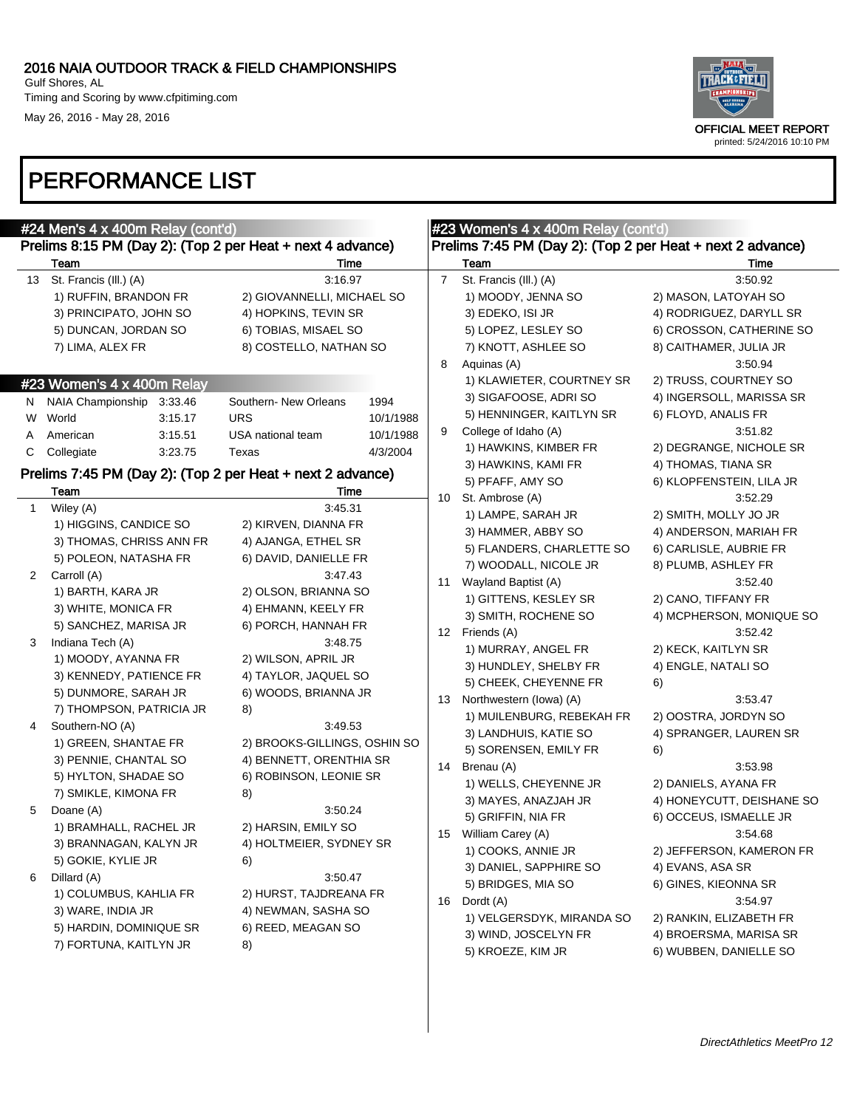

|                  | #24 Men's 4 x 400m Relay (cont'd)                                                                                                                   | Prelims 8:15 PM (Day 2): (Top 2 per Heat + next 4 advance)                                                                                |                                            |                     | #23 Women's 4 x 400m Relay (cont'd)<br>Prelims 7:45 PM (Day 2): (Top 2 per Heat + next 2 advance)                                              |                                                                                                                                    |
|------------------|-----------------------------------------------------------------------------------------------------------------------------------------------------|-------------------------------------------------------------------------------------------------------------------------------------------|--------------------------------------------|---------------------|------------------------------------------------------------------------------------------------------------------------------------------------|------------------------------------------------------------------------------------------------------------------------------------|
|                  | Team                                                                                                                                                | Time                                                                                                                                      |                                            |                     | Team                                                                                                                                           | Time                                                                                                                               |
| 13               | St. Francis (III.) (A)<br>1) RUFFIN, BRANDON FR<br>3) PRINCIPATO, JOHN SO<br>5) DUNCAN, JORDAN SO<br>7) LIMA, ALEX FR                               | 3:16.97<br>2) GIOVANNELLI, MICHAEL SO<br>4) HOPKINS, TEVIN SR<br>6) TOBIAS, MISAEL SO<br>8) COSTELLO, NATHAN SO                           |                                            | $\overline{7}$<br>8 | St. Francis (III.) (A)<br>1) MOODY, JENNA SO<br>3) EDEKO, ISI JR<br>5) LOPEZ, LESLEY SO<br>7) KNOTT, ASHLEE SO<br>Aquinas (A)                  | 3:50.92<br>2) MASON, LATOYAH SO<br>4) RODRIGUEZ, DARYLL SR<br>6) CROSSON, CATHERINE SO<br>8) CAITHAMER, JULIA JR<br>3:50.94        |
|                  | #23 Women's 4 x 400m Relay                                                                                                                          |                                                                                                                                           |                                            |                     | 1) KLAWIETER, COURTNEY SR                                                                                                                      | 2) TRUSS, COURTNEY SO                                                                                                              |
| W<br>A<br>C      | N NAIA Championship 3:33.46<br>World<br>3:15.17<br>3:15.51<br>American<br>Collegiate<br>3:23.75                                                     | Southern- New Orleans<br><b>URS</b><br>USA national team<br>Texas<br>Prelims 7:45 PM (Day 2): (Top 2 per Heat + next 2 advance)           | 1994<br>10/1/1988<br>10/1/1988<br>4/3/2004 | 9                   | 3) SIGAFOOSE, ADRI SO<br>5) HENNINGER, KAITLYN SR<br>College of Idaho (A)<br>1) HAWKINS, KIMBER FR<br>3) HAWKINS, KAMI FR                      | 4) INGERSOLL, MARISSA SR<br>6) FLOYD, ANALIS FR<br>3:51.82<br>2) DEGRANGE, NICHOLE SR<br>4) THOMAS, TIANA SR                       |
|                  | Team                                                                                                                                                | Time                                                                                                                                      |                                            | 10                  | 5) PFAFF, AMY SO<br>St. Ambrose (A)                                                                                                            | 6) KLOPFENSTEIN, LILA JR<br>3:52.29                                                                                                |
| $\mathbf 1$<br>2 | Wiley (A)<br>1) HIGGINS, CANDICE SO<br>3) THOMAS, CHRISS ANN FR<br>5) POLEON, NATASHA FR<br>Carroll (A)<br>1) BARTH, KARA JR<br>3) WHITE, MONICA FR | 3:45.31<br>2) KIRVEN, DIANNA FR<br>4) AJANGA, ETHEL SR<br>6) DAVID, DANIELLE FR<br>3:47.43<br>2) OLSON, BRIANNA SO<br>4) EHMANN, KEELY FR |                                            | 11                  | 1) LAMPE, SARAH JR<br>3) HAMMER, ABBY SO<br>5) FLANDERS, CHARLETTE SO<br>7) WOODALL, NICOLE JR<br>Wayland Baptist (A)<br>1) GITTENS, KESLEY SR | 2) SMITH, MOLLY JO JR<br>4) ANDERSON, MARIAH FR<br>6) CARLISLE, AUBRIE FR<br>8) PLUMB, ASHLEY FR<br>3:52.40<br>2) CANO, TIFFANY FR |
|                  | 5) SANCHEZ, MARISA JR                                                                                                                               | 6) PORCH, HANNAH FR                                                                                                                       |                                            |                     | 3) SMITH, ROCHENE SO<br>12 Friends (A)                                                                                                         | 4) MCPHERSON, MONIQUE SO<br>3:52.42                                                                                                |
| 3                | Indiana Tech (A)<br>1) MOODY, AYANNA FR<br>3) KENNEDY, PATIENCE FR<br>5) DUNMORE, SARAH JR<br>7) THOMPSON, PATRICIA JR                              | 3:48.75<br>2) WILSON, APRIL JR<br>4) TAYLOR, JAQUEL SO<br>6) WOODS, BRIANNA JR<br>8)                                                      |                                            | 13                  | 1) MURRAY, ANGEL FR<br>3) HUNDLEY, SHELBY FR<br>5) CHEEK, CHEYENNE FR<br>Northwestern (lowa) (A)<br>1) MUILENBURG, REBEKAH FR                  | 2) KECK, KAITLYN SR<br>4) ENGLE, NATALI SO<br>6)<br>3:53.47<br>2) OOSTRA, JORDYN SO                                                |
| 4                | Southern-NO (A)<br>1) GREEN, SHANTAE FR<br>3) PENNIE, CHANTAL SO<br>5) HYLTON, SHADAE SO<br>7) SMIKLE, KIMONA FR                                    | 3:49.53<br>2) BROOKS-GILLINGS, OSHIN SO<br>4) BENNETT, ORENTHIA SR<br>6) ROBINSON, LEONIE SR<br>8)                                        |                                            | 14                  | 3) LANDHUIS, KATIE SO<br>5) SORENSEN, EMILY FR<br>Brenau (A)<br>1) WELLS, CHEYENNE JR<br>3) MAYES, ANAZJAH JR                                  | 4) SPRANGER, LAUREN SR<br>6)<br>3:53.98<br>2) DANIELS, AYANA FR<br>4) HONEYCUTT, DEISHANE SO                                       |
| 5                | Doane (A)<br>1) BRAMHALL, RACHEL JR<br>3) BRANNAGAN, KALYN JR<br>5) GOKIE, KYLIE JR                                                                 | 3:50.24<br>2) HARSIN, EMILY SO<br>4) HOLTMEIER, SYDNEY SR<br>6)                                                                           |                                            | 15                  | 5) GRIFFIN, NIA FR<br>William Carey (A)<br>1) COOKS, ANNIE JR<br>3) DANIEL, SAPPHIRE SO                                                        | 6) OCCEUS, ISMAELLE JR<br>3:54.68<br>2) JEFFERSON, KAMERON FR<br>4) EVANS, ASA SR                                                  |
| 6                | Dillard (A)<br>1) COLUMBUS, KAHLIA FR<br>3) WARE, INDIA JR<br>5) HARDIN, DOMINIQUE SR<br>7) FORTUNA, KAITLYN JR                                     | 3:50.47<br>2) HURST, TAJDREANA FR<br>4) NEWMAN, SASHA SO<br>6) REED, MEAGAN SO<br>8)                                                      |                                            | 16                  | 5) BRIDGES, MIA SO<br>Dordt (A)<br>1) VELGERSDYK, MIRANDA SO<br>3) WIND, JOSCELYN FR<br>5) KROEZE, KIM JR                                      | 6) GINES, KIEONNA SR<br>3:54.97<br>2) RANKIN, ELIZABETH FR<br>4) BROERSMA, MARISA SR<br>6) WUBBEN, DANIELLE SO                     |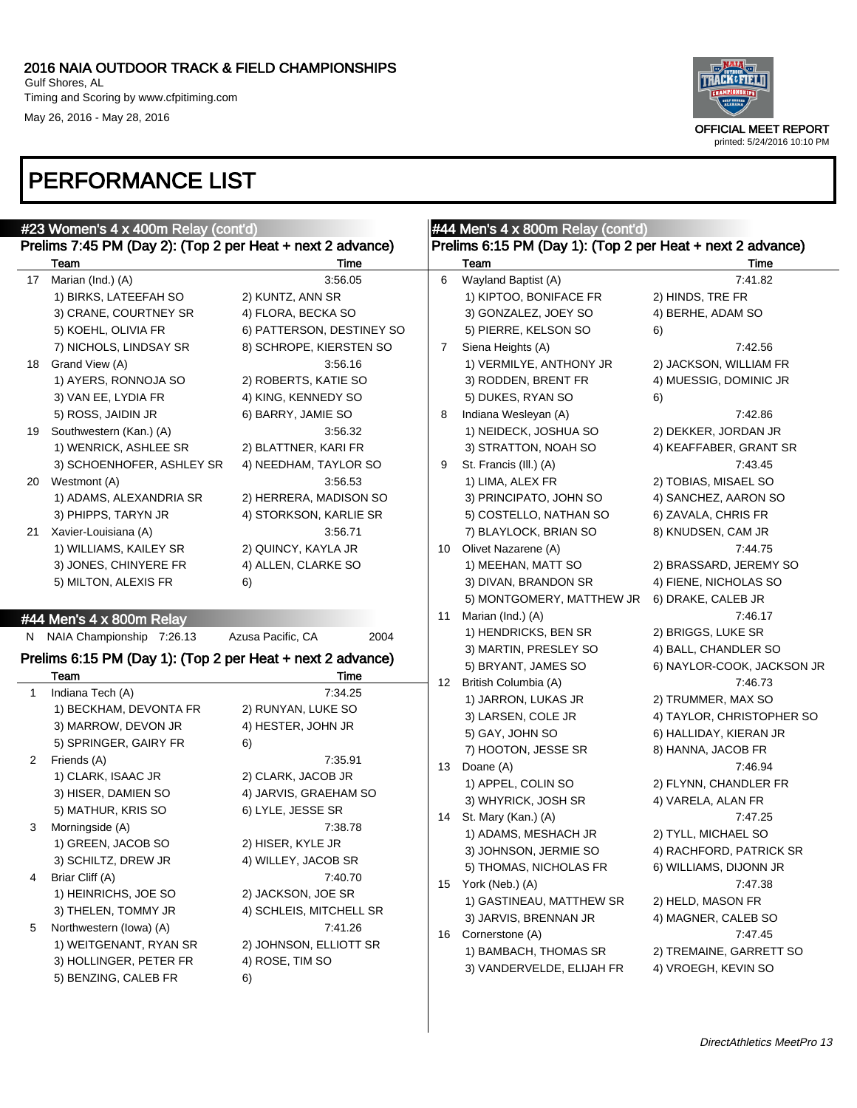#### 2016 NAIA OUTDOOR TRACK & FIELD CHAMPIONSHIPS Gulf Shores, AL Timing and Scoring by www.cfpitiming.com

May 26, 2016 - May 28, 2016



|              | #23 Women's 4 x 400m Relay (cont'd)                        |                                           |             | #44 Men's 4 x 800m Relay (cont'd)                          |                            |
|--------------|------------------------------------------------------------|-------------------------------------------|-------------|------------------------------------------------------------|----------------------------|
|              | Prelims 7:45 PM (Day 2): (Top 2 per Heat + next 2 advance) |                                           |             | Prelims 6:15 PM (Day 1): (Top 2 per Heat + next 2 advance) |                            |
|              | Team                                                       | Time                                      |             | Team                                                       | Time                       |
|              | 17 Marian (Ind.) (A)                                       | 3:56.05                                   | 6           | Wayland Baptist (A)                                        | 7:41.82                    |
|              | 1) BIRKS, LATEEFAH SO                                      | 2) KUNTZ, ANN SR                          |             | 1) KIPTOO, BONIFACE FR                                     | 2) HINDS, TRE FR           |
|              | 3) CRANE, COURTNEY SR                                      | 4) FLORA, BECKA SO                        |             | 3) GONZALEZ, JOEY SO                                       | 4) BERHE, ADAM SO          |
|              | 5) KOEHL, OLIVIA FR                                        | 6) PATTERSON, DESTINEY SO                 |             | 5) PIERRE, KELSON SO                                       | 6)                         |
|              | 7) NICHOLS, LINDSAY SR                                     | 8) SCHROPE, KIERSTEN SO                   | $7^{\circ}$ | Siena Heights (A)                                          | 7:42.56                    |
|              | 18 Grand View (A)                                          | 3:56.16                                   |             | 1) VERMILYE, ANTHONY JR                                    | 2) JACKSON, WILLIAM FR     |
|              | 1) AYERS, RONNOJA SO                                       | 2) ROBERTS, KATIE SO                      |             | 3) RODDEN, BRENT FR                                        | 4) MUESSIG, DOMINIC JR     |
|              | 3) VAN EE, LYDIA FR                                        | 4) KING, KENNEDY SO                       |             | 5) DUKES, RYAN SO                                          | 6)                         |
|              | 5) ROSS, JAIDIN JR                                         | 6) BARRY, JAMIE SO                        | 8           | Indiana Wesleyan (A)                                       | 7:42.86                    |
| 19           | Southwestern (Kan.) (A)                                    | 3:56.32                                   |             | 1) NEIDECK, JOSHUA SO                                      | 2) DEKKER, JORDAN JR       |
|              | 1) WENRICK, ASHLEE SR                                      | 2) BLATTNER, KARI FR                      |             | 3) STRATTON, NOAH SO                                       | 4) KEAFFABER, GRANT SR     |
|              | 3) SCHOENHOFER, ASHLEY SR                                  | 4) NEEDHAM, TAYLOR SO                     | 9           | St. Francis (III.) (A)                                     | 7:43.45                    |
|              | 20 Westmont (A)                                            | 3:56.53                                   |             | 1) LIMA, ALEX FR                                           | 2) TOBIAS, MISAEL SO       |
|              | 1) ADAMS, ALEXANDRIA SR                                    | 2) HERRERA, MADISON SO                    |             | 3) PRINCIPATO, JOHN SO                                     | 4) SANCHEZ, AARON SO       |
|              | 3) PHIPPS, TARYN JR                                        | 4) STORKSON, KARLIE SR                    |             | 5) COSTELLO, NATHAN SO                                     | 6) ZAVALA, CHRIS FR        |
|              | 21 Xavier-Louisiana (A)                                    | 3:56.71                                   |             | 7) BLAYLOCK, BRIAN SO                                      | 8) KNUDSEN, CAM JR         |
|              | 1) WILLIAMS, KAILEY SR                                     | 2) QUINCY, KAYLA JR                       | 10          | Olivet Nazarene (A)                                        | 7:44.75                    |
|              | 3) JONES, CHINYERE FR                                      | 4) ALLEN, CLARKE SO                       |             | 1) MEEHAN, MATT SO                                         | 2) BRASSARD, JEREMY SO     |
|              | 5) MILTON, ALEXIS FR                                       | 6)                                        |             | 3) DIVAN, BRANDON SR                                       | 4) FIENE, NICHOLAS SO      |
|              |                                                            |                                           |             | 5) MONTGOMERY, MATTHEW JR                                  | 6) DRAKE, CALEB JR         |
|              | #44 Men's 4 x 800m Relay                                   |                                           | 11          | Marian (Ind.) (A)                                          | 7:46.17                    |
| N.           | NAIA Championship 7:26.13                                  | Azusa Pacific, CA<br>2004                 |             | 1) HENDRICKS, BEN SR                                       | 2) BRIGGS, LUKE SR         |
|              | Prelims 6:15 PM (Day 1): (Top 2 per Heat + next 2 advance) |                                           |             | 3) MARTIN, PRESLEY SO                                      | 4) BALL, CHANDLER SO       |
|              | Team                                                       | Time                                      |             | 5) BRYANT, JAMES SO                                        | 6) NAYLOR-COOK, JACKSON JR |
| $\mathbf{1}$ | Indiana Tech (A)                                           | 7:34.25                                   | 12          | British Columbia (A)                                       | 7:46.73                    |
|              | 1) BECKHAM, DEVONTA FR                                     | 2) RUNYAN, LUKE SO                        |             | 1) JARRON, LUKAS JR                                        | 2) TRUMMER, MAX SO         |
|              | 3) MARROW, DEVON JR                                        | 4) HESTER, JOHN JR                        |             | 3) LARSEN, COLE JR                                         | 4) TAYLOR, CHRISTOPHER SO  |
|              | 5) SPRINGER, GAIRY FR                                      | 6)                                        |             | 5) GAY, JOHN SO                                            | 6) HALLIDAY, KIERAN JR     |
| 2            | Friends (A)                                                | 7:35.91                                   |             | 7) HOOTON, JESSE SR                                        | 8) HANNA, JACOB FR         |
|              | 1) CLARK, ISAAC JR                                         | 2) CLARK, JACOB JR                        | 13          | Doane (A)                                                  | 7:46.94                    |
|              | 3) HISER, DAMIEN SO                                        | 4) JARVIS, GRAEHAM SO                     |             | 1) APPEL, COLIN SO                                         | 2) FLYNN, CHANDLER FR      |
|              | 5) MATHUR, KRIS SO                                         | 6) LYLE, JESSE SR                         |             | 3) WHYRICK, JOSH SR                                        | 4) VARELA, ALAN FR         |
| 3            | Morningside (A)                                            | 7:38.78                                   | 14          | St. Mary (Kan.) (A)                                        | 7:47.25                    |
|              | 1) GREEN, JACOB SO                                         | 2) HISER, KYLE JR                         |             | 1) ADAMS, MESHACH JR                                       | 2) TYLL, MICHAEL SO        |
|              | 3) SCHILTZ, DREW JR                                        | 4) WILLEY, JACOB SR                       |             | 3) JOHNSON, JERMIE SO                                      | 4) RACHFORD, PATRICK SR    |
| 4            | Briar Cliff (A)                                            | 7:40.70                                   |             | 5) THOMAS, NICHOLAS FR                                     | 6) WILLIAMS, DIJONN JR     |
|              | 1) HEINRICHS, JOE SO                                       | 2) JACKSON, JOE SR                        |             | 15 York (Neb.) (A)                                         | 7:47.38                    |
|              | 3) THELEN, TOMMY JR                                        | 4) SCHLEIS, MITCHELL SR                   |             | 1) GASTINEAU, MATTHEW SR                                   | 2) HELD, MASON FR          |
| 5            | Northwestern (lowa) (A)                                    | 7:41.26                                   |             | 3) JARVIS, BRENNAN JR                                      | 4) MAGNER, CALEB SO        |
|              |                                                            |                                           | 16          | Cornerstone (A)                                            | 7:47.45                    |
|              | 1) WEITGENANT, RYAN SR                                     |                                           |             |                                                            |                            |
|              | 3) HOLLINGER, PETER FR                                     | 2) JOHNSON, ELLIOTT SR<br>4) ROSE, TIM SO |             | 1) BAMBACH, THOMAS SR                                      | 2) TREMAINE, GARRETT SO    |
|              | 5) BENZING, CALEB FR                                       | 6)                                        |             | 3) VANDERVELDE, ELIJAH FR                                  | 4) VROEGH, KEVIN SO        |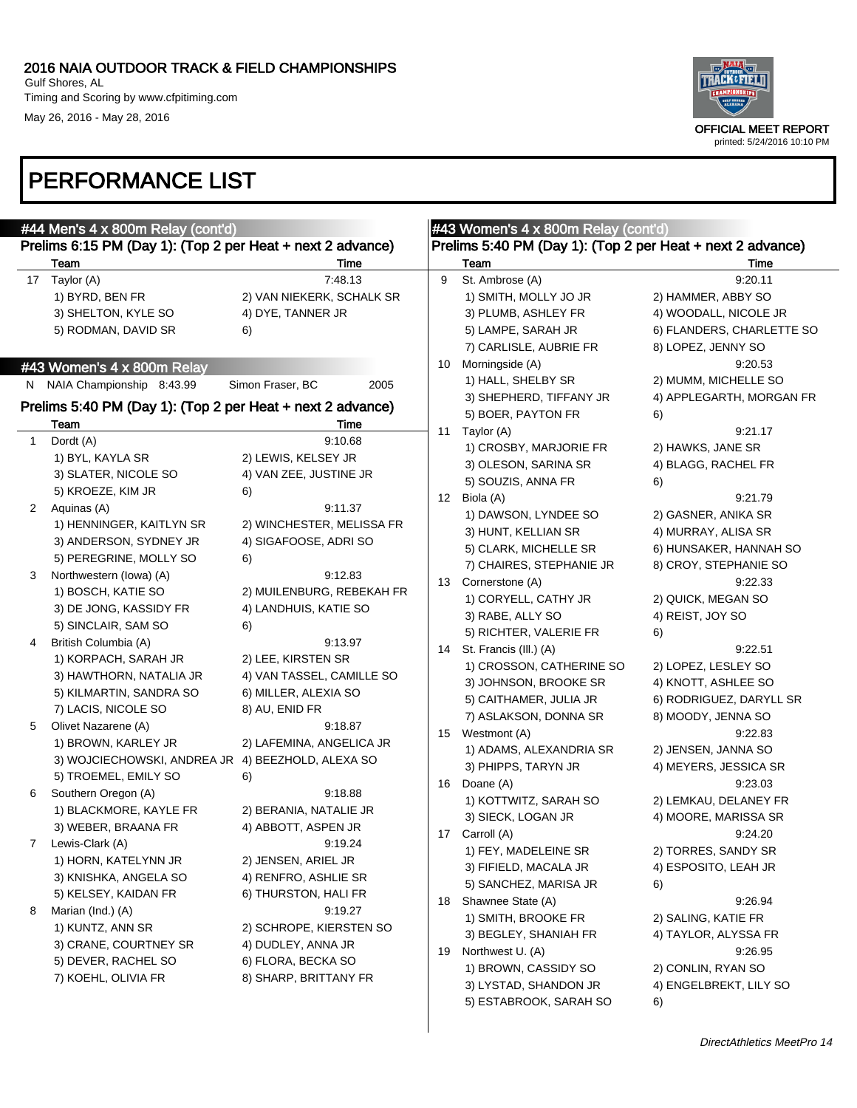

|              | #44 Men's $4 \times 800$ m Relay (cont'd)                  |                           |    | $#43$ Women's $4 \times 800$ m Relay (cont'd)              |                           |
|--------------|------------------------------------------------------------|---------------------------|----|------------------------------------------------------------|---------------------------|
|              | Prelims 6:15 PM (Day 1): (Top 2 per Heat + next 2 advance) |                           |    | Prelims 5:40 PM (Day 1): (Top 2 per Heat + next 2 advance) |                           |
|              | Team                                                       | Time                      |    | Team                                                       | Time                      |
|              | 17 Taylor (A)                                              | 7:48.13                   | 9  | St. Ambrose (A)                                            | 9:20.11                   |
|              | 1) BYRD, BEN FR                                            | 2) VAN NIEKERK, SCHALK SR |    | 1) SMITH, MOLLY JO JR                                      | 2) HAMMER, ABBY SO        |
|              | 3) SHELTON, KYLE SO                                        | 4) DYE, TANNER JR         |    | 3) PLUMB, ASHLEY FR                                        | 4) WOODALL, NICOLE JR     |
|              | 5) RODMAN, DAVID SR                                        | 6)                        |    | 5) LAMPE, SARAH JR                                         | 6) FLANDERS, CHARLETTE SO |
|              |                                                            |                           |    | 7) CARLISLE, AUBRIE FR                                     | 8) LOPEZ, JENNY SO        |
|              | #43 Women's 4 x 800m Relay                                 |                           | 10 | Morningside (A)                                            | 9:20.53                   |
|              | N NAIA Championship 8:43.99                                | Simon Fraser, BC<br>2005  |    | 1) HALL, SHELBY SR                                         | 2) MUMM, MICHELLE SO      |
|              |                                                            |                           |    | 3) SHEPHERD, TIFFANY JR                                    | 4) APPLEGARTH, MORGAN FR  |
|              | Prelims 5:40 PM (Day 1): (Top 2 per Heat + next 2 advance) |                           |    | 5) BOER, PAYTON FR                                         | 6)                        |
|              | Team                                                       | Time                      | 11 | Taylor (A)                                                 | 9:21.17                   |
| $\mathbf{1}$ | Dordt (A)                                                  | 9:10.68                   |    | 1) CROSBY, MARJORIE FR                                     | 2) HAWKS, JANE SR         |
|              | 1) BYL, KAYLA SR                                           | 2) LEWIS, KELSEY JR       |    | 3) OLESON, SARINA SR                                       | 4) BLAGG, RACHEL FR       |
|              | 3) SLATER, NICOLE SO                                       | 4) VAN ZEE, JUSTINE JR    |    | 5) SOUZIS, ANNA FR                                         | 6)                        |
|              | 5) KROEZE, KIM JR                                          | 6)                        | 12 | Biola (A)                                                  | 9:21.79                   |
| $\mathbf{2}$ | Aquinas (A)                                                | 9:11.37                   |    | 1) DAWSON, LYNDEE SO                                       | 2) GASNER, ANIKA SR       |
|              | 1) HENNINGER, KAITLYN SR                                   | 2) WINCHESTER, MELISSA FR |    | 3) HUNT, KELLIAN SR                                        | 4) MURRAY, ALISA SR       |
|              | 3) ANDERSON, SYDNEY JR                                     | 4) SIGAFOOSE, ADRI SO     |    | 5) CLARK, MICHELLE SR                                      | 6) HUNSAKER, HANNAH SO    |
|              | 5) PEREGRINE, MOLLY SO                                     | 6)                        |    | 7) CHAIRES, STEPHANIE JR                                   | 8) CROY, STEPHANIE SO     |
| 3            | Northwestern (lowa) (A)                                    | 9:12.83                   | 13 | Cornerstone (A)                                            | 9:22.33                   |
|              | 1) BOSCH, KATIE SO                                         | 2) MUILENBURG, REBEKAH FR |    | 1) CORYELL, CATHY JR                                       | 2) QUICK, MEGAN SO        |
|              | 3) DE JONG, KASSIDY FR                                     | 4) LANDHUIS, KATIE SO     |    | 3) RABE, ALLY SO                                           | 4) REIST, JOY SO          |
|              | 5) SINCLAIR, SAM SO                                        | 6)                        |    | 5) RICHTER, VALERIE FR                                     | 6)                        |
| 4            | British Columbia (A)                                       | 9:13.97                   | 14 | St. Francis (III.) (A)                                     | 9:22.51                   |
|              | 1) KORPACH, SARAH JR                                       | 2) LEE, KIRSTEN SR        |    | 1) CROSSON, CATHERINE SO                                   | 2) LOPEZ, LESLEY SO       |
|              | 3) HAWTHORN, NATALIA JR                                    | 4) VAN TASSEL, CAMILLE SO |    | 3) JOHNSON, BROOKE SR                                      | 4) KNOTT, ASHLEE SO       |
|              | 5) KILMARTIN, SANDRA SO                                    | 6) MILLER, ALEXIA SO      |    | 5) CAITHAMER, JULIA JR                                     | 6) RODRIGUEZ, DARYLL SR   |
|              | 7) LACIS, NICOLE SO                                        | 8) AU, ENID FR            |    | 7) ASLAKSON, DONNA SR                                      | 8) MOODY, JENNA SO        |
| 5            | Olivet Nazarene (A)                                        | 9:18.87                   | 15 | Westmont (A)                                               | 9:22.83                   |
|              | 1) BROWN, KARLEY JR                                        | 2) LAFEMINA, ANGELICA JR  |    | 1) ADAMS, ALEXANDRIA SR                                    | 2) JENSEN, JANNA SO       |
|              | 3) WOJCIECHOWSKI, ANDREA JR 4) BEEZHOLD, ALEXA SO          |                           |    | 3) PHIPPS, TARYN JR                                        | 4) MEYERS, JESSICA SR     |
|              | 5) TROEMEL, EMILY SO                                       | 6)                        | 16 | Doane (A)                                                  | 9:23.03                   |
| 6            | Southern Oregon (A)                                        | 9:18.88                   |    | 1) KOTTWITZ, SARAH SO                                      | 2) LEMKAU, DELANEY FR     |
|              | 1) BLACKMORE, KAYLE FR                                     | 2) BERANIA, NATALIE JR    |    | 3) SIECK, LOGAN JR                                         | 4) MOORE, MARISSA SR      |
|              | 3) WEBER, BRAANA FR                                        | 4) ABBOTT, ASPEN JR       | 17 | Carroll (A)                                                | 9:24.20                   |
| 7            | Lewis-Clark (A)                                            | 9:19.24                   |    | 1) FEY, MADELEINE SR                                       | 2) TORRES, SANDY SR       |
|              | 1) HORN, KATELYNN JR                                       | 2) JENSEN, ARIEL JR       |    | 3) FIFIELD, MACALA JR                                      | 4) ESPOSITO, LEAH JR      |
|              | 3) KNISHKA, ANGELA SO                                      | 4) RENFRO, ASHLIE SR      |    | 5) SANCHEZ, MARISA JR                                      | 6)                        |
|              | 5) KELSEY, KAIDAN FR                                       | 6) THURSTON, HALI FR      | 18 | Shawnee State (A)                                          | 9.26.94                   |
| 8            | Marian (Ind.) (A)                                          | 9:19.27                   |    | 1) SMITH, BROOKE FR                                        | 2) SALING, KATIE FR       |
|              | 1) KUNTZ, ANN SR                                           | 2) SCHROPE, KIERSTEN SO   |    | 3) BEGLEY, SHANIAH FR                                      | 4) TAYLOR, ALYSSA FR      |
|              | 3) CRANE, COURTNEY SR                                      | 4) DUDLEY, ANNA JR        | 19 | Northwest U. (A)                                           | 9:26.95                   |
|              | 5) DEVER, RACHEL SO                                        | 6) FLORA, BECKA SO        |    | 1) BROWN, CASSIDY SO                                       | 2) CONLIN, RYAN SO        |
|              | 7) KOEHL, OLIVIA FR                                        | 8) SHARP, BRITTANY FR     |    | 3) LYSTAD, SHANDON JR                                      | 4) ENGELBREKT, LILY SO    |
|              |                                                            |                           |    | 5) ESTABROOK, SARAH SO                                     | 6)                        |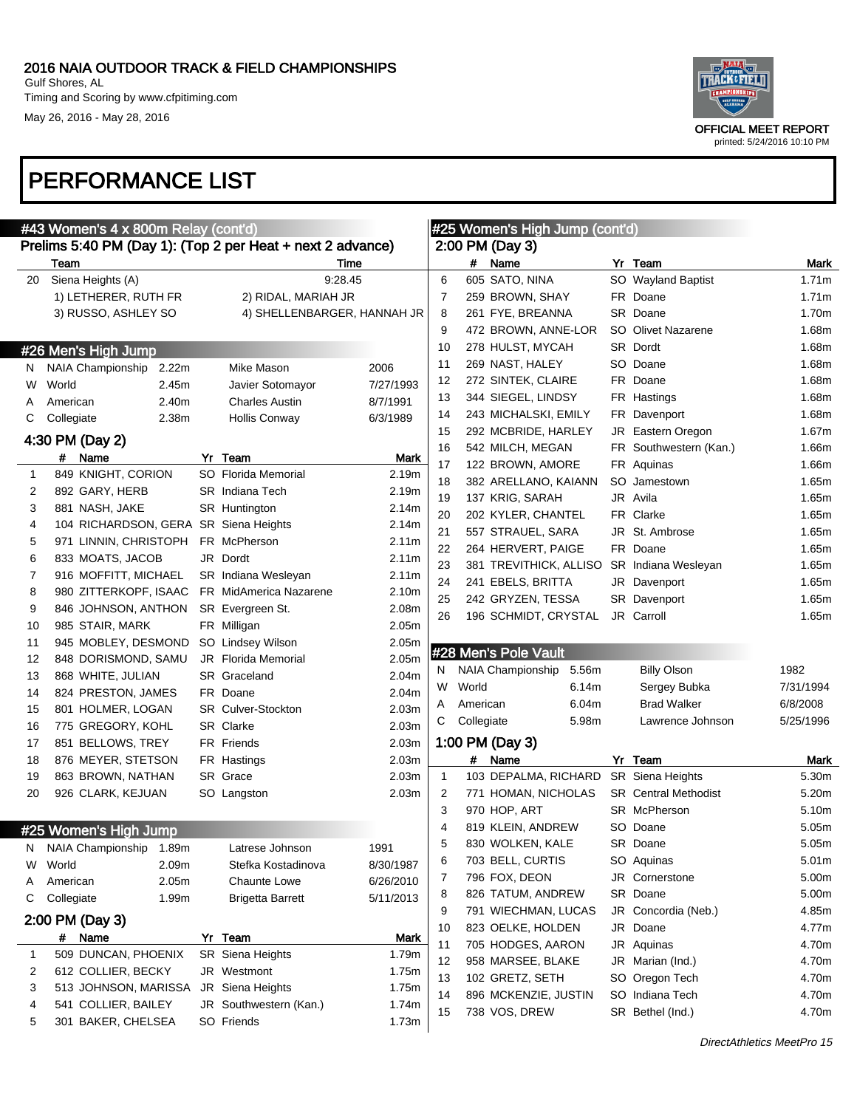

### PERFORMANCE LIST

| #43 Women's 4 x 800m Relay (cont'd) |                                                            |  |                             |           |              | #25 Women's High Jump (cont'd) |                        |       |  |                             |           |
|-------------------------------------|------------------------------------------------------------|--|-----------------------------|-----------|--------------|--------------------------------|------------------------|-------|--|-----------------------------|-----------|
|                                     | Prelims 5:40 PM (Day 1): (Top 2 per Heat + next 2 advance) |  |                             |           |              |                                | 2:00 PM (Day 3)        |       |  |                             |           |
|                                     | Team                                                       |  | Time                        |           |              | #                              | Name                   |       |  | Yr Team                     | Mark      |
| 20                                  | Siena Heights (A)                                          |  | 9:28.45                     |           | 6            |                                | 605 SATO, NINA         |       |  | SO Wayland Baptist          | 1.71m     |
|                                     | 1) LETHERER, RUTH FR                                       |  | 2) RIDAL, MARIAH JR         |           | 7            |                                | 259 BROWN, SHAY        |       |  | FR Doane                    | 1.71m     |
|                                     | 3) RUSSO, ASHLEY SO                                        |  | 4) SHELLENBARGER, HANNAH JR |           | 8            |                                | 261 FYE, BREANNA       |       |  | SR Doane                    | 1.70m     |
|                                     |                                                            |  |                             |           | 9            |                                | 472 BROWN, ANNE-LOR    |       |  | SO Olivet Nazarene          | 1.68m     |
|                                     | #26 Men's High Jump                                        |  |                             |           | 10           |                                | 278 HULST, MYCAH       |       |  | SR Dordt                    | 1.68m     |
| N.                                  | NAIA Championship<br>2.22m                                 |  | Mike Mason                  | 2006      | 11           |                                | 269 NAST, HALEY        |       |  | SO Doane                    | 1.68m     |
| W                                   | World<br>2.45m                                             |  | Javier Sotomayor            | 7/27/1993 | 12           |                                | 272 SINTEK, CLAIRE     |       |  | FR Doane                    | 1.68m     |
| A                                   | 2.40m<br>American                                          |  | <b>Charles Austin</b>       | 8/7/1991  | 13           |                                | 344 SIEGEL, LINDSY     |       |  | FR Hastings                 | 1.68m     |
| C                                   | 2.38m<br>Collegiate                                        |  | <b>Hollis Conway</b>        | 6/3/1989  | 14           |                                | 243 MICHALSKI, EMILY   |       |  | FR Davenport                | 1.68m     |
|                                     |                                                            |  |                             |           | 15           |                                | 292 MCBRIDE, HARLEY    |       |  | JR Eastern Oregon           | 1.67m     |
|                                     | 4:30 PM (Day 2)                                            |  |                             |           | 16           |                                | 542 MILCH, MEGAN       |       |  | FR Southwestern (Kan.)      | 1.66m     |
|                                     | # Name                                                     |  | Yr Team                     | Mark      | 17           |                                | 122 BROWN, AMORE       |       |  | FR Aquinas                  | 1.66m     |
| 1                                   | 849 KNIGHT, CORION                                         |  | SO Florida Memorial         | 2.19m     | 18           |                                | 382 ARELLANO, KAIANN   |       |  | SO Jamestown                | 1.65m     |
| 2                                   | 892 GARY, HERB                                             |  | <b>SR</b> Indiana Tech      | 2.19m     | 19           |                                | 137 KRIG, SARAH        |       |  | JR Avila                    | 1.65m     |
| 3                                   | 881 NASH, JAKE                                             |  | SR Huntington               | 2.14m     | 20           |                                | 202 KYLER, CHANTEL     |       |  | FR Clarke                   | 1.65m     |
| 4                                   | 104 RICHARDSON, GERA SR Siena Heights                      |  |                             | 2.14m     | 21           |                                | 557 STRAUEL, SARA      |       |  | JR St. Ambrose              | 1.65m     |
| 5                                   | 971 LINNIN, CHRISTOPH                                      |  | FR McPherson                | 2.11m     | 22           |                                | 264 HERVERT, PAIGE     |       |  | FR Doane                    | 1.65m     |
| 6                                   | 833 MOATS, JACOB                                           |  | JR Dordt                    | 2.11m     | 23           |                                | 381 TREVITHICK, ALLISO |       |  | SR Indiana Wesleyan         | 1.65m     |
| 7                                   | 916 MOFFITT, MICHAEL                                       |  | SR Indiana Wesleyan         | 2.11m     | 24           |                                | 241 EBELS, BRITTA      |       |  | JR Davenport                | 1.65m     |
| 8                                   | 980 ZITTERKOPF, ISAAC                                      |  | FR MidAmerica Nazarene      | 2.10m     | 25           |                                | 242 GRYZEN, TESSA      |       |  | SR Davenport                | 1.65m     |
| 9                                   | 846 JOHNSON, ANTHON                                        |  | SR Evergreen St.            | 2.08m     | 26           |                                | 196 SCHMIDT, CRYSTAL   |       |  | JR Carroll                  | 1.65m     |
| 10                                  | 985 STAIR, MARK                                            |  | FR Milligan                 | 2.05m     |              |                                |                        |       |  |                             |           |
| 11                                  | 945 MOBLEY, DESMOND                                        |  | SO Lindsey Wilson           | 2.05m     |              |                                | #28 Men's Pole Vault   |       |  |                             |           |
| 12                                  | 848 DORISMOND, SAMU                                        |  | JR Florida Memorial         | 2.05m     | N            |                                | NAIA Championship      | 5.56m |  | <b>Billy Olson</b>          | 1982      |
| 13                                  | 868 WHITE, JULIAN                                          |  | SR Graceland                | 2.04m     | W            | World                          |                        | 6.14m |  | Sergey Bubka                | 7/31/1994 |
| 14                                  | 824 PRESTON, JAMES                                         |  | FR Doane                    | 2.04m     | Α            | American                       |                        | 6.04m |  | <b>Brad Walker</b>          | 6/8/2008  |
| 15                                  | 801 HOLMER, LOGAN                                          |  | <b>SR</b> Culver-Stockton   | 2.03m     | С            | Collegiate                     |                        | 5.98m |  | Lawrence Johnson            | 5/25/1996 |
| 16                                  | 775 GREGORY, KOHL                                          |  | SR Clarke                   | 2.03m     |              |                                |                        |       |  |                             |           |
| 17                                  | 851 BELLOWS, TREY                                          |  | FR Friends                  | 2.03m     |              |                                | 1:00 PM (Day 3)        |       |  |                             |           |
| 18                                  | 876 MEYER, STETSON                                         |  | FR Hastings                 | 2.03m     |              | #                              | Name                   |       |  | Yr Team                     | Mark      |
| 19                                  | 863 BROWN, NATHAN                                          |  | SR Grace                    | 2.03m     | $\mathbf{1}$ |                                | 103 DEPALMA, RICHARD   |       |  | <b>SR</b> Siena Heights     | 5.30m     |
| 20                                  | 926 CLARK, KEJUAN                                          |  | SO Langston                 | 2.03m     | 2            |                                | 771 HOMAN, NICHOLAS    |       |  | <b>SR</b> Central Methodist | 5.20m     |
|                                     |                                                            |  |                             |           | 3            |                                | 970 HOP, ART           |       |  | SR McPherson                | 5.10m     |
|                                     | #25 Women's High Jump                                      |  |                             |           | 4            |                                | 819 KLEIN, ANDREW      |       |  | SO Doane                    | 5.05m     |
|                                     | N NAIA Championship 1.89m                                  |  | Latrese Johnson             | 1991      | 5            |                                | 830 WOLKEN, KALE       |       |  | SR Doane                    | 5.05m     |
| W                                   | World<br>2.09m                                             |  | Stefka Kostadinova          | 8/30/1987 | 6            |                                | 703 BELL, CURTIS       |       |  | SO Aquinas                  | 5.01m     |
| A                                   | 2.05m<br>American                                          |  | Chaunte Lowe                | 6/26/2010 | $\prime$     |                                | 796 FOX, DEON          |       |  | JR Cornerstone              | 5.00m     |
| С                                   | Collegiate<br>1.99m                                        |  | <b>Brigetta Barrett</b>     | 5/11/2013 | 8            |                                | 826 TATUM, ANDREW      |       |  | SR Doane                    | 5.00m     |
|                                     | 2:00 PM (Day 3)                                            |  |                             |           | 9            |                                | 791 WIECHMAN, LUCAS    |       |  | JR Concordia (Neb.)         | 4.85m     |
|                                     | # Name                                                     |  | Yr Team                     | Mark      | 10           |                                | 823 OELKE, HOLDEN      |       |  | JR Doane                    | 4.77m     |
| 1                                   | 509 DUNCAN, PHOENIX                                        |  | SR Siena Heights            | 1.79m     | 11           |                                | 705 HODGES, AARON      |       |  | JR Aquinas                  | 4.70m     |
| 2                                   | 612 COLLIER, BECKY                                         |  | JR Westmont                 | 1.75m     | 12           |                                | 958 MARSEE, BLAKE      |       |  | JR Marian (Ind.)            | 4.70m     |
| 3                                   | 513 JOHNSON, MARISSA                                       |  | JR Siena Heights            | 1.75m     | 13           |                                | 102 GRETZ, SETH        |       |  | SO Oregon Tech              | 4.70m     |
| 4                                   | 541 COLLIER, BAILEY                                        |  | JR Southwestern (Kan.)      | 1.74m     | 14           |                                | 896 MCKENZIE, JUSTIN   |       |  | SO Indiana Tech             | 4.70m     |
| 5                                   | 301 BAKER, CHELSEA                                         |  | SO Friends                  | 1.73m     | 15           |                                | 738 VOS, DREW          |       |  | SR Bethel (Ind.)            | 4.70m     |
|                                     |                                                            |  |                             |           |              |                                |                        |       |  |                             |           |

DirectAthletics MeetPro 15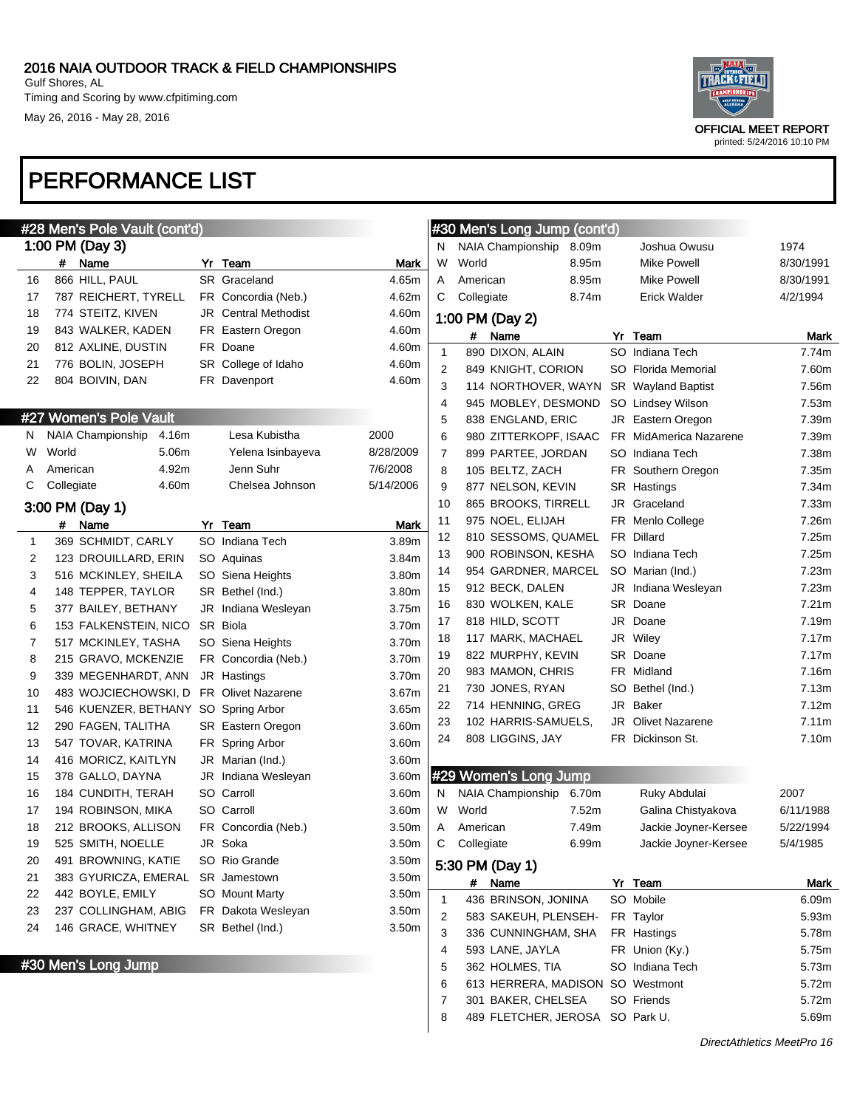

printed: 5/24/2016 10:10 PM

# PERFORMANCE LIST

|    |            | #28 Men's Pole Vault (cont'd) |       |                             |             |
|----|------------|-------------------------------|-------|-----------------------------|-------------|
|    |            | 1:00 PM (Day 3)               |       |                             |             |
|    | #          | Name                          |       | Yr Team                     | Mark        |
| 16 |            | 866 HILL, PAUL                |       | <b>SR</b> Graceland         | 4.65m       |
| 17 |            | 787 REICHERT, TYRELL          |       | FR Concordia (Neb.)         | 4.62m       |
| 18 |            | 774 STEITZ, KIVEN             |       | <b>JR</b> Central Methodist | 4.60m       |
| 19 |            | 843 WALKER, KADEN             |       | FR Eastern Oregon           | 4.60m       |
| 20 |            | 812 AXLINE, DUSTIN            |       | FR Doane                    | 4.60m       |
| 21 |            | 776 BOLIN, JOSEPH             |       | SR College of Idaho         | 4.60m       |
| 22 |            | 804 BOIVIN, DAN               |       | FR Davenport                | 4.60m       |
|    |            |                               |       |                             |             |
|    |            | #27 Women's Pole Vault        |       |                             |             |
| Ν  |            | <b>NAIA Championship</b>      | 4.16m | Lesa Kubistha               | 2000        |
| W  | World      |                               | 5.06m | Yelena Isinbayeva           | 8/28/2009   |
| Α  | American   |                               | 4.92m | Jenn Suhr                   | 7/6/2008    |
| С  | Collegiate |                               | 4.60m | Chelsea Johnson             | 5/14/2006   |
|    |            | 3:00 PM (Day 1)               |       |                             |             |
|    | #          | Name                          |       | Yr Team                     | <b>Mark</b> |
| 1  |            | 369 SCHMIDT, CARLY            |       | SO Indiana Tech             | 3.89m       |
| 2  |            | 123 DROUILLARD, ERIN          |       | SO Aquinas                  | 3.84m       |
| 3  |            | 516 MCKINLEY, SHEILA          |       | SO Siena Heights            | 3.80m       |
| 4  |            | 148 TEPPER, TAYLOR            |       | SR Bethel (Ind.)            | 3.80m       |
| 5  |            | 377 BAILEY, BETHANY           |       | JR Indiana Wesleyan         | 3.75m       |
| 6  |            | 153 FALKENSTEIN, NICO         |       | SR Biola                    | 3.70m       |
| 7  |            | 517 MCKINLEY, TASHA           |       | SO Siena Heights            | 3.70m       |
| 8  |            | 215 GRAVO, MCKENZIE           |       | FR Concordia (Neb.)         | 3.70m       |
| 9  |            | 339 MEGENHARDT, ANN           |       | JR Hastings                 | 3.70m       |
| 10 |            | 483 WOJCIECHOWSKI, D          |       | <b>FR</b> Olivet Nazarene   | 3.67m       |
| 11 |            | 546 KUENZER, BETHANY          |       | SO Spring Arbor             | 3.65m       |
| 12 |            | 290 FAGEN, TALITHA            |       | SR Eastern Oregon           | 3.60m       |
| 13 |            | 547 TOVAR, KATRINA            |       | FR Spring Arbor             | 3.60m       |
| 14 |            | 416 MORICZ, KAITLYN           |       | JR Marian (Ind.)            | 3.60m       |
| 15 |            | 378 GALLO, DAYNA              |       | JR Indiana Wesleyan         | 3.60m       |
| 16 |            | 184 CUNDITH, TERAH            |       | SO Carroll                  | 3.60m       |
| 17 |            | 194 ROBINSON, MIKA            |       | SO Carroll                  | 3.60m       |
| 18 |            | 212 BROOKS, ALLISON           |       | FR Concordia (Neb.)         | 3.50m       |
| 19 |            | 525 SMITH, NOELLE             |       | JR Soka                     | 3.50m       |
| 20 |            | 491 BROWNING, KATIE           |       | SO Rio Grande               | 3.50m       |
| 21 |            | 383 GYURICZA, EMERAL          |       | <b>SR</b> Jamestown         | 3.50m       |
| 22 |            | 442 BOYLE, EMILY              |       | <b>SO</b> Mount Marty       | 3.50m       |
| 23 |            | 237 COLLINGHAM, ABIG          |       | FR Dakota Wesleyan          | 3.50m       |
| 24 |            | 146 GRACE, WHITNEY            |       | SR Bethel (Ind.)            | 3.50m       |
|    |            |                               |       |                             |             |

#30 Men's Long Jump

|                | #30 Men's Long Jump (cont'd) |       |                           |           |
|----------------|------------------------------|-------|---------------------------|-----------|
| N              | NAIA Championship            | 8.09m | Joshua Owusu              | 1974      |
| W              | World                        | 8.95m | Mike Powell               | 8/30/1991 |
| Α              | American                     | 8.95m | Mike Powell               | 8/30/1991 |
| C              | Collegiate                   | 8.74m | <b>Erick Walder</b>       | 4/2/1994  |
|                | 1:00 PM (Day 2)              |       |                           |           |
|                | #<br>Name                    |       | Yr Team                   | Mark      |
| 1              | 890 DIXON, ALAIN             |       | SO Indiana Tech           | 7.74m     |
| 2              | 849 KNIGHT, CORION           |       | SO Florida Memorial       | 7.60m     |
| 3              | 114 NORTHOVER, WAYN          |       | <b>SR</b> Wayland Baptist | 7.56m     |
| 4              | 945 MOBLEY, DESMOND          |       | SO Lindsey Wilson         | 7.53m     |
| 5              | 838 ENGLAND, ERIC            |       | JR Eastern Oregon         | 7.39m     |
| 6              | 980 ZITTERKOPF, ISAAC        |       | FR MidAmerica Nazarene    | 7.39m     |
| 7              | 899 PARTEE, JORDAN           |       | SO Indiana Tech           | 7.38m     |
| 8              | 105 BELTZ, ZACH              |       | FR Southern Oregon        | 7.35m     |
| 9              | 877 NELSON, KEVIN            |       | SR Hastings               | 7.34m     |
| 10             | 865 BROOKS, TIRRELL          |       | JR Graceland              | 7.33m     |
| 11             | 975 NOEL, ELIJAH             |       | FR Menlo College          | 7.26m     |
| 12             | 810 SESSOMS, QUAMEL          |       | FR Dillard                | 7.25m     |
| 13             | 900 ROBINSON, KESHA          |       | SO Indiana Tech           | 7.25m     |
| 14             | 954 GARDNER, MARCEL          |       | SO Marian (Ind.)          | 7.23m     |
| 15             | 912 BECK, DALEN              |       | JR Indiana Wesleyan       | 7.23m     |
| 16             | 830 WOLKEN, KALE             |       | SR Doane                  | 7.21m     |
| 17             | 818 HILD, SCOTT              |       | JR Doane                  | 7.19m     |
| 18             | 117 MARK, MACHAEL            |       | JR Wiley                  | 7.17m     |
| 19             | 822 MURPHY, KEVIN            |       | SR Doane                  | 7.17m     |
| 20             | 983 MAMON, CHRIS             |       | FR Midland                | 7.16m     |
| 21             | 730 JONES, RYAN              |       | SO Bethel (Ind.)          | 7.13m     |
| 22             | 714 HENNING, GREG            |       | JR Baker                  | 7.12m     |
| 23             | 102 HARRIS-SAMUELS,          |       | JR Olivet Nazarene        | 7.11m     |
| 24             | 808 LIGGINS, JAY             |       | FR Dickinson St.          | 7.10m     |
|                |                              |       |                           |           |
|                | #29 Women's Long Jump        |       |                           |           |
| Ν              | NAIA Championship            | 6.70m | Ruky Abdulai              | 2007      |
| W              | World                        | 7.52m | Galina Chistyakova        | 6/11/1988 |
| Α              | American                     | 7.49m | Jackie Joyner-Kersee      | 5/22/1994 |
| С              | Collegiate                   | 6.99m | Jackie Joyner-Kersee      | 5/4/1985  |
|                | 5:30 PM (Day 1)              |       |                           |           |
|                | #<br>Name                    |       | Yr Team                   | Mark      |
| 1              | 436 BRINSON, JONINA          |       | SO Mobile                 | 6.09m     |
| $\overline{2}$ | 583 SAKEUH, PLENSEH-         |       | FR Taylor                 | 5.93m     |
| 3              | 336 CUNNINGHAM, SHA          |       | FR Hastings               | 5.78m     |

4 593 LANE, JAYLA FR Union (Ky.) 5.75m 5 362 HOLMES, TIA SO Indiana Tech 5.73m 613 HERRERA, MADISON SO Westmont 5.72m 7 301 BAKER, CHELSEA SO Friends 5.72m 8 489 FLETCHER, JEROSA SO Park U. 65.69m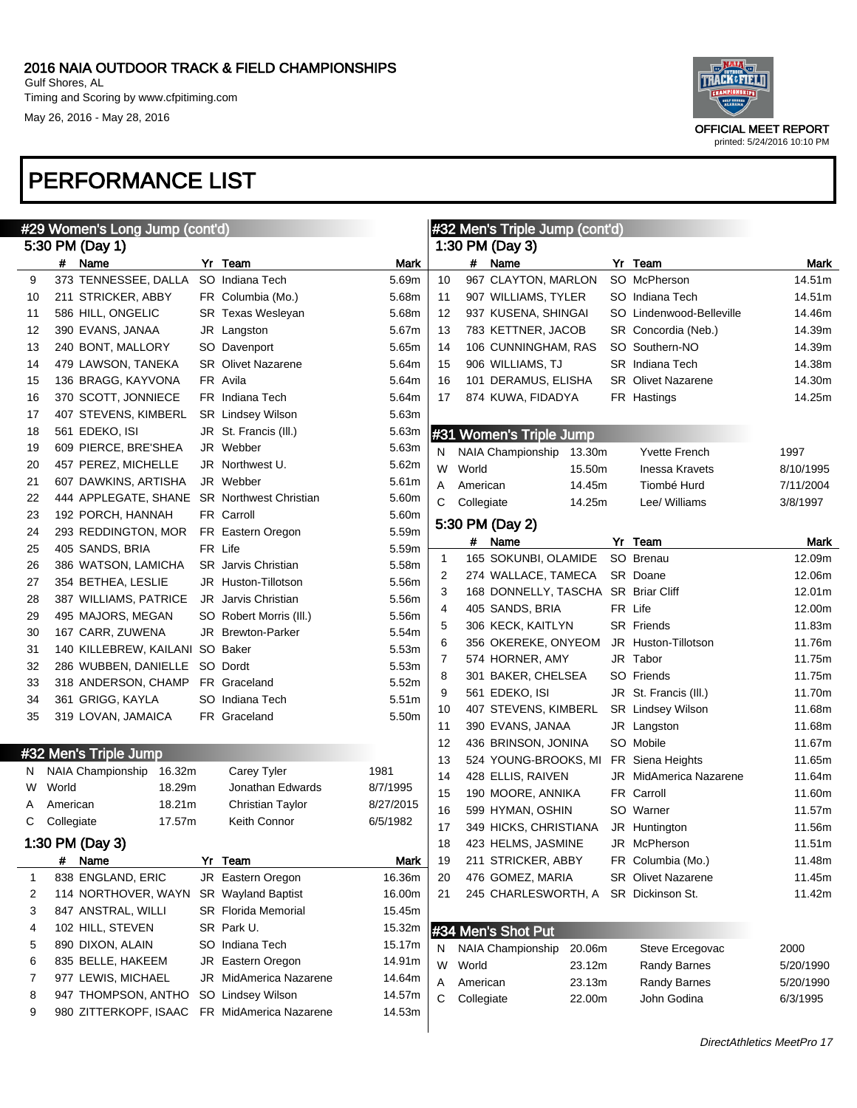

| #29 Women's Long Jump (cont'd) |            |                                 |        |  |                                             |           | #32 Men's Triple Jump (cont'd) |            |                                    |  |                               |           |
|--------------------------------|------------|---------------------------------|--------|--|---------------------------------------------|-----------|--------------------------------|------------|------------------------------------|--|-------------------------------|-----------|
|                                |            | 5:30 PM (Day 1)                 |        |  |                                             |           |                                |            | 1:30 PM (Day 3)                    |  |                               |           |
|                                |            | # Name                          |        |  | Yr Team                                     | Mark      |                                |            | # Name                             |  | Yr Team                       | Mark      |
| 9                              |            | 373 TENNESSEE, DALLA            |        |  | SO Indiana Tech                             | 5.69m     | 10                             |            | 967 CLAYTON, MARLON                |  | SO McPherson                  | 14.51m    |
| 10                             |            | 211 STRICKER, ABBY              |        |  | FR Columbia (Mo.)                           | 5.68m     | 11                             |            | 907 WILLIAMS, TYLER                |  | SO Indiana Tech               | 14.51m    |
| 11                             |            | 586 HILL, ONGELIC               |        |  | <b>SR Texas Wesleyan</b>                    | 5.68m     | 12                             |            | 937 KUSENA, SHINGAI                |  | SO Lindenwood-Belleville      | 14.46m    |
| 12                             |            | 390 EVANS, JANAA                |        |  | JR Langston                                 | 5.67m     | 13                             |            | 783 KETTNER, JACOB                 |  | SR Concordia (Neb.)           | 14.39m    |
| 13                             |            | 240 BONT, MALLORY               |        |  | SO Davenport                                | 5.65m     | 14                             |            | 106 CUNNINGHAM, RAS                |  | SO Southern-NO                | 14.39m    |
| 14                             |            | 479 LAWSON, TANEKA              |        |  | <b>SR</b> Olivet Nazarene                   | 5.64m     | 15                             |            | 906 WILLIAMS, TJ                   |  | <b>SR</b> Indiana Tech        | 14.38m    |
| 15                             |            | 136 BRAGG, KAYVONA              |        |  | FR Avila                                    | 5.64m     | 16                             |            | 101 DERAMUS, ELISHA                |  | <b>SR</b> Olivet Nazarene     | 14.30m    |
| 16                             |            | 370 SCOTT, JONNIECE             |        |  | FR Indiana Tech                             | 5.64m     | 17                             |            | 874 KUWA, FIDADYA                  |  | FR Hastings                   | 14.25m    |
| 17                             |            | 407 STEVENS, KIMBERL            |        |  | <b>SR</b> Lindsey Wilson                    | 5.63m     |                                |            |                                    |  |                               |           |
| 18                             |            | 561 EDEKO, ISI                  |        |  | JR St. Francis (III.)                       | 5.63m     |                                |            | #31 Women's Triple Jump            |  |                               |           |
| 19                             |            | 609 PIERCE, BRE'SHEA            |        |  | JR Webber                                   | 5.63m     | N                              |            | <b>NAIA Championship</b><br>13.30m |  | <b>Yvette French</b>          | 1997      |
| 20                             |            | 457 PEREZ, MICHELLE             |        |  | JR Northwest U.                             | 5.62m     | W                              | World      | 15.50m                             |  | <b>Inessa Kravets</b>         | 8/10/1995 |
| 21                             |            | 607 DAWKINS, ARTISHA            |        |  | JR Webber                                   | 5.61m     | Α                              | American   | 14.45m                             |  | Tiombé Hurd                   | 7/11/2004 |
| 22                             |            |                                 |        |  | 444 APPLEGATE, SHANE SR Northwest Christian | 5.60m     | С                              | Collegiate | 14.25m                             |  | Lee/ Williams                 | 3/8/1997  |
| 23                             |            | 192 PORCH, HANNAH               |        |  | FR Carroll                                  | 5.60m     |                                |            |                                    |  |                               |           |
| 24                             |            | 293 REDDINGTON, MOR             |        |  | FR Eastern Oregon                           | 5.59m     |                                |            | 5:30 PM (Day 2)                    |  |                               |           |
| 25                             |            | 405 SANDS, BRIA                 |        |  | FR Life                                     | 5.59m     |                                | #          | Name                               |  | Yr Team                       | Mark      |
| 26                             |            | 386 WATSON, LAMICHA             |        |  | <b>SR</b> Jarvis Christian                  | 5.58m     | $\mathbf{1}$                   |            | 165 SOKUNBI, OLAMIDE               |  | SO Brenau                     | 12.09m    |
| 27                             |            | 354 BETHEA, LESLIE              |        |  | JR Huston-Tillotson                         | 5.56m     | 2                              |            | 274 WALLACE, TAMECA                |  | SR Doane                      | 12.06m    |
| 28                             |            | 387 WILLIAMS, PATRICE           |        |  | JR Jarvis Christian                         | 5.56m     | 3                              |            | 168 DONNELLY, TASCHA               |  | <b>SR Briar Cliff</b>         | 12.01m    |
| 29                             |            | 495 MAJORS, MEGAN               |        |  | SO Robert Morris (III.)                     | 5.56m     | 4                              |            | 405 SANDS, BRIA                    |  | FR Life                       | 12.00m    |
| 30                             |            | 167 CARR, ZUWENA                |        |  | JR Brewton-Parker                           | 5.54m     | 5                              |            | 306 KECK, KAITLYN                  |  | SR Friends                    | 11.83m    |
| 31                             |            | 140 KILLEBREW, KAILANI SO Baker |        |  |                                             | 5.53m     | 6                              |            | 356 OKEREKE, ONYEOM                |  | JR Huston-Tillotson           | 11.76m    |
| 32                             |            | 286 WUBBEN, DANIELLE SO Dordt   |        |  |                                             | 5.53m     | 7                              |            | 574 HORNER, AMY                    |  | JR Tabor                      | 11.75m    |
| 33                             |            | 318 ANDERSON, CHAMP             |        |  | FR Graceland                                | 5.52m     | 8                              |            | 301 BAKER, CHELSEA                 |  | SO Friends                    | 11.75m    |
| 34                             |            | 361 GRIGG, KAYLA                |        |  | SO Indiana Tech                             | 5.51m     | 9                              |            | 561 EDEKO, ISI                     |  | JR St. Francis (III.)         | 11.70m    |
| 35                             |            | 319 LOVAN, JAMAICA              |        |  | FR Graceland                                | 5.50m     | 10                             |            | 407 STEVENS, KIMBERL               |  | <b>SR</b> Lindsey Wilson      | 11.68m    |
|                                |            |                                 |        |  |                                             |           | 11                             |            | 390 EVANS, JANAA                   |  | JR Langston                   | 11.68m    |
|                                |            | #32 Men's Triple Jump           |        |  |                                             |           | 12                             |            | 436 BRINSON, JONINA                |  | SO Mobile                     | 11.67m    |
| N                              |            | NAIA Championship               | 16.32m |  | Carey Tyler                                 | 1981      | 13                             |            | 524 YOUNG-BROOKS, MI               |  | FR Siena Heights              | 11.65m    |
| W                              | World      |                                 | 18.29m |  | Jonathan Edwards                            | 8/7/1995  | 14                             |            | 428 ELLIS, RAIVEN                  |  | <b>JR</b> MidAmerica Nazarene | 11.64m    |
| Α                              | American   |                                 | 18.21m |  | <b>Christian Taylor</b>                     | 8/27/2015 | 15                             |            | 190 MOORE, ANNIKA                  |  | FR Carroll                    | 11.60m    |
| С                              | Collegiate |                                 | 17.57m |  | Keith Connor                                | 6/5/1982  | 16                             |            | 599 HYMAN, OSHIN                   |  | SO Warner                     | 11.57m    |
|                                |            |                                 |        |  |                                             |           | 17                             |            | 349 HICKS, CHRISTIANA              |  | JR Huntington                 | 11.56m    |
|                                |            | 1:30 PM (Day 3)                 |        |  |                                             |           | 18                             |            | 423 HELMS, JASMINE                 |  | JR McPherson                  | 11.51m    |
|                                |            | # Name                          |        |  | Yr Team                                     | Mark      | 19                             |            | 211 STRICKER, ABBY                 |  | FR Columbia (Mo.)             | 11.48m    |
| 1                              |            | 838 ENGLAND, ERIC               |        |  | JR Eastern Oregon                           | 16.36m    | 20                             |            | 476 GOMEZ, MARIA                   |  | SR Olivet Nazarene            | 11.45m    |
| 2                              |            | 114 NORTHOVER, WAYN             |        |  | <b>SR</b> Wayland Baptist                   | 16.00m    | 21                             |            | 245 CHARLESWORTH, A                |  | SR Dickinson St.              | 11.42m    |
| 3                              |            | 847 ANSTRAL, WILLI              |        |  | <b>SR</b> Florida Memorial                  | 15.45m    |                                |            |                                    |  |                               |           |
| 4                              |            | 102 HILL, STEVEN                |        |  | SR Park U.                                  | 15.32m    |                                |            | #34 Men's Shot Put                 |  |                               |           |
| 5                              |            | 890 DIXON, ALAIN                |        |  | SO Indiana Tech                             | 15.17m    | N                              |            | NAIA Championship<br>20.06m        |  | Steve Ercegovac               | 2000      |
| 6                              |            | 835 BELLE, HAKEEM               |        |  | JR Eastern Oregon                           | 14.91m    | W                              | World      | 23.12m                             |  | <b>Randy Barnes</b>           | 5/20/1990 |
| 7                              |            | 977 LEWIS, MICHAEL              |        |  | JR MidAmerica Nazarene                      | 14.64m    | A                              | American   | 23.13m                             |  | <b>Randy Barnes</b>           | 5/20/1990 |
| 8                              |            | 947 THOMPSON, ANTHO             |        |  | SO Lindsey Wilson                           | 14.57m    | С                              | Collegiate | 22.00m                             |  | John Godina                   | 6/3/1995  |
| 9                              |            | 980 ZITTERKOPF, ISAAC           |        |  | FR MidAmerica Nazarene                      | 14.53m    |                                |            |                                    |  |                               |           |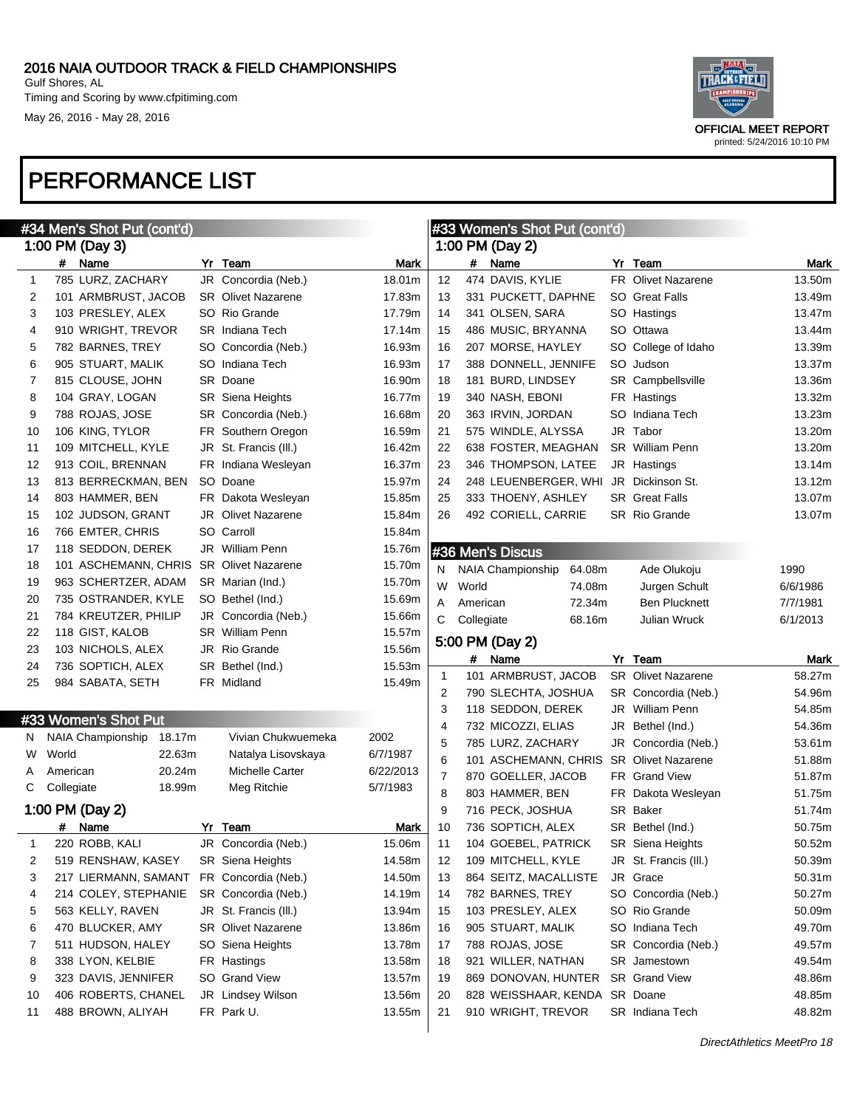

| #34 Men's Shot Put (cont'd) |            |                             |    |                           |           |             |            | #33 Women's Shot Put (cont'd)      |                           |          |
|-----------------------------|------------|-----------------------------|----|---------------------------|-----------|-------------|------------|------------------------------------|---------------------------|----------|
|                             |            | 1:00 PM (Day 3)             |    |                           |           |             |            | 1:00 PM (Day 2)                    |                           |          |
|                             |            | # Name                      |    | Yr Team                   | Mark      |             |            | # Name                             | Yr Team                   | Mark     |
| 1                           |            | 785 LURZ, ZACHARY           |    | JR Concordia (Neb.)       | 18.01m    | 12          |            | 474 DAVIS, KYLIE                   | <b>FR</b> Olivet Nazarene | 13.50m   |
| 2                           |            | 101 ARMBRUST, JACOB         |    | <b>SR</b> Olivet Nazarene | 17.83m    | 13          |            | 331 PUCKETT, DAPHNE                | <b>SO</b> Great Falls     | 13.49m   |
| 3                           |            | 103 PRESLEY, ALEX           |    | SO Rio Grande             | 17.79m    | 14          |            | 341 OLSEN, SARA                    | SO Hastings               | 13.47m   |
| 4                           |            | 910 WRIGHT, TREVOR          |    | <b>SR</b> Indiana Tech    | 17.14m    | 15          |            | 486 MUSIC, BRYANNA                 | SO Ottawa                 | 13.44m   |
| 5                           |            | 782 BARNES, TREY            |    | SO Concordia (Neb.)       | 16.93m    | 16          |            | 207 MORSE, HAYLEY                  | SO College of Idaho       | 13.39m   |
| 6                           |            | 905 STUART, MALIK           |    | SO Indiana Tech           | 16.93m    | 17          |            | 388 DONNELL, JENNIFE               | SO Judson                 | 13.37m   |
| 7                           |            | 815 CLOUSE, JOHN            |    | SR Doane                  | 16.90m    | 18          |            | 181 BURD, LINDSEY                  | SR Campbellsville         | 13.36m   |
| 8                           |            | 104 GRAY, LOGAN             |    | SR Siena Heights          | 16.77m    | 19          |            | 340 NASH, EBONI                    | FR Hastings               | 13.32m   |
| 9                           |            | 788 ROJAS, JOSE             |    | SR Concordia (Neb.)       | 16.68m    | 20          |            | 363 IRVIN, JORDAN                  | SO Indiana Tech           | 13.23m   |
| 10                          |            | 106 KING, TYLOR             |    | FR Southern Oregon        | 16.59m    | 21          |            | 575 WINDLE, ALYSSA                 | JR Tabor                  | 13.20m   |
| 11                          |            | 109 MITCHELL, KYLE          |    | JR St. Francis (III.)     | 16.42m    | 22          |            | 638 FOSTER, MEAGHAN                | <b>SR</b> William Penn    | 13.20m   |
| 12                          |            | 913 COIL, BRENNAN           | FR | Indiana Wesleyan          | 16.37m    | 23          |            | 346 THOMPSON, LATEE                | JR Hastings               | 13.14m   |
| 13                          |            | 813 BERRECKMAN, BEN         |    | SO Doane                  | 15.97m    | 24          |            | 248 LEUENBERGER, WHI               | JR Dickinson St.          | 13.12m   |
| 14                          |            | 803 HAMMER, BEN             |    | FR Dakota Wesleyan        | 15.85m    | 25          |            | 333 THOENY, ASHLEY                 | <b>SR</b> Great Falls     | 13.07m   |
| 15                          |            | 102 JUDSON, GRANT           |    | <b>JR</b> Olivet Nazarene | 15.84m    | 26          |            | 492 CORIELL, CARRIE                | <b>SR</b> Rio Grande      | 13.07m   |
| 16                          |            | 766 EMTER, CHRIS            |    | SO Carroll                | 15.84m    |             |            |                                    |                           |          |
| 17                          |            | 118 SEDDON, DEREK           |    | JR William Penn           | 15.76m    |             |            | #36 Men's Discus                   |                           |          |
| 18                          |            | 101 ASCHEMANN, CHRIS        |    | <b>SR</b> Olivet Nazarene | 15.70m    | N           |            | <b>NAIA Championship</b><br>64.08m | Ade Olukoju               | 1990     |
| 19                          |            | 963 SCHERTZER, ADAM         |    | SR Marian (Ind.)          | 15.70m    | W           | World      | 74.08m                             | Jurgen Schult             | 6/6/1986 |
| 20                          |            | 735 OSTRANDER, KYLE         |    | SO Bethel (Ind.)          | 15.69m    | Α           | American   | 72.34m                             | <b>Ben Plucknett</b>      | 7/7/1981 |
| 21                          |            | 784 KREUTZER, PHILIP        |    | JR Concordia (Neb.)       | 15.66m    | С           | Collegiate | 68.16m                             | <b>Julian Wruck</b>       | 6/1/2013 |
| 22                          |            | 118 GIST, KALOB             |    | <b>SR</b> William Penn    | 15.57m    |             |            |                                    |                           |          |
| 23                          |            | 103 NICHOLS, ALEX           |    | JR Rio Grande             | 15.56m    |             |            | 5:00 PM (Day 2)                    |                           |          |
| 24                          |            | 736 SOPTICH, ALEX           |    | SR Bethel (Ind.)          | 15.53m    |             | #          | Name                               | Yr Team                   | Mark     |
| 25                          |            | 984 SABATA, SETH            |    | FR Midland                | 15.49m    | $\mathbf 1$ |            | 101 ARMBRUST, JACOB                | <b>SR</b> Olivet Nazarene | 58.27m   |
|                             |            |                             |    |                           |           | 2           |            | 790 SLECHTA, JOSHUA                | SR Concordia (Neb.)       | 54.96m   |
|                             |            | #33 Women's Shot Put        |    |                           |           | 3           |            | 118 SEDDON, DEREK                  | JR William Penn           | 54.85m   |
| N.                          |            | NAIA Championship<br>18.17m |    | Vivian Chukwuemeka        | 2002      | 4           |            | 732 MICOZZI, ELIAS                 | JR Bethel (Ind.)          | 54.36m   |
| W                           | World      | 22.63m                      |    | Natalya Lisovskaya        | 6/7/1987  | 5           |            | 785 LURZ, ZACHARY                  | JR Concordia (Neb.)       | 53.61m   |
| A                           | American   | 20.24m                      |    | <b>Michelle Carter</b>    | 6/22/2013 | 6           |            | 101 ASCHEMANN, CHRIS               | <b>SR</b> Olivet Nazarene | 51.88m   |
| С                           | Collegiate | 18.99m                      |    | Meg Ritchie               | 5/7/1983  | 7           |            | 870 GOELLER, JACOB                 | FR Grand View             | 51.87m   |
|                             |            |                             |    |                           |           | 8           |            | 803 HAMMER, BEN                    | FR Dakota Wesleyan        | 51.75m   |
|                             |            | 1:00 PM (Day 2)             |    |                           |           | 9           |            | 716 PECK, JOSHUA                   | SR Baker                  | 51.74m   |
|                             |            | # Name                      |    | Yr Team                   | Mark      | 10          |            | 736 SOPTICH, ALEX                  | SR Bethel (Ind.)          | 50.75m   |
|                             |            | 220 ROBB, KALI              |    | JR Concordia (Neb.)       | 15.06m    | 11          |            | 104 GOEBEL, PATRICK                | <b>SR</b> Siena Heights   | 50.52m   |
| 2                           |            | 519 RENSHAW, KASEY          |    | SR Siena Heights          | 14.58m    | 12          |            | 109 MITCHELL, KYLE                 | JR St. Francis (III.)     | 50.39m   |
| 3                           |            | 217 LIERMANN, SAMANT        |    | FR Concordia (Neb.)       | 14.50m    | 13          |            | 864 SEITZ, MACALLISTE              | JR Grace                  | 50.31m   |
| 4                           |            | 214 COLEY, STEPHANIE        |    | SR Concordia (Neb.)       | 14.19m    | 14          |            | 782 BARNES, TREY                   | SO Concordia (Neb.)       | 50.27m   |
| 5                           |            | 563 KELLY, RAVEN            |    | JR St. Francis (III.)     | 13.94m    | 15          |            | 103 PRESLEY, ALEX                  | SO Rio Grande             | 50.09m   |
| 6                           |            | 470 BLUCKER, AMY            |    | <b>SR</b> Olivet Nazarene | 13.86m    | 16          |            | 905 STUART, MALIK                  | SO Indiana Tech           | 49.70m   |
| 7                           |            | 511 HUDSON, HALEY           |    | SO Siena Heights          | 13.78m    | 17          |            | 788 ROJAS, JOSE                    | SR Concordia (Neb.)       | 49.57m   |
| 8                           |            | 338 LYON, KELBIE            |    | FR Hastings               | 13.58m    | 18          |            | 921 WILLER, NATHAN                 | SR Jamestown              | 49.54m   |
| 9                           |            | 323 DAVIS, JENNIFER         |    | SO Grand View             | 13.57m    | 19          |            | 869 DONOVAN, HUNTER                | SR Grand View             | 48.86m   |
| 10                          |            | 406 ROBERTS, CHANEL         |    | JR Lindsey Wilson         | 13.56m    | 20          |            | 828 WEISSHAAR, KENDA               | SR Doane                  | 48.85m   |
| 11                          |            | 488 BROWN, ALIYAH           |    | FR Park U.                | 13.55m    | 21          |            | 910 WRIGHT, TREVOR                 | SR Indiana Tech           | 48.82m   |
|                             |            |                             |    |                           |           |             |            |                                    |                           |          |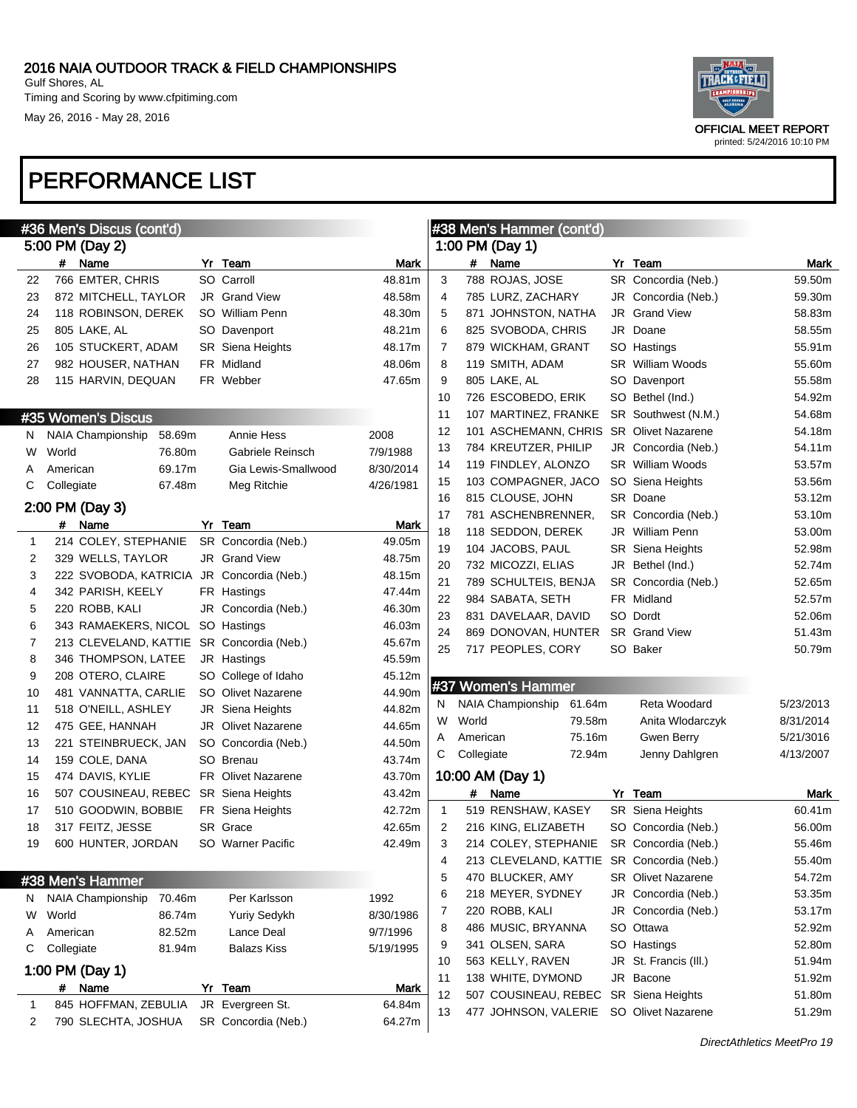May 26, 2016 - May 28, 2016



|              | #36 Men's Discus (cont'd)                 |        |    |                           |           |              |            | #38 Men's Hammer (cont'd) |        |                                           |           |  |
|--------------|-------------------------------------------|--------|----|---------------------------|-----------|--------------|------------|---------------------------|--------|-------------------------------------------|-----------|--|
|              | 5:00 PM (Day 2)                           |        |    |                           |           |              |            | 1:00 PM (Day 1)           |        |                                           |           |  |
|              | #<br>Name                                 |        | Yr | Team                      | Mark      |              | #          | Name                      |        | Yr Team                                   | Mark      |  |
| 22           | 766 EMTER, CHRIS                          |        |    | SO Carroll                | 48.81m    | 3            |            | 788 ROJAS, JOSE           |        | SR Concordia (Neb.)                       | 59.50m    |  |
| 23           | 872 MITCHELL, TAYLOR                      |        |    | JR Grand View             | 48.58m    | 4            |            | 785 LURZ, ZACHARY         |        | JR Concordia (Neb.)                       | 59.30m    |  |
| 24           | 118 ROBINSON, DEREK                       |        |    | SO William Penn           | 48.30m    | 5            |            | 871 JOHNSTON, NATHA       |        | JR Grand View                             | 58.83m    |  |
| 25           | 805 LAKE, AL                              |        |    | SO Davenport              | 48.21m    | 6            |            | 825 SVOBODA, CHRIS        |        | JR Doane                                  | 58.55m    |  |
| 26           | 105 STUCKERT, ADAM                        |        |    | SR Siena Heights          | 48.17m    | 7            |            | 879 WICKHAM, GRANT        |        | SO Hastings                               | 55.91m    |  |
| 27           | 982 HOUSER, NATHAN                        |        |    | FR Midland                | 48.06m    | 8            |            | 119 SMITH, ADAM           |        | <b>SR</b> William Woods                   | 55.60m    |  |
| 28           | 115 HARVIN, DEQUAN                        |        |    | FR Webber                 | 47.65m    | 9            |            | 805 LAKE, AL              |        | SO Davenport                              | 55.58m    |  |
|              |                                           |        |    |                           |           | 10           |            | 726 ESCOBEDO, ERIK        |        | SO Bethel (Ind.)                          | 54.92m    |  |
|              | #35 Women's Discus                        |        |    |                           |           | 11           |            | 107 MARTINEZ, FRANKE      |        | SR Southwest (N.M.)                       | 54.68m    |  |
| N            | <b>NAIA Championship</b>                  | 58.69m |    | Annie Hess                | 2008      | 12           |            |                           |        | 101 ASCHEMANN, CHRIS SR Olivet Nazarene   | 54.18m    |  |
| W            | World                                     | 76.80m |    | Gabriele Reinsch          | 7/9/1988  | 13           |            | 784 KREUTZER, PHILIP      |        | JR Concordia (Neb.)                       | 54.11m    |  |
| A            | American                                  | 69.17m |    | Gia Lewis-Smallwood       | 8/30/2014 | 14           |            | 119 FINDLEY, ALONZO       |        | <b>SR</b> William Woods                   | 53.57m    |  |
| С            | Collegiate                                | 67.48m |    | Meg Ritchie               | 4/26/1981 | 15           |            | 103 COMPAGNER, JACO       |        | SO Siena Heights                          | 53.56m    |  |
|              |                                           |        |    |                           |           | 16           |            | 815 CLOUSE, JOHN          |        | SR Doane                                  | 53.12m    |  |
|              | 2:00 PM (Day 3)                           |        |    |                           |           | 17           |            | 781 ASCHENBRENNER,        |        | SR Concordia (Neb.)                       | 53.10m    |  |
|              | # Name                                    |        |    | Yr Team                   | Mark      | 18           |            | 118 SEDDON, DEREK         |        | <b>JR</b> William Penn                    | 53.00m    |  |
| $\mathbf{1}$ | 214 COLEY, STEPHANIE                      |        |    | SR Concordia (Neb.)       | 49.05m    | 19           |            | 104 JACOBS, PAUL          |        | <b>SR</b> Siena Heights                   | 52.98m    |  |
| 2            | 329 WELLS, TAYLOR                         |        |    | JR Grand View             | 48.75m    | 20           |            | 732 MICOZZI, ELIAS        |        | JR Bethel (Ind.)                          | 52.74m    |  |
| 3            | 222 SVOBODA, KATRICIA JR Concordia (Neb.) |        |    |                           | 48.15m    | 21           |            | 789 SCHULTEIS, BENJA      |        | SR Concordia (Neb.)                       | 52.65m    |  |
| 4            | 342 PARISH, KEELY                         |        |    | FR Hastings               | 47.44m    | 22           |            | 984 SABATA, SETH          |        | FR Midland                                | 52.57m    |  |
| 5            | 220 ROBB, KALI                            |        |    | JR Concordia (Neb.)       | 46.30m    | 23           |            | 831 DAVELAAR, DAVID       |        | SO Dordt                                  | 52.06m    |  |
| 6            | 343 RAMAEKERS, NICOL                      |        |    | SO Hastings               | 46.03m    | 24           |            | 869 DONOVAN, HUNTER       |        | <b>SR</b> Grand View                      | 51.43m    |  |
| 7            | 213 CLEVELAND, KATTIE                     |        |    | SR Concordia (Neb.)       | 45.67m    | 25           |            | 717 PEOPLES, CORY         |        | SO Baker                                  | 50.79m    |  |
| 8            | 346 THOMPSON, LATEE                       |        |    | JR Hastings               | 45.59m    |              |            |                           |        |                                           |           |  |
| 9            | 208 OTERO, CLAIRE                         |        |    | SO College of Idaho       | 45.12m    |              |            | #37 Women's Hammer        |        |                                           |           |  |
| 10           | 481 VANNATTA, CARLIE                      |        |    | SO Olivet Nazarene        | 44.90m    | N            |            | <b>NAIA Championship</b>  | 61.64m | Reta Woodard                              | 5/23/2013 |  |
| 11           | 518 O'NEILL, ASHLEY                       |        |    | JR Siena Heights          | 44.82m    | W            | World      |                           | 79.58m | Anita Wlodarczyk                          | 8/31/2014 |  |
| 12           | 475 GEE, HANNAH                           |        |    | <b>JR</b> Olivet Nazarene | 44.65m    | Α            | American   |                           | 75.16m | Gwen Berry                                | 5/21/3016 |  |
| 13           | 221 STEINBRUECK, JAN                      |        |    | SO Concordia (Neb.)       | 44.50m    | С            | Collegiate |                           | 72.94m | Jenny Dahlgren                            | 4/13/2007 |  |
| 14           | 159 COLE, DANA                            |        |    | SO Brenau                 | 43.74m    |              |            |                           |        |                                           |           |  |
| 15           | 474 DAVIS, KYLIE                          |        |    | <b>FR</b> Olivet Nazarene | 43.70m    |              |            | 10:00 AM (Day 1)          |        |                                           |           |  |
| 16           | 507 COUSINEAU, REBEC                      |        |    | SR Siena Heights          | 43.42m    |              | #          | Name                      |        | Yr Team                                   | Mark      |  |
| 17           | 510 GOODWIN, BOBBIE                       |        |    | FR Siena Heights          | 42.72m    | $\mathbf{1}$ |            | 519 RENSHAW, KASEY        |        | SR Siena Heights                          | 60.41m    |  |
| 18           | 317 FEITZ, JESSE                          |        |    | SR Grace                  | 42.65m    | 2            |            | 216 KING, ELIZABETH       |        | SO Concordia (Neb.)                       | 56.00m    |  |
| 19           | 600 HUNTER, JORDAN                        |        |    | SO Warner Pacific         | 42.49m    | 3            |            | 214 COLEY, STEPHANIE      |        | SR Concordia (Neb.)                       | 55.46m    |  |
|              |                                           |        |    |                           |           | 4            |            |                           |        | 213 CLEVELAND, KATTIE SR Concordia (Neb.) | 55.40m    |  |
|              | #38 Men's Hammer                          |        |    |                           |           | 5            |            | 470 BLUCKER, AMY          |        | <b>SR</b> Olivet Nazarene                 | 54.72m    |  |
| N            | NAIA Championship                         | 70.46m |    | Per Karlsson              | 1992      | 6            |            | 218 MEYER, SYDNEY         |        | JR Concordia (Neb.)                       | 53.35m    |  |
| W            | World                                     | 86.74m |    | <b>Yuriy Sedykh</b>       | 8/30/1986 | 7            |            | 220 ROBB, KALI            |        | JR Concordia (Neb.)                       | 53.17m    |  |
| A            | American                                  | 82.52m |    | Lance Deal                | 9/7/1996  | 8            |            | 486 MUSIC, BRYANNA        |        | SO Ottawa                                 | 52.92m    |  |
| С            | Collegiate                                | 81.94m |    | <b>Balazs Kiss</b>        | 5/19/1995 | 9            |            | 341 OLSEN, SARA           |        | SO Hastings                               | 52.80m    |  |
|              | 1:00 PM (Day 1)                           |        |    |                           |           | 10           |            | 563 KELLY, RAVEN          |        | JR St. Francis (III.)                     | 51.94m    |  |
|              | # Name                                    |        |    | Yr Team                   | Mark      | 11           |            | 138 WHITE, DYMOND         |        | JR Bacone                                 | 51.92m    |  |
| 1            | 845 HOFFMAN, ZEBULIA                      |        |    | JR Evergreen St.          | 64.84m    | 12           |            | 507 COUSINEAU, REBEC      |        | SR Siena Heights                          | 51.80m    |  |
| 2            | 790 SLECHTA, JOSHUA                       |        |    | SR Concordia (Neb.)       | 64.27m    | 13           |            | 477 JOHNSON, VALERIE      |        | SO Olivet Nazarene                        | 51.29m    |  |
|              |                                           |        |    |                           |           |              |            |                           |        |                                           |           |  |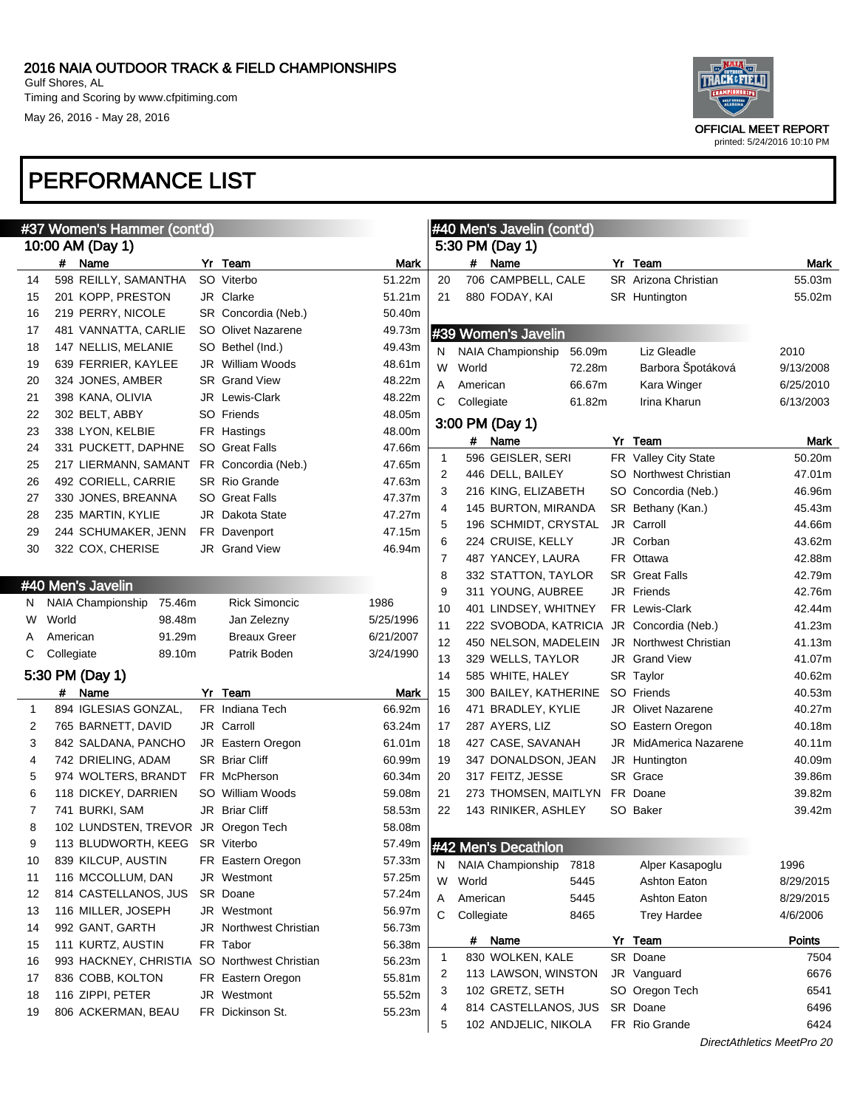

printed: 5/24/2016 10:10 PM

| #37 Women's Hammer (cont'd) |            |                                     |    |                        |           | #40 Men's Javelin (cont'd) |            |                            |        |    |                               |                            |
|-----------------------------|------------|-------------------------------------|----|------------------------|-----------|----------------------------|------------|----------------------------|--------|----|-------------------------------|----------------------------|
|                             |            | 10:00 AM (Day 1)                    |    |                        |           |                            |            | 5:30 PM (Day 1)            |        |    |                               |                            |
|                             |            | # Name                              |    | Yr Team                | Mark      |                            |            | # Name                     |        |    | Yr Team                       | <b>Mark</b>                |
| 14                          |            | 598 REILLY, SAMANTHA                |    | SO Viterbo             | 51.22m    | 20                         |            | 706 CAMPBELL, CALE         |        |    | SR Arizona Christian          | 55.03m                     |
| 15                          |            | 201 KOPP, PRESTON                   |    | JR Clarke              | 51.21m    | 21                         |            | 880 FODAY, KAI             |        |    | <b>SR</b> Huntington          | 55.02m                     |
| 16                          |            | 219 PERRY, NICOLE                   |    | SR Concordia (Neb.)    | 50.40m    |                            |            |                            |        |    |                               |                            |
| 17                          |            | 481 VANNATTA, CARLIE                |    | SO Olivet Nazarene     | 49.73m    |                            |            | #39 Women's Javelin        |        |    |                               |                            |
| 18                          |            | 147 NELLIS, MELANIE                 |    | SO Bethel (Ind.)       | 49.43m    | N                          |            | NAIA Championship          | 56.09m |    | Liz Gleadle                   | 2010                       |
| 19                          |            | 639 FERRIER, KAYLEE                 |    | JR William Woods       | 48.61m    | W                          | World      |                            | 72.28m |    | Barbora Špotáková             | 9/13/2008                  |
| 20                          |            | 324 JONES, AMBER                    |    | <b>SR</b> Grand View   | 48.22m    | Α                          | American   |                            | 66.67m |    | Kara Winger                   | 6/25/2010                  |
| 21                          |            | 398 KANA, OLIVIA                    |    | JR Lewis-Clark         | 48.22m    | С                          | Collegiate |                            | 61.82m |    | Irina Kharun                  | 6/13/2003                  |
| 22                          |            | 302 BELT, ABBY                      |    | SO Friends             | 48.05m    |                            |            |                            |        |    |                               |                            |
| 23                          |            | 338 LYON, KELBIE                    |    | FR Hastings            | 48.00m    |                            |            | 3:00 PM (Day 1)            |        |    |                               |                            |
| 24                          |            | 331 PUCKETT, DAPHNE                 |    | SO Great Falls         | 47.66m    |                            |            | # Name                     |        | Yr | Team                          | Mark                       |
| 25                          |            | 217 LIERMANN, SAMANT                |    | FR Concordia (Neb.)    | 47.65m    | 1                          |            | 596 GEISLER, SERI          |        |    | FR Valley City State          | 50.20m                     |
| 26                          |            | 492 CORIELL, CARRIE                 |    | <b>SR Rio Grande</b>   | 47.63m    | 2                          |            | 446 DELL, BAILEY           |        |    | SO Northwest Christian        | 47.01m                     |
| 27                          |            | 330 JONES, BREANNA                  |    | <b>SO</b> Great Falls  | 47.37m    | 3                          |            | 216 KING, ELIZABETH        |        |    | SO Concordia (Neb.)           | 46.96m                     |
| 28                          |            | 235 MARTIN, KYLIE                   |    | <b>JR</b> Dakota State | 47.27m    | 4                          |            | 145 BURTON, MIRANDA        |        |    | SR Bethany (Kan.)             | 45.43m                     |
| 29                          |            | 244 SCHUMAKER, JENN                 |    | FR Davenport           | 47.15m    | 5                          |            | 196 SCHMIDT, CRYSTAL       |        |    | JR Carroll                    | 44.66m                     |
| 30                          |            | 322 COX, CHERISE                    |    | <b>JR</b> Grand View   | 46.94m    | 6                          |            | 224 CRUISE, KELLY          |        |    | JR Corban                     | 43.62m                     |
|                             |            |                                     |    |                        |           | 7                          |            | 487 YANCEY, LAURA          |        |    | FR Ottawa                     | 42.88m                     |
|                             |            | #40 Men's Javelin                   |    |                        |           | 8                          |            | 332 STATTON, TAYLOR        |        |    | <b>SR</b> Great Falls         | 42.79m                     |
|                             |            | NAIA Championship                   |    |                        |           | 9                          |            | 311 YOUNG, AUBREE          |        |    | JR Friends                    | 42.76m                     |
| N.                          |            | 75.46m                              |    | <b>Rick Simoncic</b>   | 1986      | 10                         |            | 401 LINDSEY, WHITNEY       |        |    | FR Lewis-Clark                | 42.44m                     |
| W                           | World      | 98.48m                              |    | Jan Zelezny            | 5/25/1996 | 11                         |            | 222 SVOBODA, KATRICIA      |        |    | JR Concordia (Neb.)           | 41.23m                     |
| A                           | American   | 91.29m                              |    | <b>Breaux Greer</b>    | 6/21/2007 | 12                         |            | 450 NELSON, MADELEIN       |        |    | <b>JR</b> Northwest Christian | 41.13m                     |
| С                           | Collegiate | 89.10m                              |    | Patrik Boden           | 3/24/1990 | 13                         |            | 329 WELLS, TAYLOR          |        |    | JR Grand View                 | 41.07m                     |
|                             |            | 5:30 PM (Day 1)                     |    |                        |           | 14                         |            | 585 WHITE, HALEY           |        |    | SR Taylor                     | 40.62m                     |
|                             | #          | Name                                | Yr | Team                   | Mark      | 15                         |            | 300 BAILEY, KATHERINE      |        |    | SO Friends                    | 40.53m                     |
| $\mathbf{1}$                |            | 894 IGLESIAS GONZAL,                |    | FR Indiana Tech        | 66.92m    | 16                         |            | 471 BRADLEY, KYLIE         |        |    | <b>JR</b> Olivet Nazarene     | 40.27m                     |
| 2                           |            | 765 BARNETT, DAVID                  |    | JR Carroll             | 63.24m    | 17                         |            | 287 AYERS, LIZ             |        |    | SO Eastern Oregon             | 40.18m                     |
| 3                           |            | 842 SALDANA, PANCHO                 |    | JR Eastern Oregon      | 61.01m    | 18                         |            | 427 CASE, SAVANAH          |        |    | <b>JR</b> MidAmerica Nazarene | 40.11m                     |
| 4                           |            | 742 DRIELING, ADAM                  |    | <b>SR Briar Cliff</b>  | 60.99m    | 19                         |            | 347 DONALDSON, JEAN        |        |    | JR Huntington                 | 40.09m                     |
| 5                           |            | 974 WOLTERS, BRANDT                 |    | FR McPherson           | 60.34m    | 20                         |            | 317 FEITZ, JESSE           |        |    | SR Grace                      | 39.86m                     |
| 6                           |            | 118 DICKEY, DARRIEN                 |    | SO William Woods       | 59.08m    | 21                         |            | 273 THOMSEN, MAITLYN       |        |    | FR Doane                      | 39.82m                     |
| 7                           |            | 741 BURKI, SAM                      |    | JR Briar Cliff         | 58.53m    | 22                         |            | 143 RINIKER, ASHLEY        |        |    | SO Baker                      | 39.42m                     |
| 8                           |            | 102 LUNDSTEN, TREVOR JR Oregon Tech |    |                        | 58.08m    |                            |            |                            |        |    |                               |                            |
| 9                           |            | 113 BLUDWORTH, KEEG SR Viterbo      |    |                        |           |                            |            | 57.49m #42 Men's Decathlon |        |    |                               |                            |
| 10                          |            | 839 KILCUP, AUSTIN                  |    | FR Eastern Oregon      | 57.33m    | N                          |            | NAIA Championship          | 7818   |    | Alper Kasapoglu               | 1996                       |
| 11                          |            | 116 MCCOLLUM, DAN                   |    | JR Westmont            | 57.25m    | W                          | World      |                            | 5445   |    | Ashton Eaton                  | 8/29/2015                  |
| 12                          |            | 814 CASTELLANOS, JUS                |    | SR Doane               | 57.24m    | Α                          | American   |                            | 5445   |    | <b>Ashton Eaton</b>           | 8/29/2015                  |
| 13                          |            | 116 MILLER, JOSEPH                  |    | JR Westmont            | 56.97m    | С                          | Collegiate |                            | 8465   |    | <b>Trey Hardee</b>            | 4/6/2006                   |
| 14                          |            | 992 GANT, GARTH                     |    | JR Northwest Christian | 56.73m    |                            |            |                            |        |    |                               |                            |
| 15                          |            | 111 KURTZ, AUSTIN                   |    | FR Tabor               | 56.38m    |                            |            | # Name                     |        | Yr | Team                          | Points                     |
| 16                          |            | 993 HACKNEY, CHRISTIA               |    | SO Northwest Christian | 56.23m    | 1                          |            | 830 WOLKEN, KALE           |        |    | SR Doane                      | 7504                       |
| 17                          |            | 836 COBB, KOLTON                    |    | FR Eastern Oregon      | 55.81m    | 2                          |            | 113 LAWSON, WINSTON        |        |    | JR Vanguard                   | 6676                       |
| 18                          |            | 116 ZIPPI, PETER                    |    | JR Westmont            | 55.52m    | 3                          |            | 102 GRETZ, SETH            |        |    | SO Oregon Tech                | 6541                       |
| 19                          |            | 806 ACKERMAN, BEAU                  |    | FR Dickinson St.       | 55.23m    | 4                          |            | 814 CASTELLANOS, JUS       |        |    | SR Doane                      | 6496                       |
|                             |            |                                     |    |                        |           | 5                          |            | 102 ANDJELIC, NIKOLA       |        |    | FR Rio Grande                 | 6424                       |
|                             |            |                                     |    |                        |           |                            |            |                            |        |    |                               | DirectAthletics MeetPro 20 |